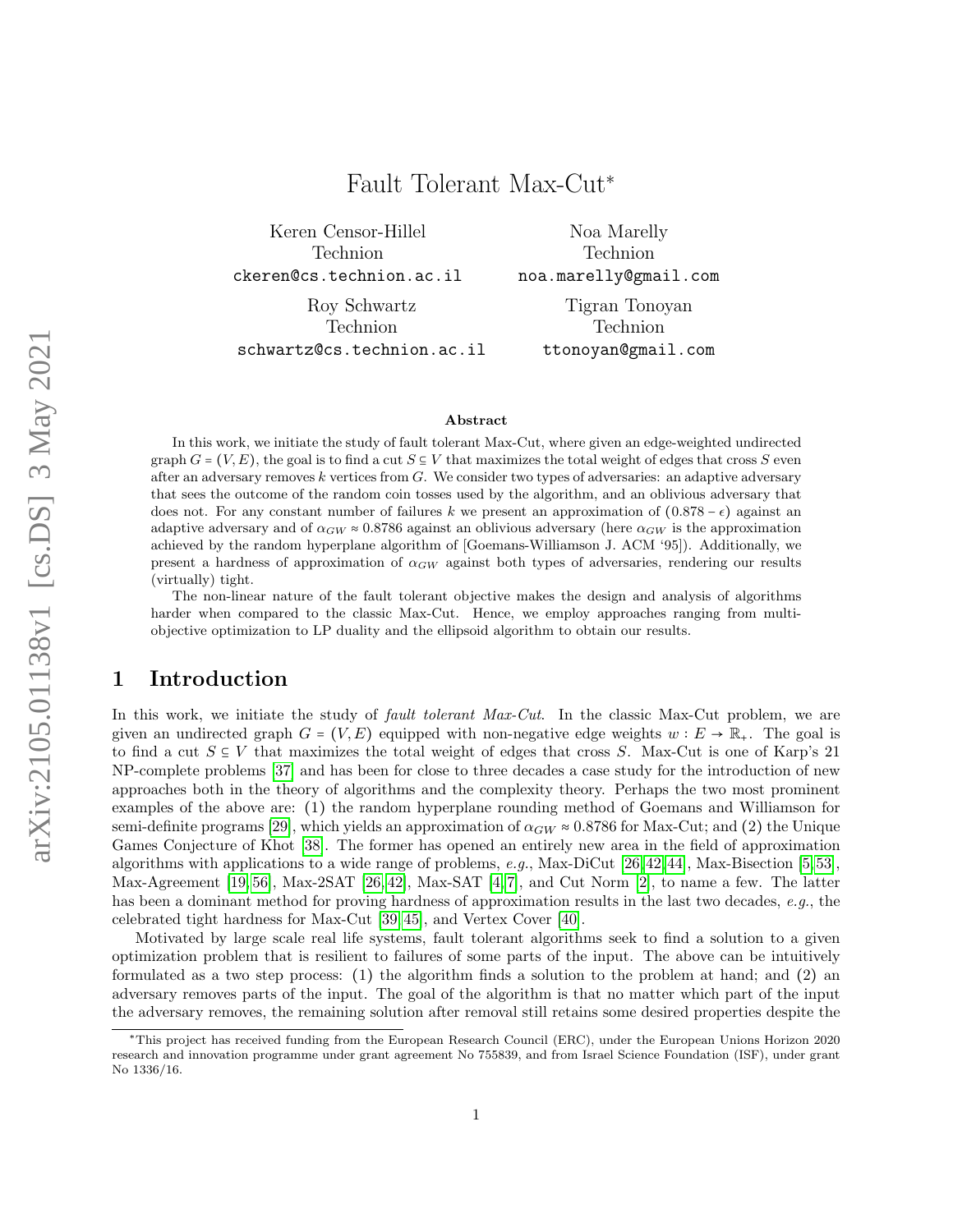# Keren Censor-Hillel Technion ckeren@cs.technion.ac.il

Roy Schwartz Technion

schwartz@cs.technion.ac.il

Noa Marelly Technion noa.marelly@gmail.com

> Tigran Tonoyan Technion ttonoyan@gmail.com

#### Abstract

Fault Tolerant Max-Cut<sup>∗</sup>

In this work, we initiate the study of fault tolerant Max-Cut, where given an edge-weighted undirected graph  $G = (V, E)$ , the goal is to find a cut  $S \subseteq V$  that maximizes the total weight of edges that cross S even after an adversary removes  $k$  vertices from  $G$ . We consider two types of adversaries: an adaptive adversary that sees the outcome of the random coin tosses used by the algorithm, and an oblivious adversary that does not. For any constant number of failures k we present an approximation of  $(0.878 - \epsilon)$  against an adaptive adversary and of  $\alpha_{GW} \approx 0.8786$  against an oblivious adversary (here  $\alpha_{GW}$  is the approximation achieved by the random hyperplane algorithm of [Goemans-Williamson J. ACM '95]). Additionally, we present a hardness of approximation of  $\alpha_{GW}$  against both types of adversaries, rendering our results (virtually) tight.

The non-linear nature of the fault tolerant objective makes the design and analysis of algorithms harder when compared to the classic Max-Cut. Hence, we employ approaches ranging from multiobjective optimization to LP duality and the ellipsoid algorithm to obtain our results.

## 1 Introduction

In this work, we initiate the study of *fault tolerant Max-Cut*. In the classic Max-Cut problem, we are given an undirected graph  $G = (V, E)$  equipped with non-negative edge weights  $w : E \to \mathbb{R}_+$ . The goal is to find a cut  $S \subseteq V$  that maximizes the total weight of edges that cross S. Max-Cut is one of Karp's 21 NP-complete problems [\[37\]](#page-27-0) and has been for close to three decades a case study for the introduction of new approaches both in the theory of algorithms and the complexity theory. Perhaps the two most prominent examples of the above are: (1) the random hyperplane rounding method of Goemans and Williamson for semi-definite programs [\[29\]](#page-26-0), which yields an approximation of  $\alpha_{GW} \approx 0.8786$  for Max-Cut; and (2) the Unique Games Conjecture of Khot [\[38\]](#page-27-1). The former has opened an entirely new area in the field of approximation algorithms with applications to a wide range of problems, e.g., Max-DiCut [\[26,](#page-26-1) [42,](#page-27-2) [44\]](#page-27-3), Max-Bisection [\[5,](#page-24-0) [53\]](#page-28-0), Max-Agreement [\[19,](#page-25-0) [56\]](#page-28-1), Max-2SAT [\[26,](#page-26-1) [42\]](#page-27-2), Max-SAT [\[4,](#page-24-1) [7\]](#page-24-2), and Cut Norm [\[2\]](#page-24-3), to name a few. The latter has been a dominant method for proving hardness of approximation results in the last two decades, e.g., the celebrated tight hardness for Max-Cut [\[39,](#page-27-4) [45\]](#page-27-5), and Vertex Cover [\[40\]](#page-27-6).

Motivated by large scale real life systems, fault tolerant algorithms seek to find a solution to a given optimization problem that is resilient to failures of some parts of the input. The above can be intuitively formulated as a two step process: (1) the algorithm finds a solution to the problem at hand; and (2) an adversary removes parts of the input. The goal of the algorithm is that no matter which part of the input the adversary removes, the remaining solution after removal still retains some desired properties despite the

<sup>∗</sup>This project has received funding from the European Research Council (ERC), under the European Unions Horizon 2020 research and innovation programme under grant agreement No 755839, and from Israel Science Foundation (ISF), under grant No 1336/16.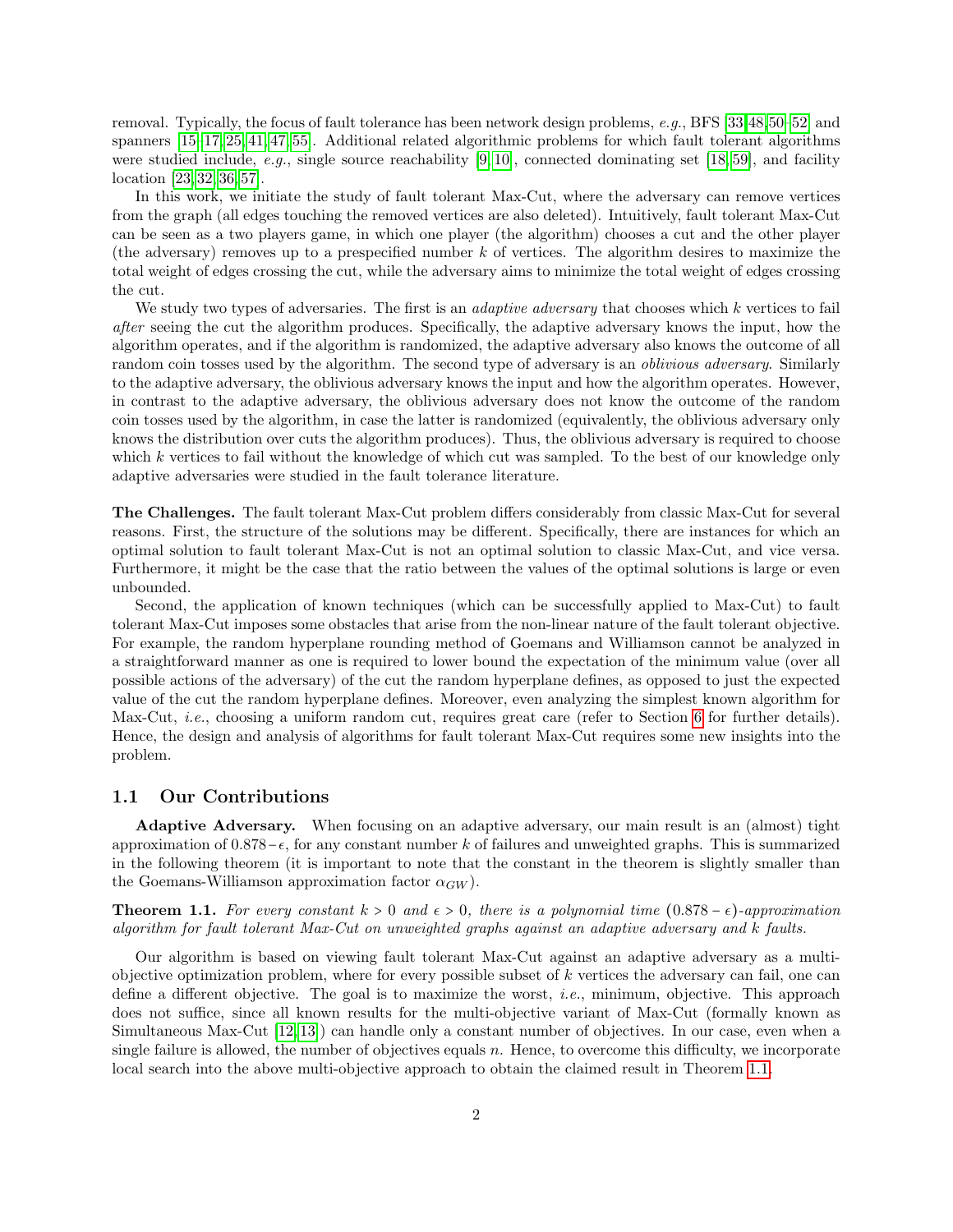removal. Typically, the focus of fault tolerance has been network design problems, e.g., BFS [\[33,](#page-27-7)[48,](#page-28-2)[50–](#page-28-3)[52\]](#page-28-4) and spanners [\[15](#page-25-1)[–17,](#page-25-2) [25,](#page-26-2) [41,](#page-27-8) [47,](#page-28-5) [55\]](#page-28-6). Additional related algorithmic problems for which fault tolerant algorithms were studied include, e.g., single source reachability  $[9, 10]$  $[9, 10]$ , connected dominating set [\[18,](#page-25-5) [59\]](#page-28-7), and facility location [\[23,](#page-26-3) [32,](#page-26-4) [36,](#page-27-9) [57\]](#page-28-8).

In this work, we initiate the study of fault tolerant Max-Cut, where the adversary can remove vertices from the graph (all edges touching the removed vertices are also deleted). Intuitively, fault tolerant Max-Cut can be seen as a two players game, in which one player (the algorithm) chooses a cut and the other player (the adversary) removes up to a prespecified number  $k$  of vertices. The algorithm desires to maximize the total weight of edges crossing the cut, while the adversary aims to minimize the total weight of edges crossing the cut.

We study two types of adversaries. The first is an *adaptive adversary* that chooses which  $k$  vertices to fail after seeing the cut the algorithm produces. Specifically, the adaptive adversary knows the input, how the algorithm operates, and if the algorithm is randomized, the adaptive adversary also knows the outcome of all random coin tosses used by the algorithm. The second type of adversary is an *oblivious adversary*. Similarly to the adaptive adversary, the oblivious adversary knows the input and how the algorithm operates. However, in contrast to the adaptive adversary, the oblivious adversary does not know the outcome of the random coin tosses used by the algorithm, in case the latter is randomized (equivalently, the oblivious adversary only knows the distribution over cuts the algorithm produces). Thus, the oblivious adversary is required to choose which  $k$  vertices to fail without the knowledge of which cut was sampled. To the best of our knowledge only adaptive adversaries were studied in the fault tolerance literature.

The Challenges. The fault tolerant Max-Cut problem differs considerably from classic Max-Cut for several reasons. First, the structure of the solutions may be different. Specifically, there are instances for which an optimal solution to fault tolerant Max-Cut is not an optimal solution to classic Max-Cut, and vice versa. Furthermore, it might be the case that the ratio between the values of the optimal solutions is large or even unbounded.

Second, the application of known techniques (which can be successfully applied to Max-Cut) to fault tolerant Max-Cut imposes some obstacles that arise from the non-linear nature of the fault tolerant objective. For example, the random hyperplane rounding method of Goemans and Williamson cannot be analyzed in a straightforward manner as one is required to lower bound the expectation of the minimum value (over all possible actions of the adversary) of the cut the random hyperplane defines, as opposed to just the expected value of the cut the random hyperplane defines. Moreover, even analyzing the simplest known algorithm for Max-Cut, i.e., choosing a uniform random cut, requires great care (refer to Section [6](#page-20-0) for further details). Hence, the design and analysis of algorithms for fault tolerant Max-Cut requires some new insights into the problem.

#### 1.1 Our Contributions

Adaptive Adversary. When focusing on an adaptive adversary, our main result is an (almost) tight approximation of  $0.878-\epsilon$ , for any constant number k of failures and unweighted graphs. This is summarized in the following theorem (it is important to note that the constant in the theorem is slightly smaller than the Goemans-Williamson approximation factor  $\alpha_{GW}$ ).

<span id="page-1-0"></span>**Theorem 1.1.** For every constant  $k > 0$  and  $\epsilon > 0$ , there is a polynomial time  $(0.878 - \epsilon)$ -approximation algorithm for fault tolerant Max-Cut on unweighted graphs against an adaptive adversary and k faults.

Our algorithm is based on viewing fault tolerant Max-Cut against an adaptive adversary as a multiobjective optimization problem, where for every possible subset of  $k$  vertices the adversary can fail, one can define a different objective. The goal is to maximize the worst, i.e., minimum, objective. This approach does not suffice, since all known results for the multi-objective variant of Max-Cut (formally known as Simultaneous Max-Cut [\[12,](#page-25-6) [13\]](#page-25-7)) can handle only a constant number of objectives. In our case, even when a single failure is allowed, the number of objectives equals  $n$ . Hence, to overcome this difficulty, we incorporate local search into the above multi-objective approach to obtain the claimed result in Theorem [1.1.](#page-1-0)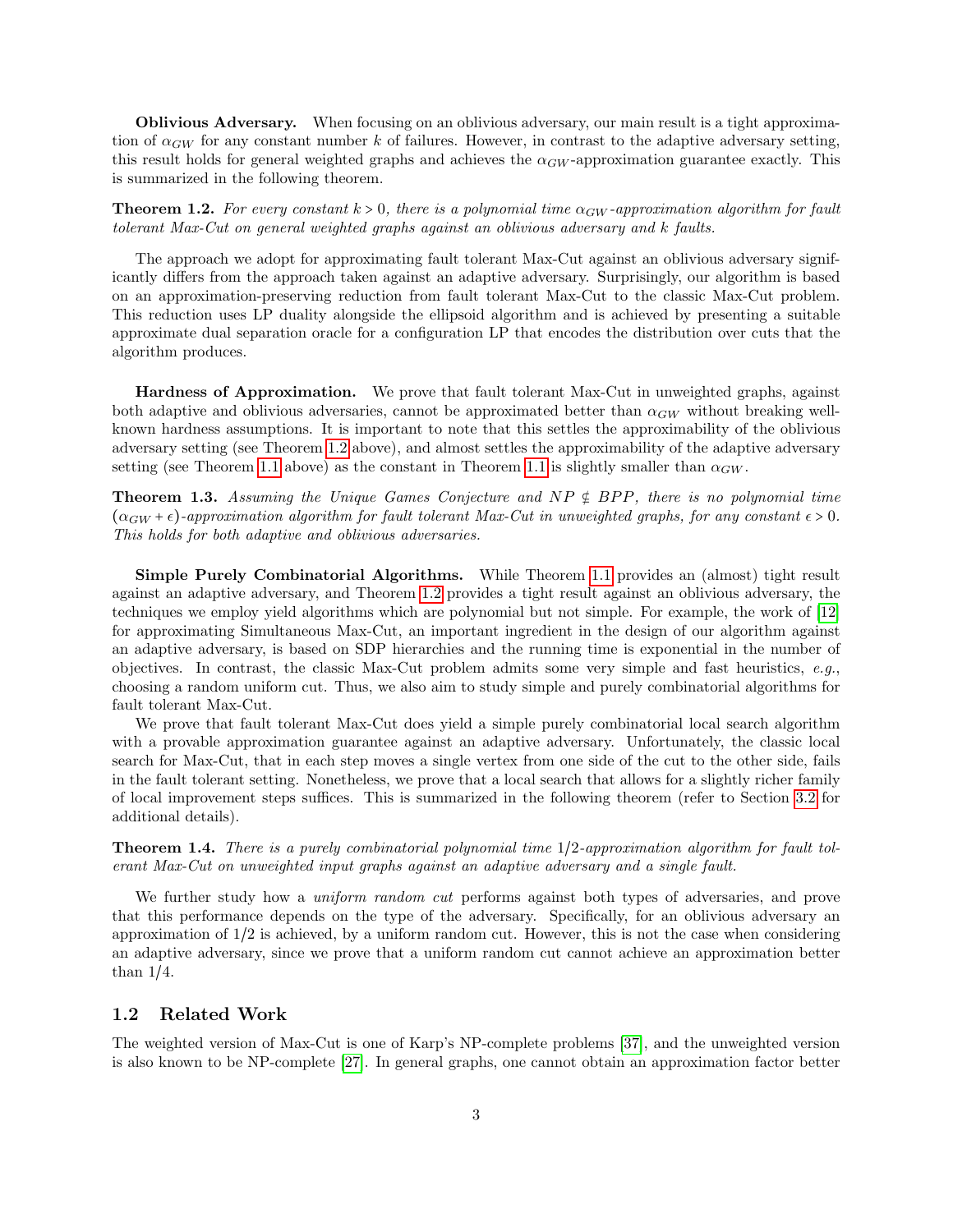Oblivious Adversary. When focusing on an oblivious adversary, our main result is a tight approximation of  $\alpha_{GW}$  for any constant number k of failures. However, in contrast to the adaptive adversary setting, this result holds for general weighted graphs and achieves the  $\alpha_{GW}$ -approximation guarantee exactly. This is summarized in the following theorem.

<span id="page-2-0"></span>**Theorem 1.2.** For every constant  $k > 0$ , there is a polynomial time  $\alpha_{GW}$ -approximation algorithm for fault tolerant Max-Cut on general weighted graphs against an oblivious adversary and k faults.

The approach we adopt for approximating fault tolerant Max-Cut against an oblivious adversary significantly differs from the approach taken against an adaptive adversary. Surprisingly, our algorithm is based on an approximation-preserving reduction from fault tolerant Max-Cut to the classic Max-Cut problem. This reduction uses LP duality alongside the ellipsoid algorithm and is achieved by presenting a suitable approximate dual separation oracle for a configuration LP that encodes the distribution over cuts that the algorithm produces.

Hardness of Approximation. We prove that fault tolerant Max-Cut in unweighted graphs, against both adaptive and oblivious adversaries, cannot be approximated better than  $\alpha_{GW}$  without breaking wellknown hardness assumptions. It is important to note that this settles the approximability of the oblivious adversary setting (see Theorem [1.2](#page-2-0) above), and almost settles the approximability of the adaptive adversary setting (see Theorem [1.1](#page-1-0) above) as the constant in Theorem 1.1 is slightly smaller than  $\alpha_{GW}$ .

<span id="page-2-2"></span>**Theorem 1.3.** Assuming the Unique Games Conjecture and  $NP \notin BPP$ , there is no polynomial time  $(\alpha_{GW} + \epsilon)$ -approximation algorithm for fault tolerant Max-Cut in unweighted graphs, for any constant  $\epsilon > 0$ . This holds for both adaptive and oblivious adversaries.

Simple Purely Combinatorial Algorithms. While Theorem [1.1](#page-1-0) provides an (almost) tight result against an adaptive adversary, and Theorem [1.2](#page-2-0) provides a tight result against an oblivious adversary, the techniques we employ yield algorithms which are polynomial but not simple. For example, the work of [\[12\]](#page-25-6) for approximating Simultaneous Max-Cut, an important ingredient in the design of our algorithm against an adaptive adversary, is based on SDP hierarchies and the running time is exponential in the number of objectives. In contrast, the classic Max-Cut problem admits some very simple and fast heuristics,  $e.g.,$ choosing a random uniform cut. Thus, we also aim to study simple and purely combinatorial algorithms for fault tolerant Max-Cut.

We prove that fault tolerant Max-Cut does yield a simple purely combinatorial local search algorithm with a provable approximation guarantee against an adaptive adversary. Unfortunately, the classic local search for Max-Cut, that in each step moves a single vertex from one side of the cut to the other side, fails in the fault tolerant setting. Nonetheless, we prove that a local search that allows for a slightly richer family of local improvement steps suffices. This is summarized in the following theorem (refer to Section [3.2](#page-10-0) for additional details).

<span id="page-2-1"></span>Theorem 1.4. There is a purely combinatorial polynomial time 1/2-approximation algorithm for fault tolerant Max-Cut on unweighted input graphs against an adaptive adversary and a single fault.

We further study how a *uniform random cut* performs against both types of adversaries, and prove that this performance depends on the type of the adversary. Specifically, for an oblivious adversary an approximation of 1/2 is achieved, by a uniform random cut. However, this is not the case when considering an adaptive adversary, since we prove that a uniform random cut cannot achieve an approximation better than 1/4.

### 1.2 Related Work

The weighted version of Max-Cut is one of Karp's NP-complete problems [\[37\]](#page-27-0), and the unweighted version is also known to be NP-complete [\[27\]](#page-26-5). In general graphs, one cannot obtain an approximation factor better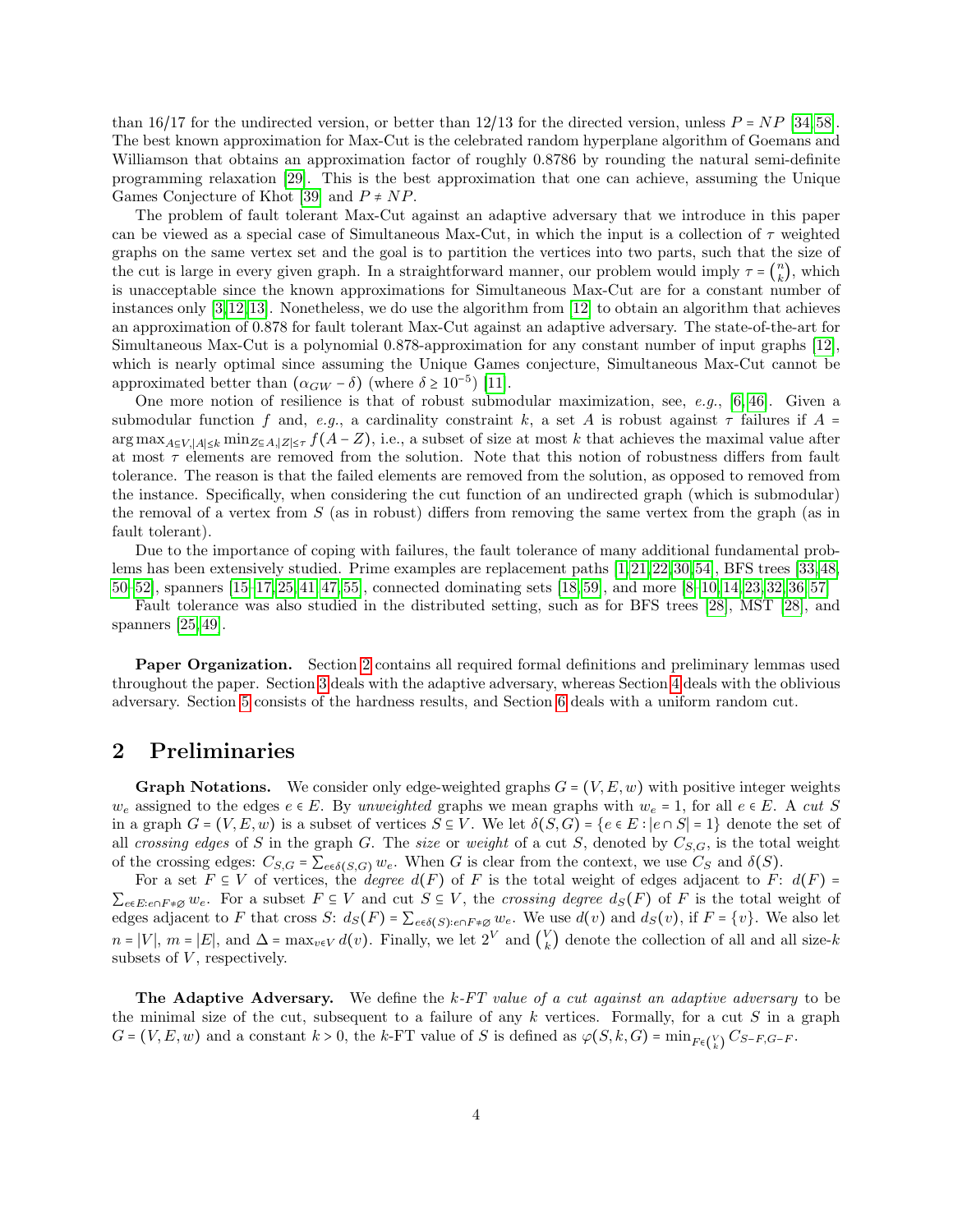than 16/17 for the undirected version, or better than 12/13 for the directed version, unless  $P = NP$  [\[34,](#page-27-10) [58\]](#page-28-9). The best known approximation for Max-Cut is the celebrated random hyperplane algorithm of Goemans and Williamson that obtains an approximation factor of roughly 0.8786 by rounding the natural semi-definite programming relaxation [\[29\]](#page-26-0). This is the best approximation that one can achieve, assuming the Unique Games Conjecture of Khot [\[39\]](#page-27-4) and  $P \neq NP$ .

The problem of fault tolerant Max-Cut against an adaptive adversary that we introduce in this paper can be viewed as a special case of Simultaneous Max-Cut, in which the input is a collection of  $\tau$  weighted graphs on the same vertex set and the goal is to partition the vertices into two parts, such that the size of the cut is large in every given graph. In a straightforward manner, our problem would imply  $\tau = \begin{pmatrix} n \\ k \end{pmatrix}$  $\binom{n}{k}$ , which is unacceptable since the known approximations for Simultaneous Max-Cut are for a constant number of instances only [\[3,](#page-24-4)[12,](#page-25-6)[13\]](#page-25-7). Nonetheless, we do use the algorithm from [\[12\]](#page-25-6) to obtain an algorithm that achieves an approximation of 0.878 for fault tolerant Max-Cut against an adaptive adversary. The state-of-the-art for Simultaneous Max-Cut is a polynomial 0.878-approximation for any constant number of input graphs [\[12\]](#page-25-6), which is nearly optimal since assuming the Unique Games conjecture, Simultaneous Max-Cut cannot be approximated better than  $(α_{GW} - δ)$  (where  $δ ≥ 10<sup>-5</sup>$ ) [\[11\]](#page-25-8).

One more notion of resilience is that of robust submodular maximization, see, e.g.,  $[6, 46]$  $[6, 46]$ . Given a submodular function f and, e.g., a cardinality constraint k, a set A is robust against  $\tau$  failures if A =  $\arg \max_{A \subseteq V, |A| \leq k} \min_{Z \subseteq A, |Z| \leq \tau} f(A - Z)$ , i.e., a subset of size at most k that achieves the maximal value after at most  $\tau$  elements are removed from the solution. Note that this notion of robustness differs from fault tolerance. The reason is that the failed elements are removed from the solution, as opposed to removed from the instance. Specifically, when considering the cut function of an undirected graph (which is submodular) the removal of a vertex from  $S$  (as in robust) differs from removing the same vertex from the graph (as in fault tolerant).

Due to the importance of coping with failures, the fault tolerance of many additional fundamental problems has been extensively studied. Prime examples are replacement paths [\[1,](#page-24-6)[21,](#page-26-6)[22,](#page-26-7)[30,](#page-26-8)[54\]](#page-28-11), BFS trees [\[33,](#page-27-7)[48,](#page-28-2) [50–](#page-28-3)[52\]](#page-28-4), spanners [\[15–](#page-25-1)[17,](#page-25-2) [25,](#page-26-2) [41,](#page-27-8) [47,](#page-28-5) [55\]](#page-28-6), connected dominating sets [\[18,](#page-25-5) [59\]](#page-28-7), and more [\[8–](#page-25-9)[10,](#page-25-4) [14,](#page-25-10) [23,](#page-26-3) [32,](#page-26-4) [36,](#page-27-9) [57\]](#page-28-8)

Fault tolerance was also studied in the distributed setting, such as for BFS trees [\[28\]](#page-26-9), MST [\[28\]](#page-26-9), and spanners [\[25,](#page-26-2) [49\]](#page-28-12).

Paper Organization. Section [2](#page-3-0) contains all required formal definitions and preliminary lemmas used throughout the paper. Section [3](#page-5-0) deals with the adaptive adversary, whereas Section [4](#page-16-0) deals with the oblivious adversary. Section [5](#page-19-0) consists of the hardness results, and Section [6](#page-20-0) deals with a uniform random cut.

## <span id="page-3-0"></span>2 Preliminaries

**Graph Notations.** We consider only edge-weighted graphs  $G = (V, E, w)$  with positive integer weights  $w_e$  assigned to the edges  $e \in E$ . By unweighted graphs we mean graphs with  $w_e = 1$ , for all  $e \in E$ . A cut S in a graph  $G = (V, E, w)$  is a subset of vertices  $S \subseteq V$ . We let  $\delta(S, G) = \{e \in E : |e \cap S| = 1\}$  denote the set of all crossing edges of S in the graph G. The size or weight of a cut S, denoted by  $C_{S,G}$ , is the total weight of the crossing edges:  $C_{S,G} = \sum_{e \in \delta(S,G)} w_e$ . When G is clear from the context, we use  $C_S$  and  $\delta(S)$ .

For a set  $F \subseteq V$  of vertices, the *degree*  $d(F)$  of F is the total weight of edges adjacent to F:  $d(F)$  =  $\sum_{e\in E: e\cap F\neq\emptyset} w_e$ . For a subset  $F\subseteq V$  and cut  $S\subseteq V$ , the crossing degree  $d_S(F)$  of F is the total weight of edges adjacent to F that cross S:  $d_S(F) = \sum_{e \in \delta(S)} e \cap F \neq \emptyset$  we. We use  $d(v)$  and  $d_S(v)$ , if  $F = \{v\}$ . We also let  $n = |V|$ ,  $m = |E|$ , and  $\Delta = \max_{v \in V} d(v)$ . Finally, we let  $2^V$  and  $\binom{V}{k}$  $\binom{V}{k}$  denote the collection of all and all size- $k$ subsets of  $V$ , respectively.

**The Adaptive Adversary.** We define the  $k$ -FT value of a cut against an adaptive adversary to be the minimal size of the cut, subsequent to a failure of any  $k$  vertices. Formally, for a cut  $S$  in a graph  $G = (V, E, w)$  and a constant  $k > 0$ , the k-FT value of S is defined as  $\varphi(S, k, G) = \min_{F \in {V \choose k}} C_{S-F, G-F}.$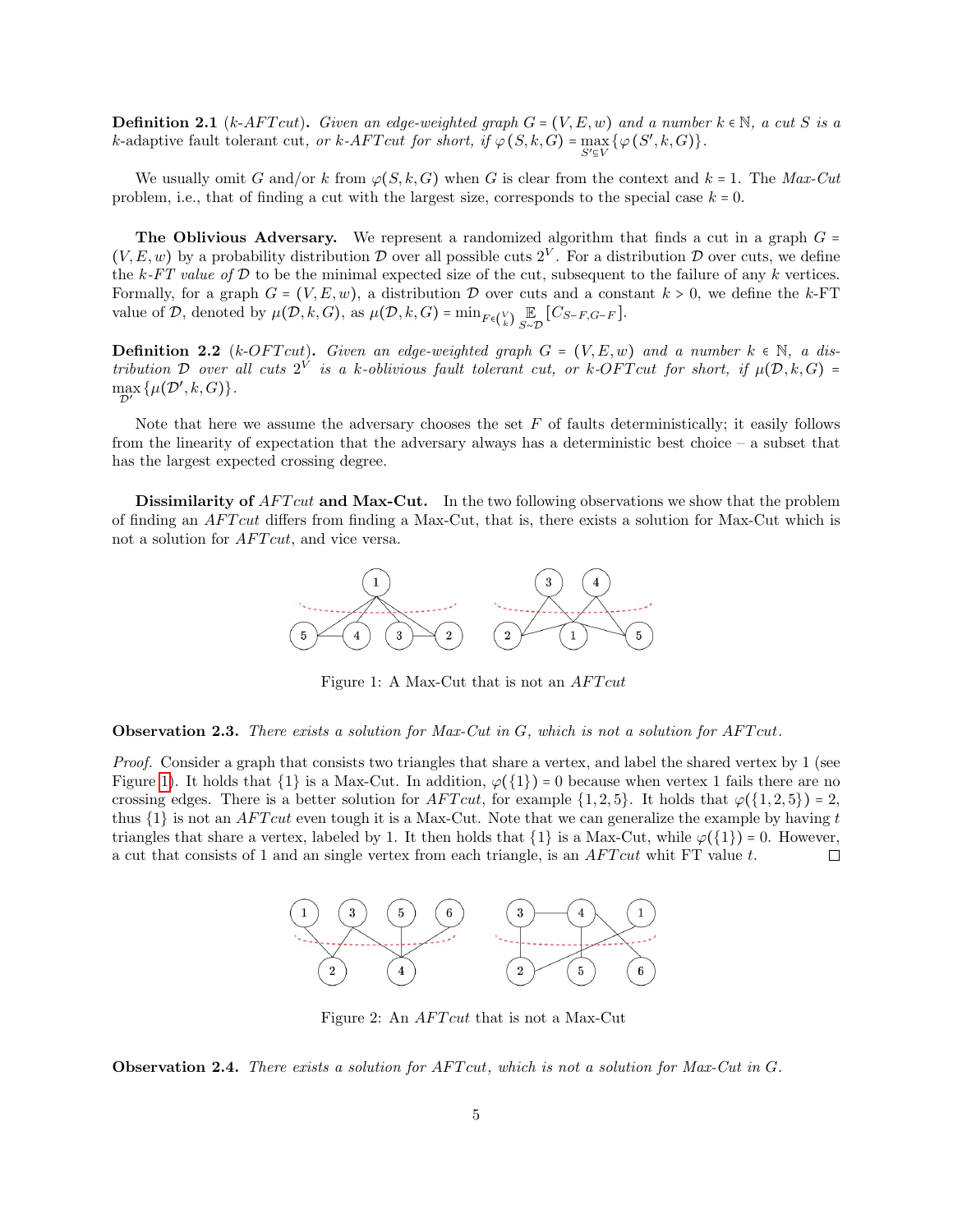**Definition 2.1** (k-AFT cut). Given an edge-weighted graph  $G = (V, E, w)$  and a number  $k \in \mathbb{N}$ , a cut S is a *k*-adaptive fault tolerant cut, or *k*-AFT cut for short, if  $\varphi(S, k, G) = \max_{S' \subseteq V} \{ \varphi(S', k, G) \}.$ 

We usually omit G and/or k from  $\varphi(S, k, G)$  when G is clear from the context and  $k = 1$ . The Max-Cut problem, i.e., that of finding a cut with the largest size, corresponds to the special case  $k = 0$ .

The Oblivious Adversary. We represent a randomized algorithm that finds a cut in a graph  $G =$  $(V, E, w)$  by a probability distribution  $\mathcal D$  over all possible cuts  $2^V$ . For a distribution  $\mathcal D$  over cuts, we define the  $k$ -FT value of  $D$  to be the minimal expected size of the cut, subsequent to the failure of any k vertices. Formally, for a graph  $G = (V, E, w)$ , a distribution D over cuts and a constant  $k > 0$ , we define the k-FT value of  $D$ , denoted by  $\mu(D, k, G)$ , as  $\mu(D, k, G) = \min_{F \in {V \choose k}} \mathbb{E}_{S \sim D} [C_{S-F,G-F}]$ .

**Definition 2.2** (k-OFT cut). Given an edge-weighted graph  $G = (V, E, w)$  and a number  $k \in \mathbb{N}$ , a distribution  $\mathcal D$  over all cuts  $2^V$  is a k-oblivious fault tolerant cut, or k-OFT cut for short, if  $\mu(\mathcal D, k, G)$  = max  $\max_{\mathcal{D}'} \{ \mu(\mathcal{D}',k,G) \}.$ 

Note that here we assume the adversary chooses the set  $F$  of faults deterministically; it easily follows from the linearity of expectation that the adversary always has a deterministic best choice – a subset that has the largest expected crossing degree.

Dissimilarity of AFT cut and Max-Cut. In the two following observations we show that the problem of finding an AFT cut differs from finding a Max-Cut, that is, there exists a solution for Max-Cut which is not a solution for  $AFTcut$ , and vice versa.



<span id="page-4-0"></span>Figure 1: A Max-Cut that is not an  $AFTcut$ 

#### **Observation 2.3.** There exists a solution for Max-Cut in  $G$ , which is not a solution for AFT cut.

Proof. Consider a graph that consists two triangles that share a vertex, and label the shared vertex by 1 (see Figure [1\)](#page-4-0). It holds that  $\{1\}$  is a Max-Cut. In addition,  $\varphi(\{1\}) = 0$  because when vertex 1 fails there are no crossing edges. There is a better solution for  $AFTcut$ , for example  $\{1, 2, 5\}$ . It holds that  $\varphi(\{1, 2, 5\}) = 2$ , thus  $\{1\}$  is not an *AFT cut* even tough it is a Max-Cut. Note that we can generalize the example by having t triangles that share a vertex, labeled by 1. It then holds that  $\{1\}$  is a Max-Cut, while  $\varphi(\{1\}) = 0$ . However, a cut that consists of 1 and an single vertex from each triangle, is an *AFT cut* whit FT value t. a cut that consists of 1 and an single vertex from each triangle, is an  $AFTcut$  whit FT value t.



<span id="page-4-1"></span>Figure 2: An *AFT cut* that is not a Max-Cut

**Observation 2.4.** There exists a solution for  $AFTcut$ , which is not a solution for Max-Cut in  $G$ .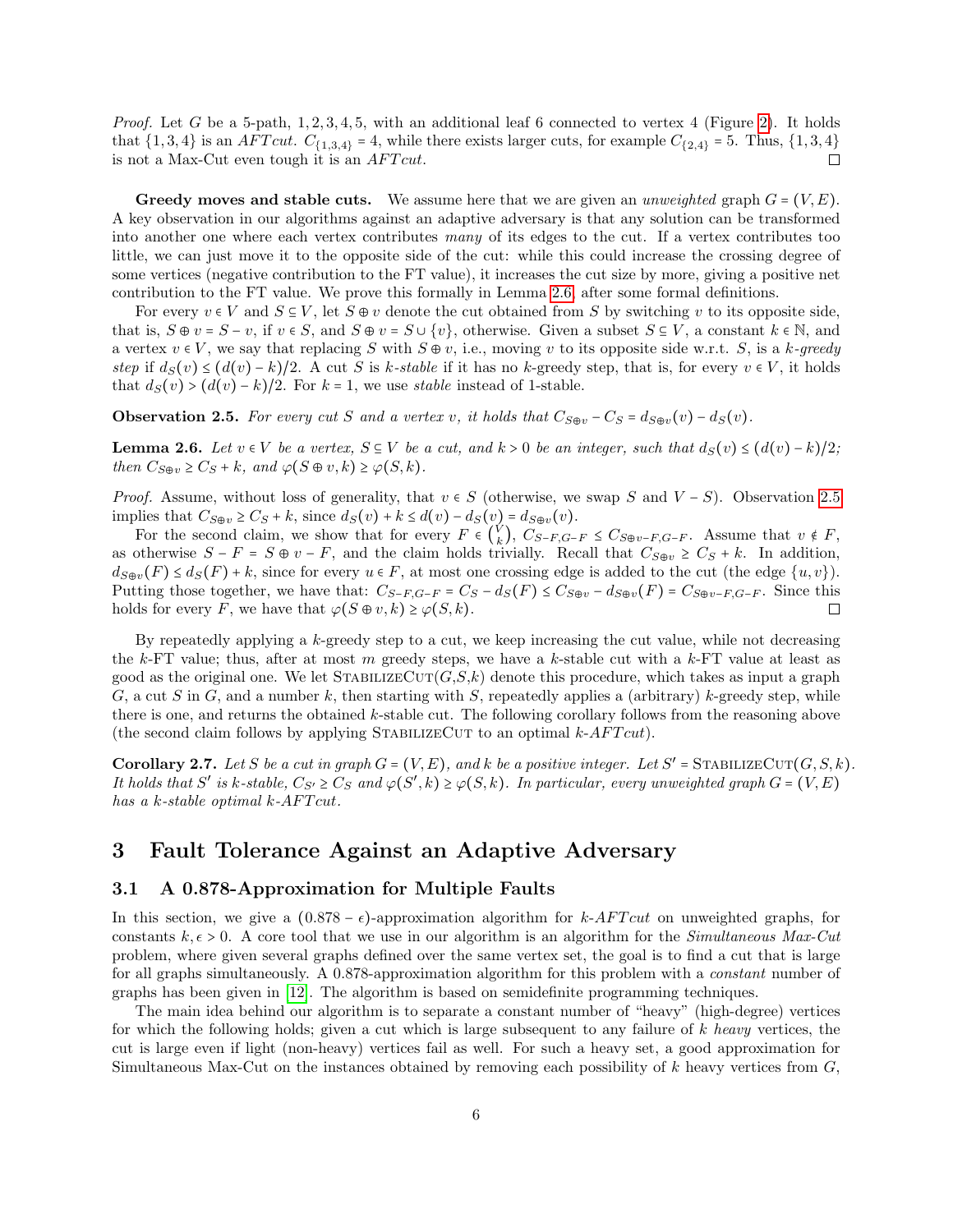*Proof.* Let G be a 5-path,  $1, 2, 3, 4, 5$ , with an additional leaf 6 connected to vertex 4 (Figure [2\)](#page-4-1). It holds that  $\{1,3,4\}$  is an *AFT cut.*  $C_{\{1,3,4\}} = 4$ , while there exists larger cuts, for example  $C_{\{2,4\}} = 5$ . Thus,  $\{1,3,4\}$  is not a Max-Cut even tough it is an *AFT cut*. is not a Max-Cut even tough it is an  $AFTcut$ .

**Greedy moves and stable cuts.** We assume here that we are given an *unweighted* graph  $G = (V, E)$ . A key observation in our algorithms against an adaptive adversary is that any solution can be transformed into another one where each vertex contributes many of its edges to the cut. If a vertex contributes too little, we can just move it to the opposite side of the cut: while this could increase the crossing degree of some vertices (negative contribution to the FT value), it increases the cut size by more, giving a positive net contribution to the FT value. We prove this formally in Lemma [2.6,](#page-5-1) after some formal definitions.

For every  $v \in V$  and  $S \subseteq V$ , let  $S \oplus v$  denote the cut obtained from S by switching v to its opposite side, that is,  $S \oplus v = S - v$ , if  $v \in S$ , and  $S \oplus v = S \cup \{v\}$ , otherwise. Given a subset  $S \subseteq V$ , a constant  $k \in \mathbb{N}$ , and a vertex  $v \in V$ , we say that replacing S with  $S \oplus v$ , i.e., moving v to its opposite side w.r.t. S, is a k-greedy step if  $d_S(v) \leq (d(v) - k)/2$ . A cut S is k-stable if it has no k-greedy step, that is, for every  $v \in V$ , it holds that  $d_S(v) > (d(v) - k)/2$ . For  $k = 1$ , we use stable instead of 1-stable.

<span id="page-5-2"></span>**Observation 2.5.** For every cut S and a vertex v, it holds that  $C_{S\oplus v} - C_S = d_{S\oplus v}(v) - d_S(v)$ .

<span id="page-5-1"></span>**Lemma 2.6.** Let  $v \in V$  be a vertex,  $S \subseteq V$  be a cut, and  $k > 0$  be an integer, such that  $d_S(v) \leq (d(v) - k)/2$ ; then  $C_{S\oplus v} \geq C_S + k$ , and  $\varphi(S \oplus v, k) \geq \varphi(S, k)$ .

*Proof.* Assume, without loss of generality, that  $v \in S$  (otherwise, we swap S and  $V - S$ ). Observation [2.5](#page-5-2) implies that  $C_{S\oplus v} \geq C_S + k$ , since  $d_S(v) + k \leq d(v) - d_S(v) = d_{S\oplus v}(v)$ .<br>For the second claim, we show that for symmetric  $\left(\frac{V}{C}\right)$ ,  $C$ 

For the second claim, we show that for every  $F \in \begin{pmatrix} V \\ W \end{pmatrix}$  $\binom{V}{k}$ ,  $C_{S-F,G-F}$  ≤  $C_{S\oplus v-F,G-F}$ . Assume that  $v \notin F$ , as otherwise  $S - F = S \oplus v - F$ , and the claim holds trivially. Recall that  $C_{S \oplus v} \geq C_S + k$ . In addition,  $d_{S\oplus v}(F) \leq d_S(F) + k$ , since for every  $u \in F$ , at most one crossing edge is added to the cut (the edge  $\{u, v\}$ ). Putting those together, we have that:  $C_{S-F,G-F} = C_S - d_S(F) \leq C_{S\oplus v} - d_{S\oplus v}(F) = C_{S\oplus v-F,G-F}$ . Since this holds for every F, we have that  $\varphi(S \oplus v, k) > \varphi(S, k)$ . holds for every F, we have that  $\varphi(S \oplus v, k) \geq \varphi(S, k)$ .

By repeatedly applying a  $k$ -greedy step to a cut, we keep increasing the cut value, while not decreasing the k-FT value; thus, after at most m greedy steps, we have a k-stable cut with a  $k$ -FT value at least as good as the original one. We let  $STABILITYECT(G, S, k)$  denote this procedure, which takes as input a graph G, a cut S in G, and a number k, then starting with S, repeatedly applies a (arbitrary) k-greedy step, while there is one, and returns the obtained k-stable cut. The following corollary follows from the reasoning above (the second claim follows by applying STABILIZECUT to an optimal  $k$ -AFT $cut$ ).

<span id="page-5-3"></span>**Corollary 2.7.** Let S be a cut in graph  $G = (V, E)$ , and k be a positive integer. Let  $S' = \text{STABILITY } \text{CUT}(G, S, k)$ .<br>It holds that  $S'$  is betable  $G \to G$  and  $G(S'$  b)  $S \times G(S')$ . In particular, survey investigated span  $G = (V, E)$ . It holds that S' is k-stable,  $C_{S'} \geq C_S$  and  $\varphi(S',k) \geq \varphi(S,k)$ . In particular, every unweighted graph  $G = (V, E)$ has a  $k$ -stable optimal  $k$ -AFT cut.

## <span id="page-5-0"></span>3 Fault Tolerance Against an Adaptive Adversary

### 3.1 A 0.878-Approximation for Multiple Faults

In this section, we give a  $(0.878 - \epsilon)$ -approximation algorithm for k-AFT cut on unweighted graphs, for constants  $k, \epsilon > 0$ . A core tool that we use in our algorithm is an algorithm for the Simultaneous Max-Cut problem, where given several graphs defined over the same vertex set, the goal is to find a cut that is large for all graphs simultaneously. A 0.878-approximation algorithm for this problem with a constant number of graphs has been given in [\[12\]](#page-25-6). The algorithm is based on semidefinite programming techniques.

The main idea behind our algorithm is to separate a constant number of "heavy" (high-degree) vertices for which the following holds; given a cut which is large subsequent to any failure of  $k$  heavy vertices, the cut is large even if light (non-heavy) vertices fail as well. For such a heavy set, a good approximation for Simultaneous Max-Cut on the instances obtained by removing each possibility of  $k$  heavy vertices from  $G$ ,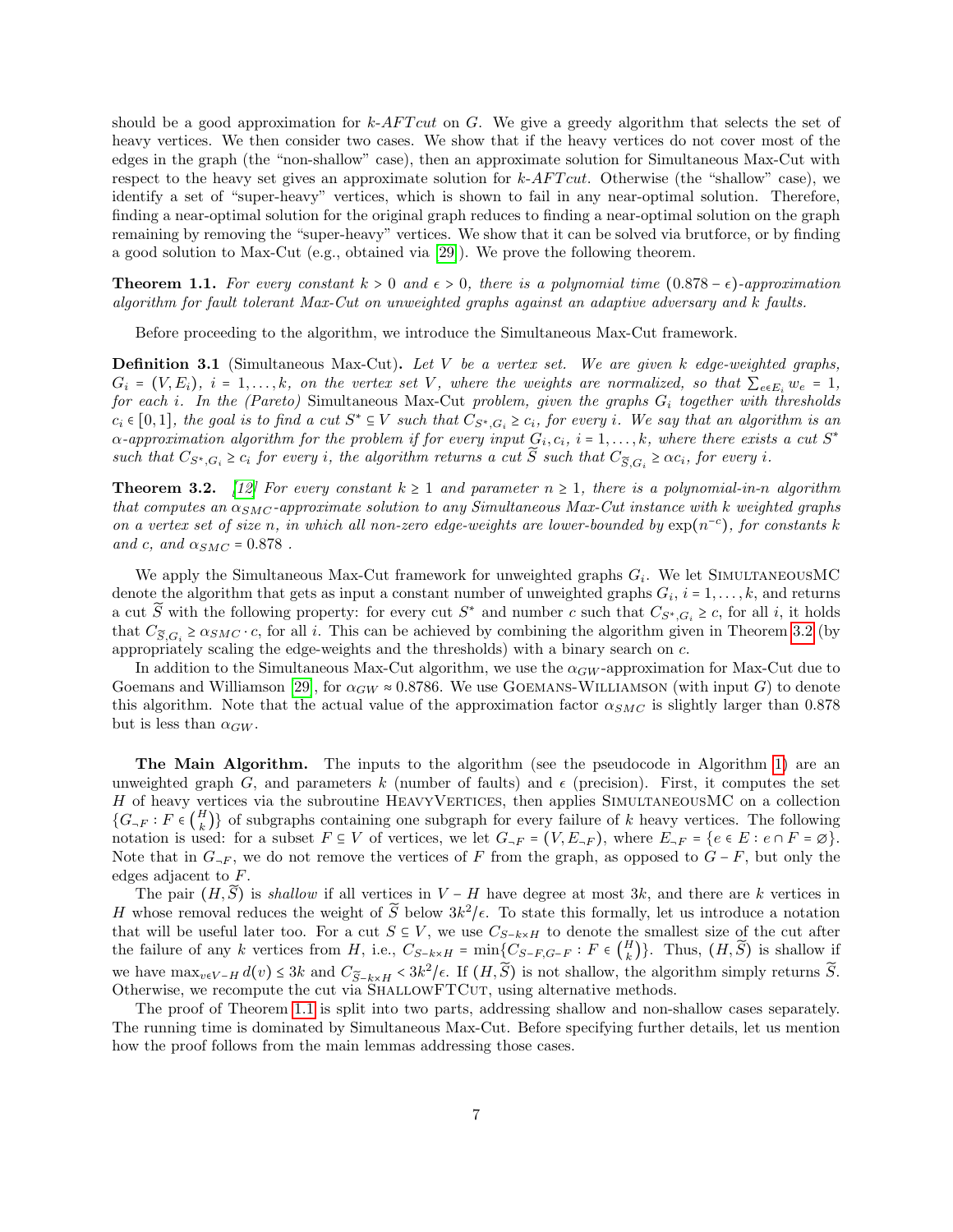should be a good approximation for  $k$ -AFT cut on G. We give a greedy algorithm that selects the set of heavy vertices. We then consider two cases. We show that if the heavy vertices do not cover most of the edges in the graph (the "non-shallow" case), then an approximate solution for Simultaneous Max-Cut with respect to the heavy set gives an approximate solution for  $k$ -AFT cut. Otherwise (the "shallow" case), we identify a set of "super-heavy" vertices, which is shown to fail in any near-optimal solution. Therefore, finding a near-optimal solution for the original graph reduces to finding a near-optimal solution on the graph remaining by removing the "super-heavy" vertices. We show that it can be solved via brutforce, or by finding a good solution to Max-Cut (e.g., obtained via [\[29\]](#page-26-0)). We prove the following theorem.

**Theorem 1.1.** For every constant  $k > 0$  and  $\epsilon > 0$ , there is a polynomial time  $(0.878 - \epsilon)$ -approximation algorithm for fault tolerant Max-Cut on unweighted graphs against an adaptive adversary and k faults.

Before proceeding to the algorithm, we introduce the Simultaneous Max-Cut framework.

**Definition 3.1** (Simultaneous Max-Cut). Let V be a vertex set. We are given k edge-weighted graphs,  $G_i = (V, E_i)$ ,  $i = 1, \ldots, k$ , on the vertex set V, where the weights are normalized, so that  $\sum_{e \in E_i} w_e = 1$ , for each i. In the (Pareto) Simultaneous Max-Cut problem, given the graphs  $G_i$  together with thresholds  $c_i \in [0,1]$ , the goal is to find a cut  $S^* \subseteq V$  such that  $C_{S^*,G_i} \geq c_i$ , for every i. We say that an algorithm is an approximation of the number of the number of  $G^*$  $\alpha$ -approximation algorithm for the problem if for every input  $G_i, c_i, i = 1, \ldots, k$ , where there exists a cut  $S^*$ such that  $C_{S^*,G_i} \ge c_i$  for every i, the algorithm returns a cut  $\tilde{S}$  such that  $C_{\tilde{S},G_i} \ge \alpha c_i$ , for every i.

<span id="page-6-0"></span>**Theorem 3.2.** [\[12\]](#page-25-6) For every constant  $k \ge 1$  and parameter  $n \ge 1$ , there is a polynomial-in-n algorithm that computes an  $\alpha_{SMC}$ -approximate solution to any Simultaneous Max-Cut instance with k weighted graphs on a vertex set of size n, in which all non-zero edge-weights are lower-bounded by  $\exp(n^{-c})$ , for constants k and c, and  $\alpha_{SMC} = 0.878$ .

We apply the Simultaneous Max-Cut framework for unweighted graphs  $G_i$ . We let SIMULTANEOUSMC denote the algorithm that gets as input a constant number of unweighted graphs  $G_i$ ,  $i = 1, \ldots, k$ , and returns a cut  $\widetilde{S}$  with the following property: for every cut  $S^*$  and number c such that  $C_{S^*,G_i} \geq c$ , for all i, it holds that  $C_{\tilde{S},G_i} \ge \alpha_{SMC} \cdot c$ , for all i. This can be achieved by combining the algorithm given in Theorem [3.2](#page-6-0) (by appropriately scaling the edge-weights and the thresholds) with a binary search on c.

In addition to the Simultaneous Max-Cut algorithm, we use the  $\alpha_{GW}$ -approximation for Max-Cut due to Goemans and Williamson [\[29\]](#page-26-0), for  $\alpha_{GW} \approx 0.8786$ . We use GOEMANS-WILLIAMSON (with input G) to denote this algorithm. Note that the actual value of the approximation factor  $\alpha_{SMC}$  is slightly larger than 0.878 but is less than  $\alpha_{GW}$ .

The Main Algorithm. The inputs to the algorithm (see the pseudocode in Algorithm [1\)](#page-7-0) are an unweighted graph G, and parameters k (number of faults) and  $\epsilon$  (precision). First, it computes the set H of heavy vertices via the subroutine HEAVYVERTICES, then applies SIMULTANEOUSMC on a collection  ${G_{\neg F} : F \in {H} \choose k}$  $\binom{H}{k}$  of subgraphs containing one subgraph for every failure of k heavy vertices. The following notation is used: for a subset  $F \subseteq V$  of vertices, we let  $G_{\neg F} = (V, E_{\neg F})$ , where  $E_{\neg F} = \{e \in E : e \cap F = \emptyset\}$ . Note that in  $G_{\neg F}$ , we do not remove the vertices of F from the graph, as opposed to  $G - F$ , but only the edges adjacent to F.

The pair  $(H, \tilde{S})$  is shallow if all vertices in  $V - H$  have degree at most 3k, and there are k vertices in H whose removal reduces the weight of  $\widetilde{S}$  below  $3k^2/\epsilon$ . To state this formally, let us introduce a notation that will be useful later too. For a cut  $S \subseteq V$ , we use  $C_{S-k\times H}$  to denote the smallest size of the cut after the failure of any k vertices from H, i.e.,  $C_{S-k\times H} = \min\{C_{S-F,G-F} : F \in \binom{H}{k}$  $\binom{H}{k}$ . Thus,  $(H, S)$  is shallow if we have  $\max_{v \in V-H} d(v) \leq 3k$  and  $C_{\widetilde{S}-k \times H} < 3k^2/\epsilon$ . If  $(H, \widetilde{S})$  is not shallow, the algorithm simply returns  $\widetilde{S}$ . Otherwise, we recompute the cut via SHALLOWFTCUT, using alternative methods.

The proof of Theorem [1.1](#page-1-0) is split into two parts, addressing shallow and non-shallow cases separately. The running time is dominated by Simultaneous Max-Cut. Before specifying further details, let us mention how the proof follows from the main lemmas addressing those cases.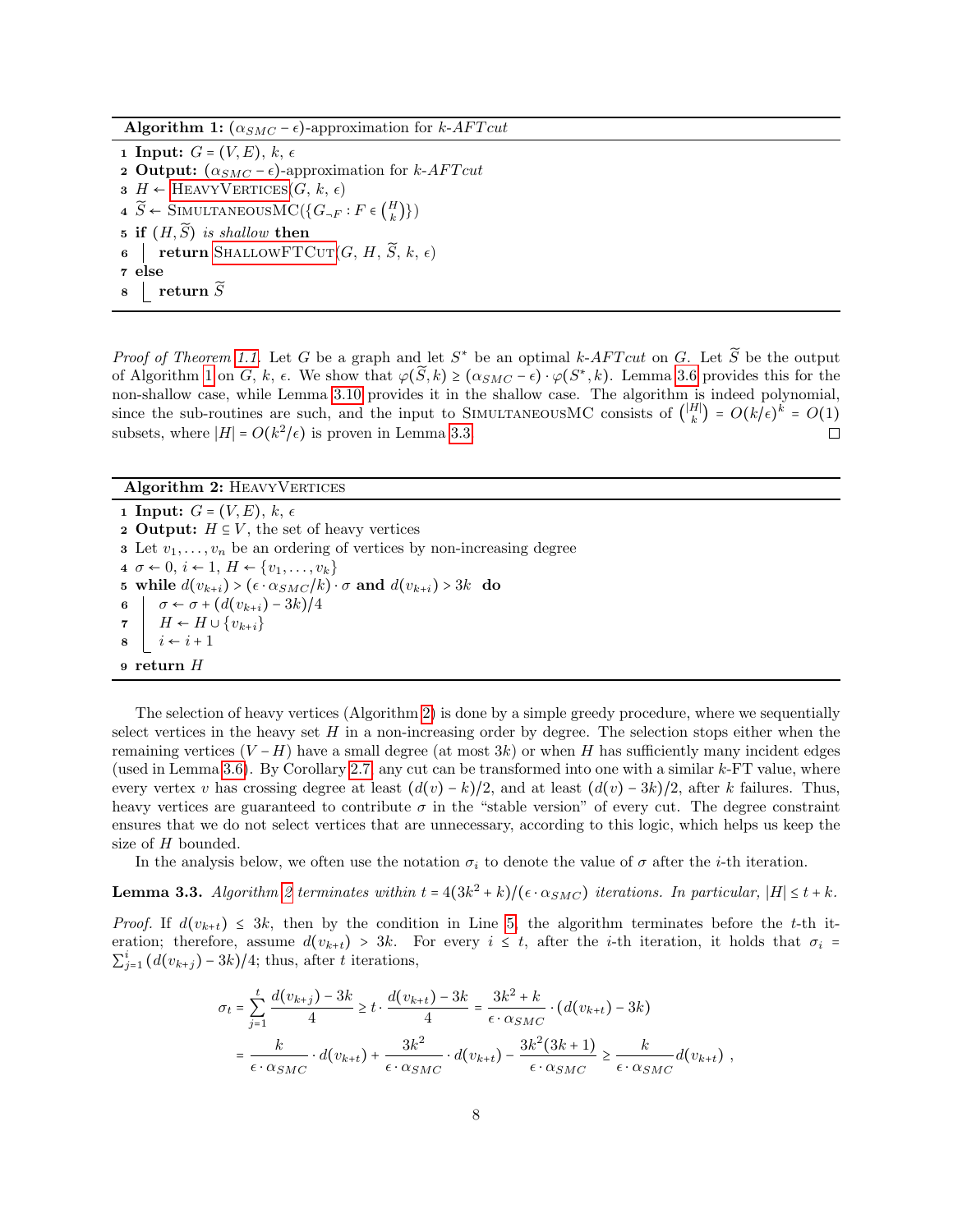**Algorithm 1:**  $(\alpha_{SMC} - \epsilon)$ -approximation for k-AFT cut

<span id="page-7-0"></span>1 Input:  $G = (V, E), k, \epsilon$ **2 Output:**  $(\alpha_{SMC} - \epsilon)$ -approximation for k-AFT cut  $\mathbf{3}$  H ← HEAVYVERTICES $(G, k, \epsilon)$ 4  $\widetilde{S}$  ← SIMULTANEOUSMC({ $G_{\neg F}$ :  $F \in \begin{pmatrix} H \\ k \end{pmatrix}$  $_{k}^{H}$  $)\})$ 5 if  $(H, \widetilde{S})$  is shallow then<br>6 contract return SHALLOWFTG **figure SHALLOWFTCUT** $(G, H, \widetilde{S}, k, \epsilon)$ 7 else  $\mathbf{s}$  return  $\widetilde{S}$ 

*Proof of Theorem [1.1.](#page-1-0)* Let G be a graph and let  $S^*$  be an optimal k-AFT cut on G. Let  $\widetilde{S}$  be the output of Algorithm [1](#page-7-0) on G, k,  $\epsilon$ . We show that  $\varphi(\tilde{S}, k) \ge (\alpha_{SMC} - \epsilon) \cdot \varphi(S^*, k)$ . Lemma [3.6](#page-8-0) provides this for the non-shallow case, while Lemma [3.10](#page-10-1) provides it in the shallow case. The algorithm is indeed polynomial, since the sub-routines are such, and the input to SIMULTANEOUSMC consists of  $\binom{|H|}{k} = O(k/\epsilon)^k = O(1)$ subsets, where  $|H| = O(k^2/\epsilon)$  is proven in Lemma [3.3.](#page-7-2)

#### Algorithm 2: HEAVYVERTICES

<span id="page-7-3"></span><span id="page-7-1"></span>1 Input:  $G = (V, E), k, \epsilon$ 2 Output:  $H \subseteq V$ , the set of heavy vertices **3** Let  $v_1, \ldots, v_n$  be an ordering of vertices by non-increasing degree  $4 \sigma \leftarrow 0, i \leftarrow 1, H \leftarrow \{v_1, \ldots, v_k\}$ 5 while  $d(v_{k+i}) > (\epsilon \cdot \alpha_{SMC}/k) \cdot \sigma$  and  $d(v_{k+i}) > 3k$  do 6  $\sigma \leftarrow \sigma + (d(v_{k+i}) - 3k)/4$ <br>  $H \leftarrow H \cup \{v_{k+i}\}$  $\begin{array}{c}\n\mathbf{7} \\
\mathbf{8}\n\end{array} \n\begin{array}{c}\nH \leftarrow H \cup \{v_{k+i}\} \\
i \leftarrow i+1\n\end{array}$  $i \leftarrow i + 1$ 9 return H

The selection of heavy vertices (Algorithm [2\)](#page-7-1) is done by a simple greedy procedure, where we sequentially select vertices in the heavy set  $H$  in a non-increasing order by degree. The selection stops either when the remaining vertices  $(V - H)$  have a small degree (at most 3k) or when H has sufficiently many incident edges (used in Lemma [3.6\)](#page-8-0). By Corollary [2.7,](#page-5-3) any cut can be transformed into one with a similar  $k$ -FT value, where every vertex v has crossing degree at least  $(d(v) - k)/2$ , and at least  $(d(v) - 3k)/2$ , after k failures. Thus, heavy vertices are guaranteed to contribute  $\sigma$  in the "stable version" of every cut. The degree constraint ensures that we do not select vertices that are unnecessary, according to this logic, which helps us keep the size of H bounded.

In the analysis below, we often use the notation  $\sigma_i$  to denote the value of  $\sigma$  after the *i*-th iteration.

<span id="page-7-2"></span>**Lemma 3.3.** Algorithm [2](#page-7-1) terminates within  $t = 4(3k^2 + k)/(\epsilon \cdot \alpha_{SMC})$  iterations. In particular,  $|H| \le t + k$ .

*Proof.* If  $d(v_{k+t}) \leq 3k$ , then by the condition in Line [5,](#page-7-3) the algorithm terminates before the t-th iteration; therefore, assume  $d(v_{k+t}) > 3k$ . For every  $i \leq t$ , after the *i*-th iteration, it holds that  $\sigma_i$  $\sum_{j=1}^{i} (d(v_{k+j}) - 3k)/4$ ; thus, after t iterations,

$$
\sigma_t = \sum_{j=1}^t \frac{d(v_{k+j}) - 3k}{4} \ge t \cdot \frac{d(v_{k+t}) - 3k}{4} = \frac{3k^2 + k}{\epsilon \cdot \alpha_{SMC}} \cdot (d(v_{k+t}) - 3k)
$$

$$
= \frac{k}{\epsilon \cdot \alpha_{SMC}} \cdot d(v_{k+t}) + \frac{3k^2}{\epsilon \cdot \alpha_{SMC}} \cdot d(v_{k+t}) - \frac{3k^2(3k+1)}{\epsilon \cdot \alpha_{SMC}} \ge \frac{k}{\epsilon \cdot \alpha_{SMC}} d(v_{k+t}),
$$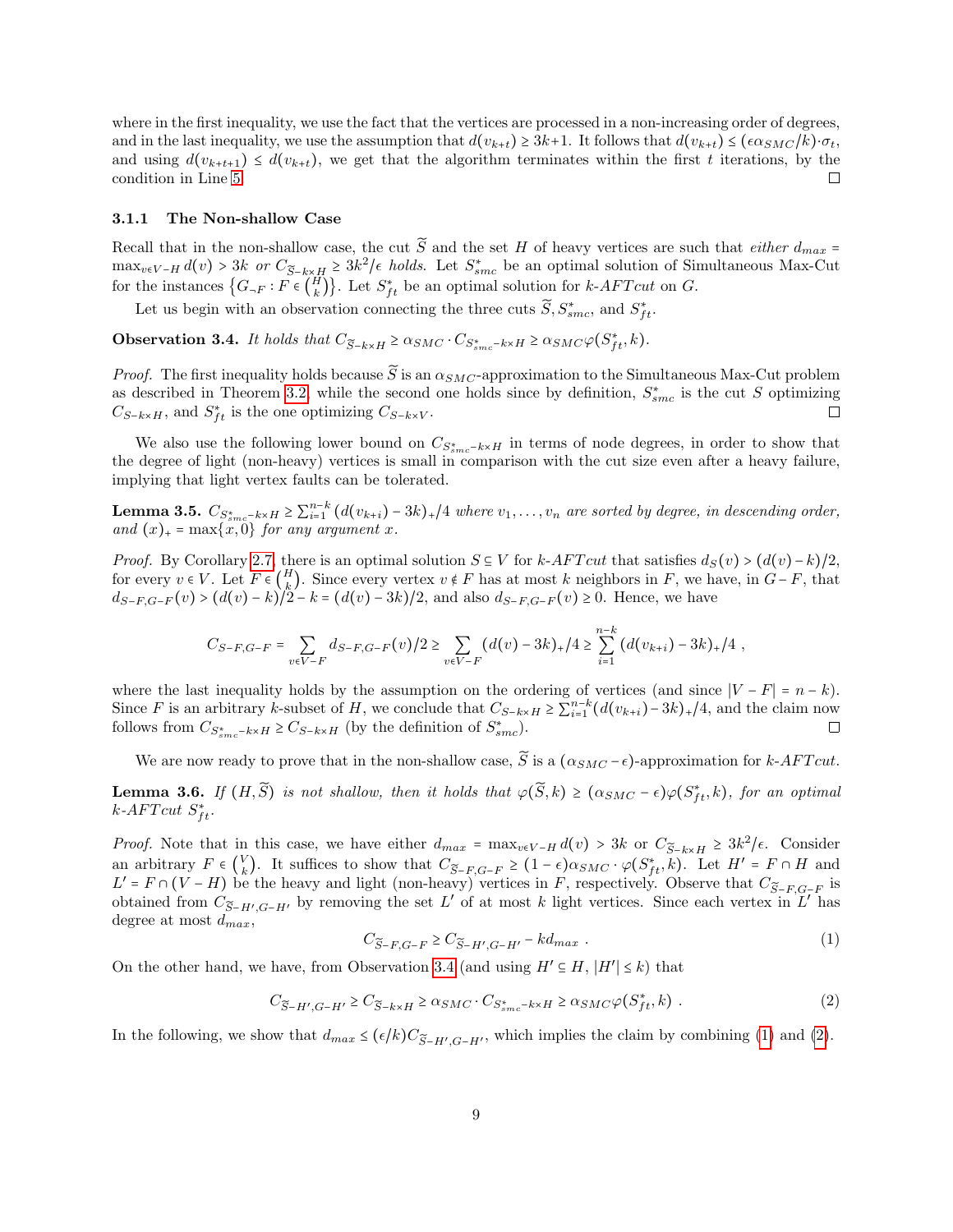where in the first inequality, we use the fact that the vertices are processed in a non-increasing order of degrees, and in the last inequality, we use the assumption that  $d(v_{k+t}) \geq 3k+1$ . It follows that  $d(v_{k+t}) \leq (\epsilon \alpha_{SMC}/k) \cdot \sigma_t$ , and using  $d(v_{k+t+1}) \leq d(v_{k+t})$ , we get that the algorithm terminates within the first t iterations, by the condition in Line 5. condition in Line [5.](#page-7-3)

#### 3.1.1 The Non-shallow Case

Recall that in the non-shallow case, the cut  $\widetilde{S}$  and the set H of heavy vertices are such that *either*  $d_{max}$  =  $\max_{v \in V-H} d(v) > 3k$  or  $C_{\widetilde{S}-k \times H} \geq 3k^2/\epsilon$  holds. Let  $S_{smc}^*$  be an optimal solution of Simultaneous Max-Cut for the instances  $\{G_{\neg F} : F \in \binom{H}{k}\}$  $\{H_k\}$ . Let  $S_{ft}^*$  be an optimal solution for  $k$ -AFT cut on G.

Let us begin with an observation connecting the three cuts  $\widetilde{S}, S_{smc}^*$ , and  $S_{ft}^*$ .

<span id="page-8-1"></span>**Observation 3.4.** It holds that  $C_{\widetilde{S}-k\times H} \ge \alpha_{SMC} \cdot C_{S_{smc}^* - k \times H} \ge \alpha_{SMC} \varphi(S_{ft}^*, k)$ .

*Proof.* The first inequality holds because  $\tilde{S}$  is an  $\alpha_{SMC}$ -approximation to the Simultaneous Max-Cut problem as described in Theorem [3.2,](#page-6-0) while the second one holds since by definition,  $S_{smc}^*$  is the cut S optimizing  $C_{S-k\times H}$ , and  $S_{ft}^{*}$  is the one optimizing  $C_{S-k\times V}$ .  $\Box$ 

We also use the following lower bound on  $C_{S_{smc}^*-k\times H}$  in terms of node degrees, in order to show that the degree of light (non-heavy) vertices is small in comparison with the cut size even after a heavy failure, implying that light vertex faults can be tolerated.

<span id="page-8-4"></span>Lemma 3.5.  $C_{S_{smc}-k\times H} \ge \sum_{i=1}^{n-k}$  $\int_{i=1}^{n-k} (d(v_{k+i}) - 3k)_{+}/4$  where  $v_1, \ldots, v_n$  are sorted by degree, in descending order, and  $(x)_+$  =  $\max\{x,0\}$  for any argument x.

*Proof.* By Corollary [2.7,](#page-5-3) there is an optimal solution  $S \subseteq V$  for  $k$ -AFT cut that satisfies  $d_S(v) > (d(v)-k)/2$ , for every  $v \in V$ . Let  $F \in \binom{H}{k}$ <sup>H</sup>, Since every vertex  $v \notin F$  has at most k neighbors in F, we have, in  $G-F$ , that  $d_{S-F,G-F}(v) > (d(v) - k)/2 - k = (d(v) - 3k)/2$ , and also  $d_{S-F,G-F}(v) \ge 0$ . Hence, we have

$$
C_{S-F,G-F} = \sum_{v \in V-F} d_{S-F,G-F}(v)/2 \ge \sum_{v \in V-F} (d(v)-3k)_+/4 \ge \sum_{i=1}^{n-k} (d(v_{k+i})-3k)_+/4,
$$

where the last inequality holds by the assumption on the ordering of vertices (and since  $|V - F| = n - k$ ). Since F is an arbitrary k-subset of H, we conclude that  $C_{S-k\times H} \ge \sum_{i=1}^{n-k}$  $\int_{i=1}^{n-k} (d(v_{k+i}) - 3k)_{+}/4$ , and the claim now follows from  $C_{S_{smc}^* - k \times H} \geq C_{S-k \times H}$  (by the definition of  $S_{smc}^*$ ).

We are now ready to prove that in the non-shallow case,  $\widetilde{S}$  is a  $(\alpha_{SMC} - \epsilon)$ -approximation for k-AFT cut.

<span id="page-8-0"></span>**Lemma 3.6.** If  $(H, \widetilde{S})$  is not shallow, then it holds that  $\varphi(\widetilde{S}, k) \ge (\alpha_{SMC} - \epsilon) \varphi(S_{ft}^*, k)$ , for an optimal  $k_A F T_{SM}$  or  $k$ -AFT cut  $S_{ft}^*$ .

Proof. Note that in this case, we have either  $d_{max} = \max_{v \in V-H} d(v) > 3k$  or  $C_{\widetilde{S}-k \times H} \geq 3k^2/\epsilon$ . Consider an arbitrary  $F \in \begin{pmatrix} V \\ k \end{pmatrix}$ <sup>V</sup><sub>k</sub>). It suffices to show that  $C_{\widetilde{S}-F,G-F} \geq (1-\epsilon)\alpha_{SMC} \cdot \varphi(S_{ft}^*,k)$ . Let  $H' = F \cap H$  and  $L' = F \cap (V - H)$  be the heavy and light (non-heavy) vertices in F, respectively. Observe that  $C_{\widetilde{S}-F,G-F}$  is obtained from  $C_{\tilde{S}-H',G-H'}$  by removing the set L' of at most k light vertices. Since each vertex in L' has degree at most  $d_{max}$ ,

<span id="page-8-2"></span>
$$
C_{\widetilde{S}-F,G-F} \ge C_{\widetilde{S}-H',G-H'} - k d_{max} \tag{1}
$$

On the other hand, we have, from Observation [3.4](#page-8-1) (and using  $H' \subseteq H$ ,  $|H'| \leq k$ ) that

<span id="page-8-3"></span>
$$
C_{\widetilde{S}-H',G-H'} \geq C_{\widetilde{S}-k\times H} \geq \alpha_{SMC} \cdot C_{S_{smc}^* - k\times H} \geq \alpha_{SMC} \varphi(S_{ft}^*, k) \tag{2}
$$

In the following, we show that  $d_{max} \leq (\epsilon/k)C_{\widetilde{S}-H',G-H'}$ , which implies the claim by combining [\(1\)](#page-8-2) and [\(2\)](#page-8-3).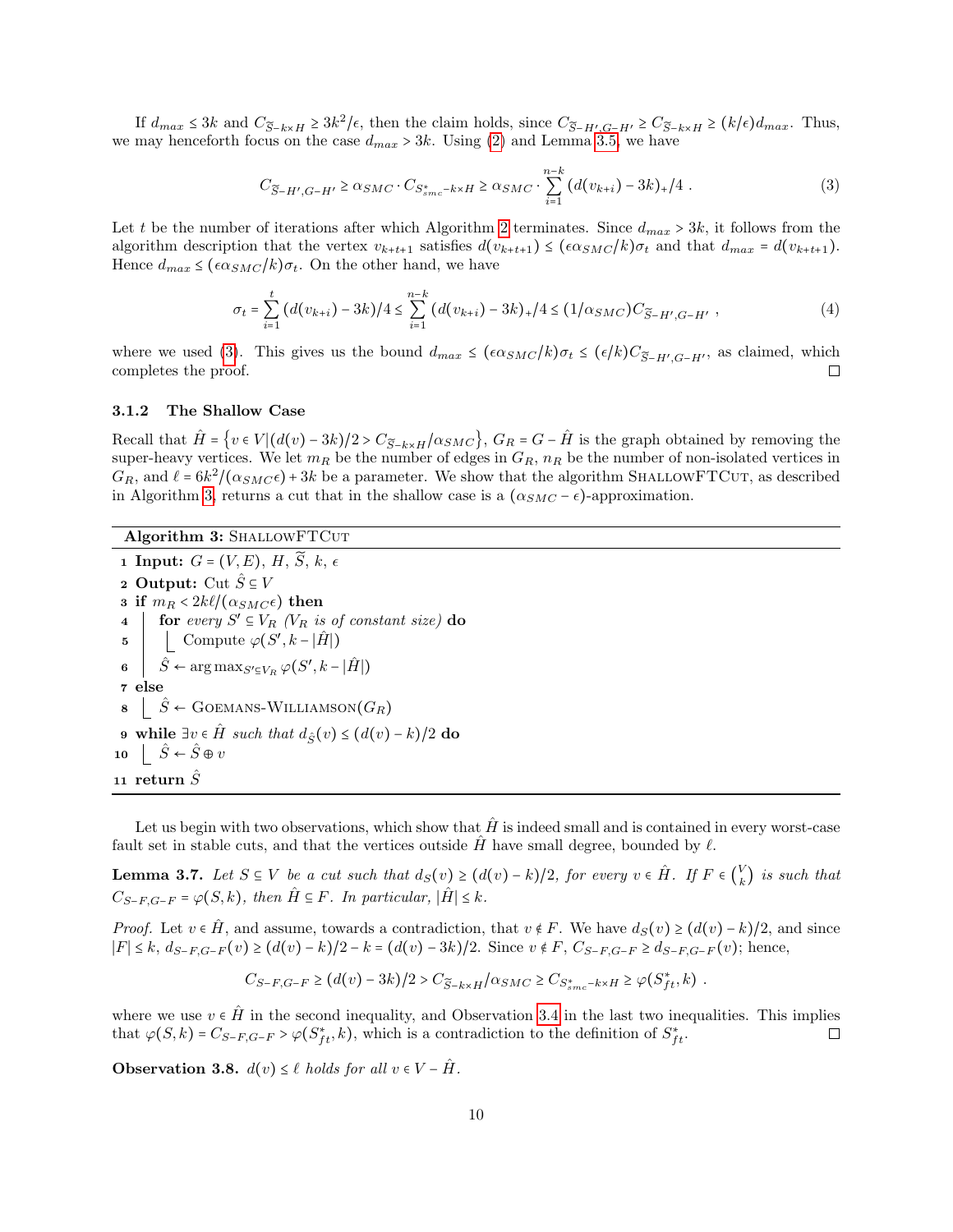If  $d_{max} \leq 3k$  and  $C_{\widetilde{S}-k\times H} \geq 3k^2/\epsilon$ , then the claim holds, since  $C_{\widetilde{S}-H',G-H'} \geq C_{\widetilde{S}-k\times H} \geq (k/\epsilon)d_{max}$ . Thus, we may henceforth focus on the case  $d_{max} > 3k$ . Using [\(2\)](#page-8-3) and Lemma [3.5,](#page-8-4) we have

<span id="page-9-1"></span>
$$
C_{\widetilde{S}-H',G-H'} \ge \alpha_{SMC} \cdot C_{S_{smc}^{*}-k \times H} \ge \alpha_{SMC} \cdot \sum_{i=1}^{n-k} \left( d(v_{k+i}) - 3k \right)_{+}/4 \tag{3}
$$

Let t be the number of iterations after which Algorithm [2](#page-7-1) terminates. Since  $d_{max} > 3k$ , it follows from the algorithm description that the vertex  $v_{k+t+1}$  satisfies  $d(v_{k+t+1}) \leq (\epsilon \alpha_{SMC}/k) \sigma_t$  and that  $d_{max} = d(v_{k+t+1})$ . Hence  $d_{max} \leq (\epsilon \alpha_{SMC}/k) \sigma_t$ . On the other hand, we have

$$
\sigma_t = \sum_{i=1}^t (d(v_{k+i}) - 3k)/4 \le \sum_{i=1}^{n-k} (d(v_{k+i}) - 3k)_+ / 4 \le (1/\alpha_{SMC})C_{\widetilde{S}-H',G-H'} ,\qquad (4)
$$

where we used [\(3\)](#page-9-1). This gives us the bound  $d_{max} \leq (\epsilon \alpha_{SMC}/k) \sigma_t \leq (\epsilon/k) C_{\widetilde{S}-H',G-H'}$ , as claimed, which completes the proof. □

#### 3.1.2 The Shallow Case

Recall that  $\hat{H} = \{v \in V | (d(v) - 3k)/2 > C_{\tilde{S}-k \times H}/\alpha_{SMC}\}, G_R = G - \hat{H}$  is the graph obtained by removing the super-heavy vertices. We let  $m_R$  be the number of edges in  $G_R$ ,  $n_R$  be the number of non-isolated vertices in  $G_R$ , and  $\ell = 6k^2/(\alpha_{SMC}\epsilon) + 3k$  be a parameter. We show that the algorithm SHALLOWFTCUT, as described in Algorithm [3,](#page-9-0) returns a cut that in the shallow case is a  $(\alpha_{SMC} - \epsilon)$ -approximation.

#### Algorithm 3: SHALLOWFTCUT

<span id="page-9-0"></span>1 Input:  $G = (V, E), H, \widetilde{S}, k, \epsilon$ 2 Output: Cut  $\hat{S} \subseteq V$ 3 if  $m_R < 2k\ell/(\alpha_{SMC}\epsilon)$  then<br>4 | for every  $S' \subseteq V_P$  ( $V_P$  is 4 for every  $S' \subseteq V_R$  ( $V_R$  is of constant size) do 5 Compute  $\varphi(S', k-|\hat{H}|)$ 6  $\hat{S} \leftarrow \arg \max_{S' \subseteq V_R} \varphi(S', k - |\hat{H}|)$ 7 else  $\hat{s}$   $\hat{S}$  ← GOEMANS-WILLIAMSON $(G_R)$ 9 while ∃v ∈  $\hat{H}$  such that  $d_{\hat{S}}(v) \leq (d(v) - k)/2$  do 10  $\hat{S} \leftarrow \hat{S} \oplus v$ 11 return  $\tilde{S}$ 

Let us begin with two observations, which show that  $\hat{H}$  is indeed small and is contained in every worst-case fault set in stable cuts, and that the vertices outside  $\hat{H}$  have small degree, bounded by  $\ell$ .

<span id="page-9-3"></span>**Lemma 3.7.** Let  $S \subseteq V$  be a cut such that  $d_S(v) \geq (d(v) - k)/2$ , for every  $v \in \hat{H}$ . If  $F \in \binom{V}{k}$  $\binom{V}{k}$  is such that  $C_{S-F,G-F} = \varphi(S,k)$ , then  $\hat{H} \subseteq F$ . In particular,  $|\hat{H}| \leq k$ .

*Proof.* Let  $v \in \hat{H}$ , and assume, towards a contradiction, that  $v \notin F$ . We have  $d_S(v) \geq (d(v) - k)/2$ , and since  $|F|$  ≤ k,  $d_{S-F,G-F}(v)$  ≥  $(d(v)-k)/2 - k = (d(v)-3k)/2$ . Since  $v \notin F$ ,  $C_{S-F,G-F}$  ≥  $d_{S-F,G-F}(v)$ ; hence,

$$
C_{S-F,G-F} \geq \big(d(v)-3k\big)/2 > C_{\widetilde{S}-k\times H}/\alpha_{SMC} \geq C_{S_{smc}^* - k\times H} \geq \varphi\big(S_{ft}^*,k\big) \ .
$$

where we use  $v \in \hat{H}$  in the second inequality, and Observation [3.4](#page-8-1) in the last two inequalities. This implies that  $\varphi(S, k) = C_{S-FC-E} > \varphi(S^*, k)$ , which is a contradiction to the definition of  $S^*, \Box$ that  $\varphi(S,k) = C_{S-F,G-F} > \varphi(S_{ft}^*,k)$ , which is a contradiction to the definition of  $S_{ft}^*$ .

<span id="page-9-2"></span>**Observation 3.8.**  $d(v) \leq \ell$  holds for all  $v \in V - \hat{H}$ .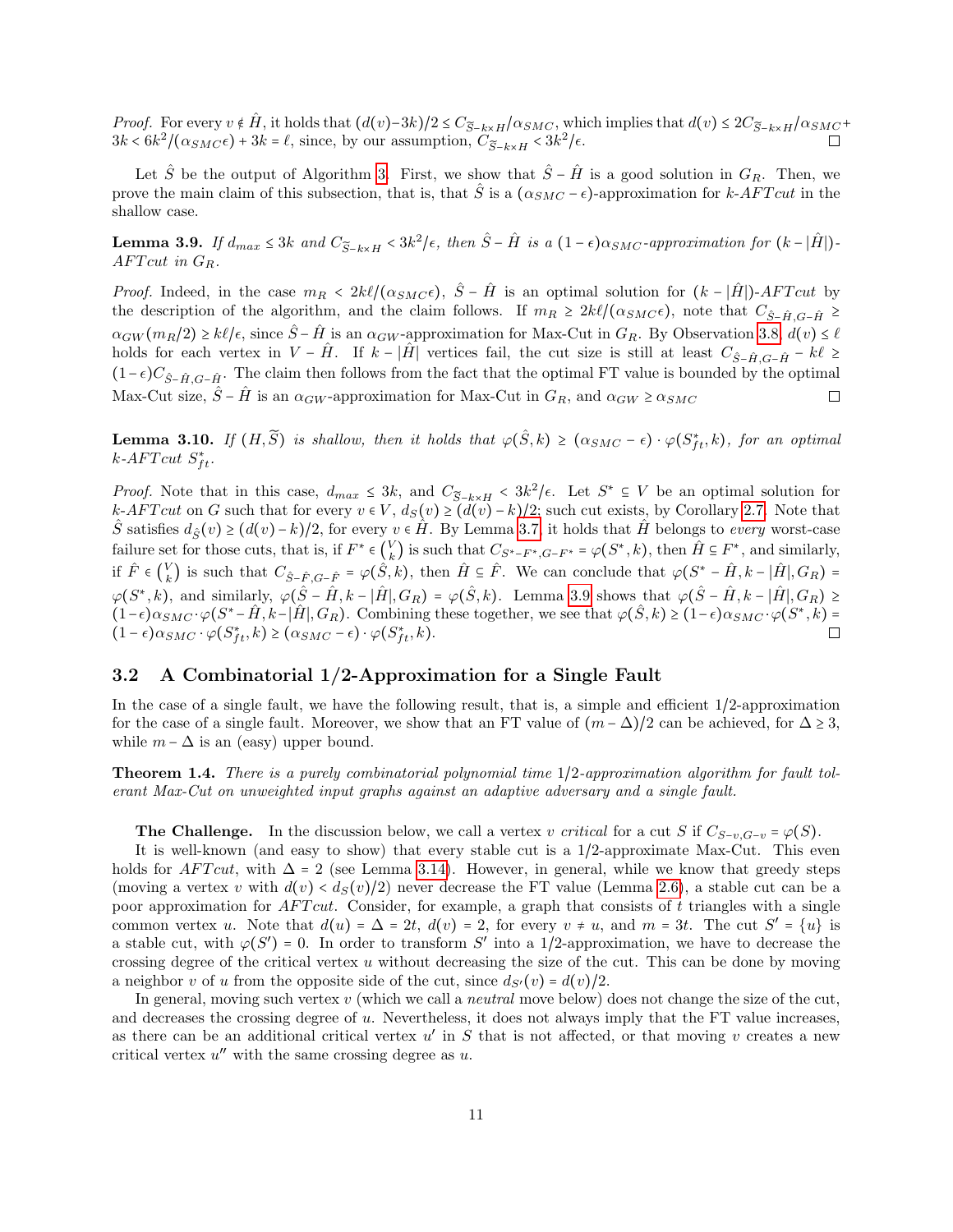Proof. For every  $v \notin \hat{H}$ , it holds that  $(d(v)-3k)/2 \leq C_{\tilde{S}-k\times H}/\alpha_{SMC}$ , which implies that  $d(v) \leq 2C_{\tilde{S}-k\times H}/\alpha_{SMC} + 3k \leq \beta k^2/(\alpha_{SMC} + 3k) = \ell$ , since, by our assumption,  $C_{\tilde{S}-k\times H} \leq 3k^2/\epsilon$ .  $3k < 6k^2/(\alpha_{SMC}\epsilon) + 3k = \ell$ , since, by our assumption,  $C_{\widetilde{S}-k\times H}$  <  $3k^2/\epsilon$ .

Let  $\hat{S}$  be the output of Algorithm [3.](#page-9-0) First, we show that  $\hat{S} - \hat{H}$  is a good solution in  $G_R$ . Then, we prove the main claim of this subsection, that is, that  $\hat{S}$  is a  $(\alpha_{SMC} - \epsilon)$ -approximation for k-AFT cut in the shallow case.

<span id="page-10-2"></span>**Lemma 3.9.** If  $d_{max} \leq 3k$  and  $C_{\widetilde{S}-k\times H} < 3k^2/\epsilon$ , then  $\hat{S}-\hat{H}$  is a  $(1-\epsilon)\alpha_{SMC}$ -approximation for  $(k-|\hat{H}|)$ -<br>A  $EText$  is  $C$  $AFTcut$  in  $G_R$ .

*Proof.* Indeed, in the case  $m_R < 2k\ell/(\alpha_{SMC}\epsilon)$ ,  $\hat{S} - \hat{H}$  is an optimal solution for  $(k - |\hat{H}|)$ -AFT cut by the description of the algorithm, and the claim follows. If  $m_R \geq 2k\ell/(\alpha_{SMC}\epsilon)$ , note that  $C_{\hat{S}-\hat{H},G-\hat{H}} \geq$  $\alpha_{GW}(m_R/2) \ge k\ell/\epsilon$ , since  $\hat{S}-\hat{H}$  is an  $\alpha_{GW}$ -approximation for Max-Cut in  $G_R$ . By Observation [3.8,](#page-9-2)  $d(v) \le \ell$ holds for each vertex in  $V - \hat{H}$ . If  $k - |\hat{H}|$  vertices fail, the cut size is still at least  $C_{\hat{S}-\hat{H},G-\hat{H}} - k\ell \ge$  $(1-\epsilon)C_{\hat{S}-\hat{H},G-\hat{H}}$ . The claim then follows from the fact that the optimal FT value is bounded by the optimal Max-Cut size,  $\hat{S} - \hat{H}$  is an  $\alpha_{GW}$ -approximation for Max-Cut in  $G_R$ , and  $\alpha_{GW} \ge \alpha_{SMC}$  $\Box$ 

<span id="page-10-1"></span>**Lemma 3.10.** If  $(H, \widetilde{S})$  is shallow, then it holds that  $\varphi(\widehat{S}, k) \ge (\alpha_{SMC} - \epsilon) \cdot \varphi(S_{ft}^*, k)$ , for an optimal  $k \in \mathbb{R}$ .  $k$ -AFT cut  $S_{ft}^*$ .

Proof. Note that in this case,  $d_{max} \leq 3k$ , and  $C_{\widetilde{S}-k\times H} < 3k^2/\epsilon$ . Let  $S^* \subseteq V$  be an optimal solution for k-AFT cut on G such that for every  $v \in V$ ,  $d_S(v) \geq (d(v) - k)/2$ ; such cut exists, by Corollary [2.7.](#page-5-3) Note that S satisfies  $d_{\hat{S}}(v) \geq (d(v) - k)/2$ , for every  $v \in \hat{H}$ . By Lemma [3.7,](#page-9-3) it holds that  $\hat{H}$  belongs to every worst-case failure set for those cuts, that is, if  $F^* \in V_k$  $\mathcal{L}_{k}^{V}$ ) is such that  $C_{S^*-F^*}, G-F^* = \varphi(S^*, k)$ , then  $\hat{H} \subseteq F^*$ , and similarly, if  $\hat{F} \in \begin{pmatrix} V \\ k \end{pmatrix}$  $\hat{H}_k$  is such that  $C_{\hat{S}-\hat{F},G-\hat{F}} = \varphi(\hat{S},k)$ , then  $\hat{H} \subseteq \hat{F}$ . We can conclude that  $\varphi(S^* - \hat{H}, k - |\hat{H}|, G_R) =$  $\varphi(S^*,k)$ , and similarly,  $\varphi(\hat{S} - \hat{H}, k - |\hat{H}|, G_R) = \varphi(\hat{S}, k)$ . Lemma [3.9](#page-10-2) shows that  $\varphi(\hat{S} - \hat{H}, k - |\hat{H}|, G_R) \ge$  $(1-\epsilon)\alpha_{SMC} \cdot \varphi(S^* - \hat{H}, k - |\hat{H}|, G_R)$ . Combining these together, we see that  $\varphi(\hat{S}, k) \ge (1-\epsilon)\alpha_{SMC} \cdot \varphi(S^*, k) = (1-\epsilon)\alpha_{SMC} \cdot \varphi(S^*, k)$  $(1 - \epsilon)\alpha_{SMC} \cdot \varphi(S_{ft}^*, k) \ge (\alpha_{SMC} - \epsilon) \cdot \varphi(S_{ft}^*, k).$ 

### <span id="page-10-0"></span>3.2 A Combinatorial 1/2-Approximation for a Single Fault

In the case of a single fault, we have the following result, that is, a simple and efficient 1/2-approximation for the case of a single fault. Moreover, we show that an FT value of  $(m - \Delta)/2$  can be achieved, for  $\Delta \ge 3$ , while  $m - \Delta$  is an (easy) upper bound.

Theorem 1.4. There is a purely combinatorial polynomial time 1/2-approximation algorithm for fault tolerant Max-Cut on unweighted input graphs against an adaptive adversary and a single fault.

**The Challenge.** In the discussion below, we call a vertex v critical for a cut S if  $C_{S-n}, G_{-n} = \varphi(S)$ .

It is well-known (and easy to show) that every stable cut is a 1/2-approximate Max-Cut. This even holds for AFT cut, with  $\Delta = 2$  (see Lemma [3.14\)](#page-13-0). However, in general, while we know that greedy steps (moving a vertex v with  $d(v) < d<sub>S</sub>(v)/2$ ) never decrease the FT value (Lemma [2.6\)](#page-5-1), a stable cut can be a poor approximation for  $AFTcut$ . Consider, for example, a graph that consists of t triangles with a single common vertex u. Note that  $d(u) = \Delta = 2t$ ,  $d(v) = 2$ , for every  $v \neq u$ , and  $m = 3t$ . The cut  $S' = \{u\}$  is a stable cut, with  $\varphi(S') = 0$ . In order to transform S' into a 1/2-approximation, we have to decrease the crossing degree of the critical vertex u without decreasing the size of the cut. This can be done by moving a neighbor v of u from the opposite side of the cut, since  $d_{S'}(v) = d(v)/2$ .

In general, moving such vertex  $v$  (which we call a *neutral* move below) does not change the size of the cut, and decreases the crossing degree of u. Nevertheless, it does not always imply that the FT value increases, as there can be an additional critical vertex  $u'$  in  $S$  that is not affected, or that moving v creates a new critical vertex  $u''$  with the same crossing degree as  $u$ .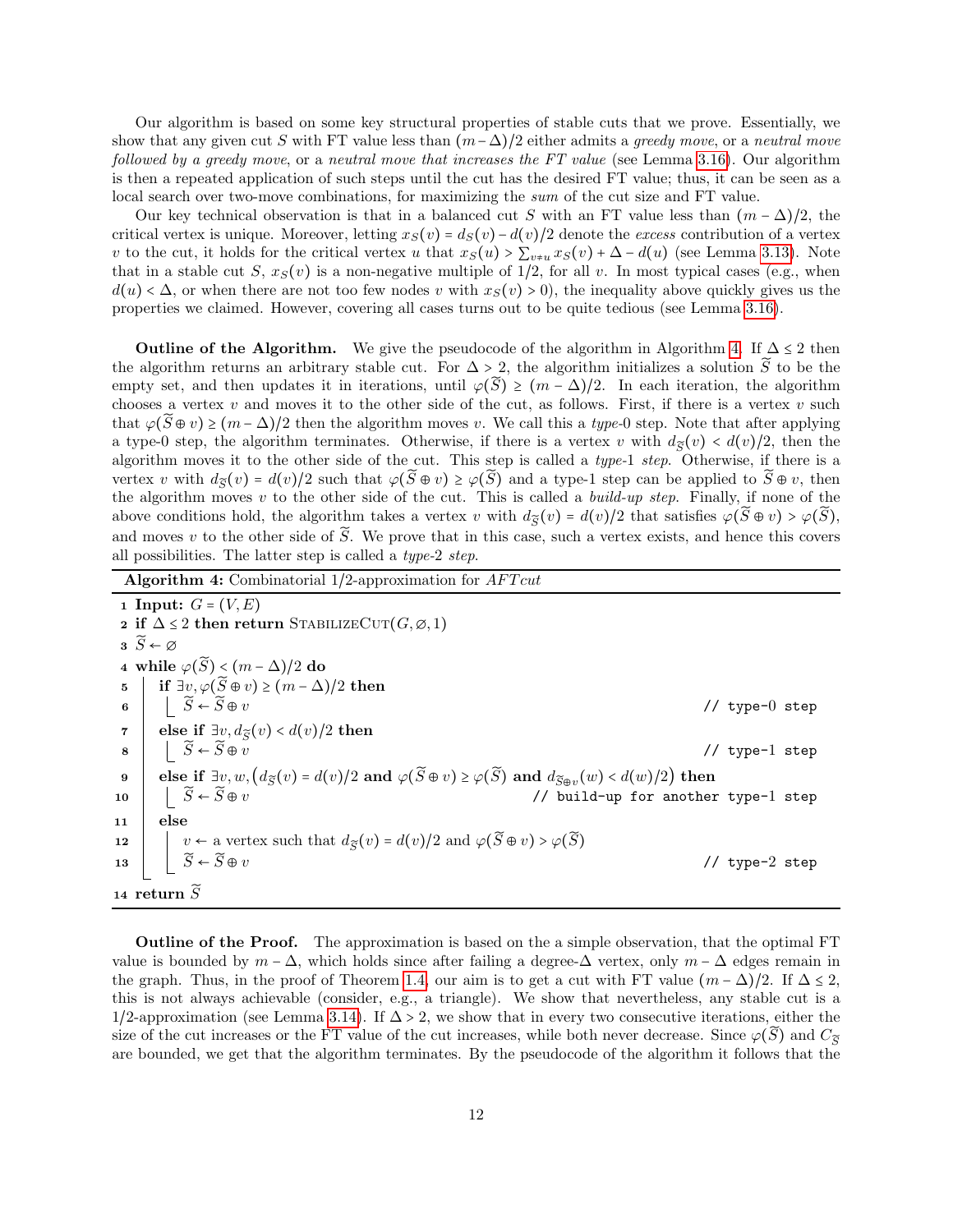Our algorithm is based on some key structural properties of stable cuts that we prove. Essentially, we show that any given cut S with FT value less than  $(m-\Delta)/2$  either admits a greedy move, or a neutral move followed by a greedy move, or a neutral move that increases the FT value (see Lemma [3.16\)](#page-13-1). Our algorithm is then a repeated application of such steps until the cut has the desired FT value; thus, it can be seen as a local search over two-move combinations, for maximizing the sum of the cut size and FT value.

Our key technical observation is that in a balanced cut S with an FT value less than  $(m - \Delta)/2$ , the critical vertex is unique. Moreover, letting  $x_S(v) = d_S(v) - d(v)/2$  denote the excess contribution of a vertex v to the cut, it holds for the critical vertex u that  $x_S(u) > \sum_{v \neq u} x_S(v) + \Delta - d(u)$  (see Lemma [3.13\)](#page-12-0). Note that in a stable cut S,  $x_S(v)$  is a non-negative multiple of  $1/2$ , for all v. In most typical cases (e.g., when  $d(u) < \Delta$ , or when there are not too few nodes v with  $x_S(v) > 0$ , the inequality above quickly gives us the properties we claimed. However, covering all cases turns out to be quite tedious (see Lemma [3.16\)](#page-13-1).

**Outline of the Algorithm.** We give the pseudocode of the algorithm in Algorithm [4.](#page-11-0) If  $\Delta \leq 2$  then the algorithm returns an arbitrary stable cut. For  $\Delta > 2$ , the algorithm initializes a solution  $\widetilde{S}$  to be the empty set, and then updates it in iterations, until  $\varphi(\widetilde{S}) \ge (m - \Delta)/2$ . In each iteration, the algorithm chooses a vertex  $v$  and moves it to the other side of the cut, as follows. First, if there is a vertex  $v$  such that  $\varphi(\tilde{S} \oplus v) \ge (m - \Delta)/2$  then the algorithm moves v. We call this a type-0 step. Note that after applying a type-0 step, the algorithm terminates. Otherwise, if there is a vertex v with  $d_{\widetilde{S}}(v) < d(v)/2$ , then the algorithm moves it to the other side of the cut. This step is called a type-1 step. Otherwise, if there is a vertex v with  $d_{\widetilde{\mathcal{S}}}(v) = d(v)/2$  such that  $\varphi(\widetilde{S} \oplus v) \geq \varphi(\widetilde{S})$  and a type-1 step can be applied to  $\widetilde{S} \oplus v$ , then the algorithm moves  $v$  to the other side of the cut. This is called a *build-up step*. Finally, if none of the above conditions hold, the algorithm takes a vertex v with  $d_{\tilde{S}}(v) = d(v)/2$  that satisfies  $\varphi(\tilde{S} \oplus v) > \varphi(\tilde{S}),$ and moves v to the other side of  $\widetilde{S}$ . We prove that in this case, such a vertex exists, and hence this covers all possibilities. The latter step is called a type-2 step.

Algorithm 4: Combinatorial  $1/2$ -approximation for  $AFTcut$ 

<span id="page-11-0"></span>1 Input:  $G = (V, E)$ 2 if  $\Delta \leq 2$  then return STABILIZECUT $(G, \emptyset, 1)$  $3\widetilde{S} \leftarrow \varnothing$ 4 while  $\varphi(\widetilde{S}) < (m - \Delta)/2$  do<br>5 | if ∃v.  $\varphi(\widetilde{S} \oplus v) \ge (m - \Delta)$  $5 \left| \begin{array}{c} \text{if } \exists v, \varphi(\widetilde{S} \oplus v) \ge (m - \Delta)/2 \text{ then} \ \exists \widetilde{\alpha} \ \widetilde{\alpha} \end{array} \right.$ 6  $S \leftarrow \widetilde{S} \oplus v$  // type-0 step  $\tau$  else if  $\exists v, d_{\widetilde{S}}(v) < d(v)/2$  then  $8$   $\begin{array}{ccc} \end{array}$   $\begin{array}{ccc} \tilde{S} \leftarrow \widetilde{S} \oplus \widetilde{v} \end{array}$  // type-1 step 9 else if  $\exists v, w, (d_{\widetilde{S}}(v) = d(v)/2 \text{ and } \varphi(\widetilde{S} \oplus v) \geq \varphi(\widetilde{S}) \text{ and } d_{\widetilde{S} \oplus v}(w) < d(w)/2 \text{ then}$ 10  $\Big|\Big|$   $\widetilde{S} \leftarrow \widetilde{S} \oplus v$  // build-up for another type-1 step 11 else 12  $\begin{array}{|c|c|} \hline v & v \leftarrow \text{ a vertex such that } d_{\widetilde{S}}(v) = d(v)/2 \text{ and } \varphi(\widetilde{S} \oplus v) > \varphi(\widetilde{S}) \\ \hline \widetilde{S} \leftarrow \widetilde{S} \oplus v \end{array}$ // type-2 step 14 return  $\widetilde{S}$ 

Outline of the Proof. The approximation is based on the a simple observation, that the optimal FT value is bounded by  $m - \Delta$ , which holds since after failing a degree- $\Delta$  vertex, only  $m - \Delta$  edges remain in the graph. Thus, in the proof of Theorem [1.4,](#page-2-1) our aim is to get a cut with FT value  $(m - \Delta)/2$ . If  $\Delta \leq 2$ , this is not always achievable (consider, e.g., a triangle). We show that nevertheless, any stable cut is a 1/2-approximation (see Lemma [3.14\)](#page-13-0). If  $\Delta > 2$ , we show that in every two consecutive iterations, either the size of the cut increases or the FT value of the cut increases, while both never decrease. Since  $\varphi(\tilde{S})$  and  $C_{\tilde{S}}$ are bounded, we get that the algorithm terminates. By the pseudocode of the algorithm it follows that the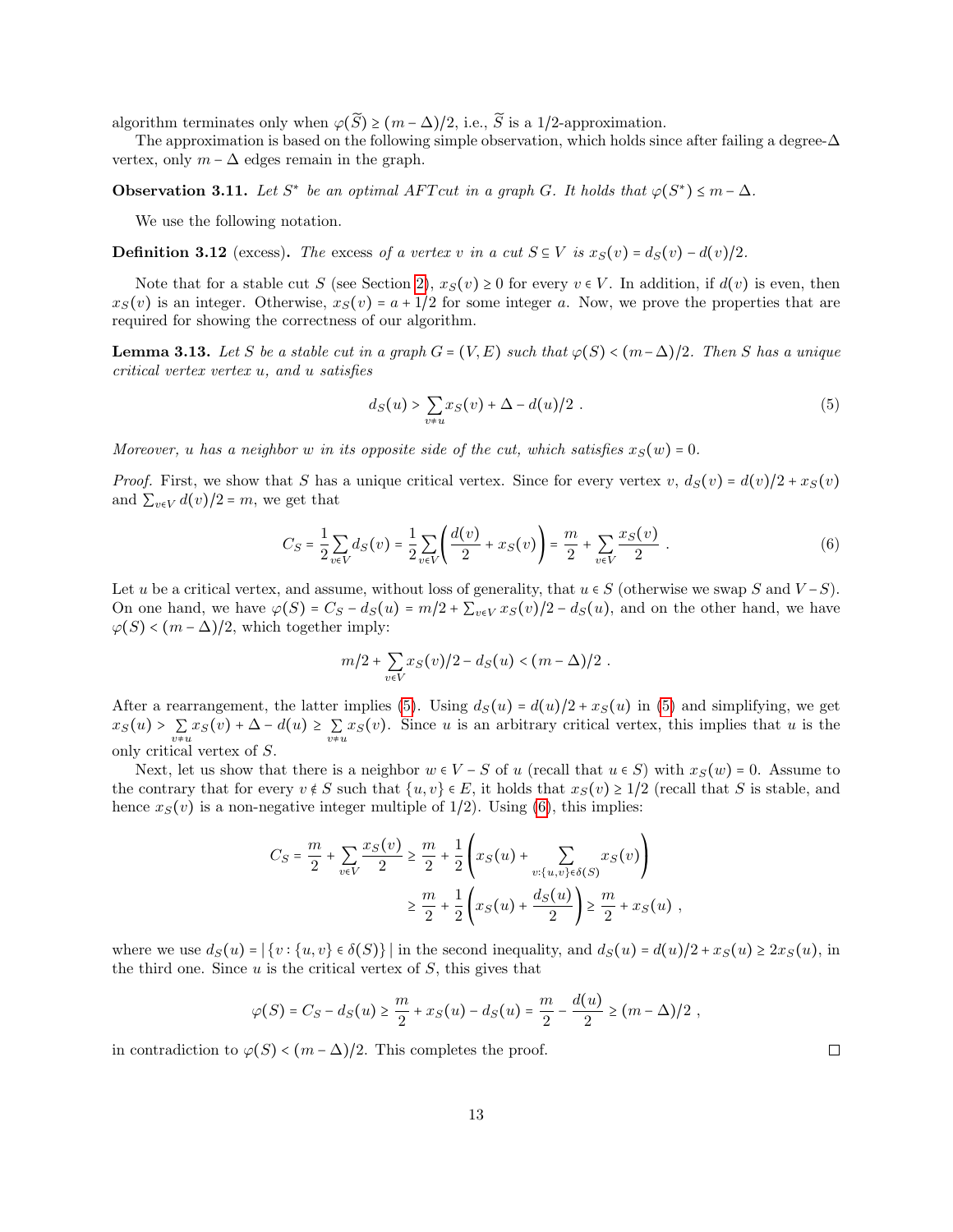algorithm terminates only when  $\varphi(\widetilde{S}) \ge (m - \Delta)/2$ , i.e.,  $\widetilde{S}$  is a 1/2-approximation.

The approximation is based on the following simple observation, which holds since after failing a degree- $\Delta$ vertex, only  $m - \Delta$  edges remain in the graph.

<span id="page-12-3"></span>**Observation 3.11.** Let  $S^*$  be an optimal AFT cut in a graph G. It holds that  $\varphi(S^*) \leq m - \Delta$ .

We use the following notation.

**Definition 3.12** (excess). The excess of a vertex v in a cut  $S \subseteq V$  is  $x_S(v) = d_S(v) - d(v)/2$ .

Note that for a stable cut S (see Section [2\)](#page-3-0),  $x_S(v) \ge 0$  for every  $v \in V$ . In addition, if  $d(v)$  is even, then  $x_S(v)$  is an integer. Otherwise,  $x_S(v) = a + 1/2$  for some integer a. Now, we prove the properties that are required for showing the correctness of our algorithm.

<span id="page-12-0"></span>**Lemma 3.13.** Let S be a stable cut in a graph  $G = (V, E)$  such that  $\varphi(S) < (m - \Delta)/2$ . Then S has a unique critical vertex vertex u, and u satisfies

<span id="page-12-1"></span>
$$
d_S(u) > \sum_{v \neq u} x_S(v) + \Delta - d(u)/2.
$$
 (5)

Moreover, u has a neighbor w in its opposite side of the cut, which satisfies  $x_S(w) = 0$ .

*Proof.* First, we show that S has a unique critical vertex. Since for every vertex v,  $d_S(v) = d(v)/2 + x_S(v)$ and  $\sum_{v \in V} d(v)/2 = m$ , we get that

<span id="page-12-2"></span>
$$
C_S = \frac{1}{2} \sum_{v \in V} d_S(v) = \frac{1}{2} \sum_{v \in V} \left( \frac{d(v)}{2} + x_S(v) \right) = \frac{m}{2} + \sum_{v \in V} \frac{x_S(v)}{2} \tag{6}
$$

Let u be a critical vertex, and assume, without loss of generality, that  $u \in S$  (otherwise we swap S and  $V-S$ ). On one hand, we have  $\varphi(S) = C_S - d_S(u) = m/2 + \sum_{v \in V} x_S(v)/2 - d_S(u)$ , and on the other hand, we have  $\varphi(S) < (m - \Delta)/2$ , which together imply:

$$
m/2 + \sum_{v \in V} x_S(v)/2 - d_S(u) < (m - \Delta)/2.
$$

After a rearrangement, the latter implies [\(5\)](#page-12-1). Using  $d_S(u) = d(u)/2 + x_S(u)$  in (5) and simplifying, we get  $x_S(u) > \sum_{v \neq u} x_S(v) + \Delta - d(u) \ge \sum_{v \neq u} x_S(v)$ . Since u is an arbitrary critical vertex, this implies that u is the only critical vertex of S.

Next, let us show that there is a neighbor  $w \in V - S$  of u (recall that  $u \in S$ ) with  $x_S(w) = 0$ . Assume to the contrary that for every  $v \notin S$  such that  $\{u, v\} \in E$ , it holds that  $x_S(v) \geq 1/2$  (recall that S is stable, and hence  $x_S(v)$  is a non-negative integer multiple of 1/2). Using [\(6\)](#page-12-2), this implies:

$$
C_S = \frac{m}{2} + \sum_{v \in V} \frac{x_S(v)}{2} \ge \frac{m}{2} + \frac{1}{2} \left( x_S(u) + \sum_{v:\{u,v\} \in \delta(S)} x_S(v) \right)
$$
  

$$
\ge \frac{m}{2} + \frac{1}{2} \left( x_S(u) + \frac{d_S(u)}{2} \right) \ge \frac{m}{2} + x_S(u) ,
$$

where we use  $d_S(u) = |\{v : \{u, v\} \in \delta(S)\}|$  in the second inequality, and  $d_S(u) = d(u)/2 + x_S(u) \ge 2x_S(u)$ , in the third one. Since  $u$  is the critical vertex of  $S$ , this gives that

$$
\varphi(S) = C_S - d_S(u) \ge \frac{m}{2} + x_S(u) - d_S(u) = \frac{m}{2} - \frac{d(u)}{2} \ge (m - \Delta)/2,
$$

in contradiction to  $\varphi(S) < (m - \Delta)/2$ . This completes the proof.

 $\Box$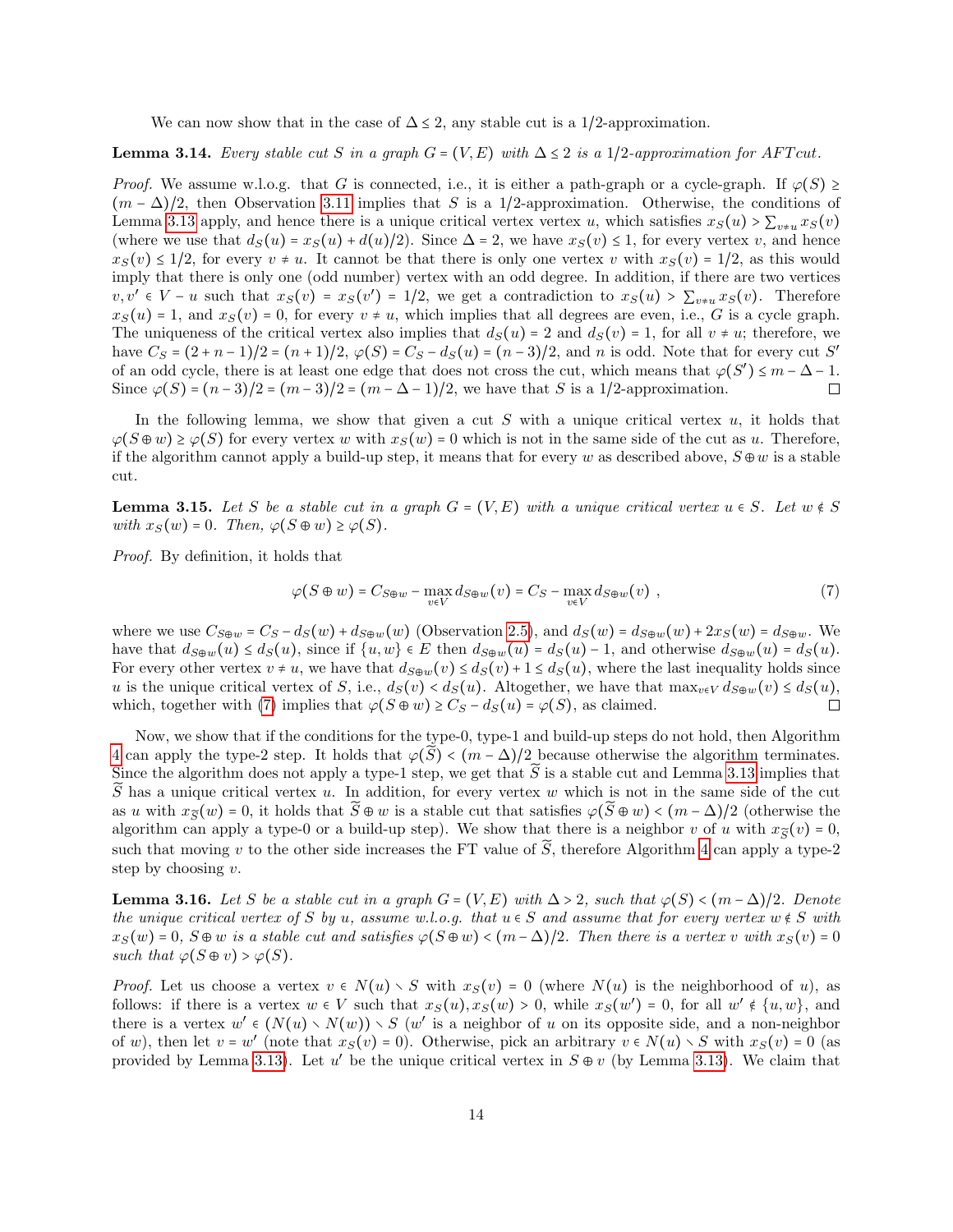We can now show that in the case of  $\Delta \leq 2$ , any stable cut is a 1/2-approximation.

### <span id="page-13-0"></span>**Lemma 3.14.** Every stable cut S in a graph  $G = (V, E)$  with  $\Delta \leq 2$  is a 1/2-approximation for AFT cut.

*Proof.* We assume w.l.o.g. that G is connected, i.e., it is either a path-graph or a cycle-graph. If  $\varphi(S) \geq$  $(m - \Delta)/2$ , then Observation [3.11](#page-12-3) implies that S is a 1/2-approximation. Otherwise, the conditions of Lemma [3.13](#page-12-0) apply, and hence there is a unique critical vertex vertex u, which satisfies  $x_S(u) > \sum_{v \neq u} x_S(v)$ (where we use that  $d_S(u) = x_S(u) + d(u)/2$ ). Since  $\Delta = 2$ , we have  $x_S(v) \le 1$ , for every vertex v, and hence  $x_S(v) \leq 1/2$ , for every  $v \neq u$ . It cannot be that there is only one vertex v with  $x_S(v) = 1/2$ , as this would imply that there is only one (odd number) vertex with an odd degree. In addition, if there are two vertices  $v, v' \in V - u$  such that  $x_S(v) = x_S(v') = 1/2$ , we get a contradiction to  $x_S(u) > \sum_{v \neq u} x_S(v)$ . Therefore  $x_S(u) = 1$ , and  $x_S(v) = 0$ , for every  $v \neq u$ , which implies that all degrees are even, i.e., G is a cycle graph. The uniqueness of the critical vertex also implies that  $d_S(u) = 2$  and  $d_S(v) = 1$ , for all  $v \neq u$ ; therefore, we have  $C_S = (2 + n - 1)/2 = (n + 1)/2$ ,  $\varphi(S) = C_S - d_S(u) = (n - 3)/2$ , and n is odd. Note that for every cut S' of an odd cycle, there is at least one edge that does not cross the cut, which means that  $\varphi(S') \leq m - \Delta - 1$ . Since  $\varphi(S) = (n-3)/2 = (m-3)/2 = (m - \Delta - 1)/2$ , we have that S is a 1/2-approximation.

In the following lemma, we show that given a cut  $S$  with a unique critical vertex  $u$ , it holds that  $\varphi(S \oplus w) \geq \varphi(S)$  for every vertex w with  $x_S(w) = 0$  which is not in the same side of the cut as u. Therefore, if the algorithm cannot apply a build-up step, it means that for every w as described above,  $S \oplus w$  is a stable cut.

<span id="page-13-3"></span>**Lemma 3.15.** Let S be a stable cut in a graph  $G = (V, E)$  with a unique critical vertex  $u \in S$ . Let  $w \notin S$ with  $x_S(w) = 0$ . Then,  $\varphi(S \oplus w) \geq \varphi(S)$ .

Proof. By definition, it holds that

<span id="page-13-2"></span>
$$
\varphi(S \oplus w) = C_{S \oplus w} - \max_{v \in V} d_{S \oplus w}(v) = C_S - \max_{v \in V} d_{S \oplus w}(v) , \qquad (7)
$$

where we use  $C_{S\oplus w} = C_S - d_S(w) + d_{S\oplus w}(w)$  (Observation [2.5\)](#page-5-2), and  $d_S(w) = d_{S\oplus w}(w) + 2x_S(w) = d_{S\oplus w}$ . We have that  $d_{S\oplus w}(u) \leq d_S(u)$ , since if  $\{u, w\} \in E$  then  $d_{S\oplus w}(u) = d_S(u) - 1$ , and otherwise  $d_{S\oplus w}(u) = d_S(u)$ . For every other vertex  $v \neq u$ , we have that  $d_{S\oplus w}(v) \leq d_{S}(v)+1 \leq d_{S}(u)$ , where the last inequality holds since u is the unique critical vertex of S, i.e.,  $d_S(v) < d_S(u)$ . Altogether, we have that  $\max_{v \in V} d_{S \oplus w}(v) \leq d_S(u)$ , which, together with (7) implies that  $\varphi(S \oplus w) > Cs - d_S(u) = \varphi(S)$ , as claimed. which, together with [\(7\)](#page-13-2) implies that  $\varphi(S \oplus w) \geq C_S - d_S(u) = \varphi(S)$ , as claimed.

Now, we show that if the conditions for the type-0, type-1 and build-up steps do not hold, then Algorithm [4](#page-11-0) can apply the type-2 step. It holds that  $\varphi(\widetilde{S}) < (m - \Delta)/2$  because otherwise the algorithm terminates. Since the algorithm does not apply a type-1 step, we get that  $\widetilde{S}$  is a stable cut and Lemma [3.13](#page-12-0) implies that  $\tilde{S}$  has a unique critical vertex u. In addition, for every vertex w which is not in the same side of the cut as u with  $x_{\tilde{S}}(w) = 0$ , it holds that  $\tilde{S} \oplus w$  is a stable cut that satisfies  $\varphi(\tilde{S} \oplus w) < (m - \Delta)/2$  (otherwise the algorithm can apply a type-0 or a build-up step). We show that there is a neighbor v of u with  $x_{\tilde{S}}(v) = 0$ , such that moving v to the other side increases the FT value of  $\widetilde{S}$ , therefore Algorithm [4](#page-11-0) can apply a type-2 step by choosing  $v$ .

<span id="page-13-1"></span>**Lemma 3.16.** Let S be a stable cut in a graph  $G = (V, E)$  with  $\Delta > 2$ , such that  $\varphi(S) < (m - \Delta)/2$ . Denote the unique critical vertex of S by u, assume w.l.o.g. that  $u \in S$  and assume that for every vertex  $w \notin S$  with  $x_S(w) = 0$ ,  $S \oplus w$  is a stable cut and satisfies  $\varphi(S \oplus w) < (m - \Delta)/2$ . Then there is a vertex v with  $x_S(v) = 0$ such that  $\varphi(S \oplus v) > \varphi(S)$ .

*Proof.* Let us choose a vertex  $v \in N(u) \setminus S$  with  $x_S(v) = 0$  (where  $N(u)$  is the neighborhood of u), as follows: if there is a vertex  $w \in V$  such that  $x_S(u), x_S(w) > 0$ , while  $x_S(w') = 0$ , for all  $w' \notin \{u, w\}$ , and there is a vertex  $w' \in (N(v), N(w))$ .  $S(v'')$  is a pointble point a proposite side and a pap pointble there is a vertex  $w' \in (N(u) \setminus N(w)) \setminus S$  (w' is a neighbor of u on its opposite side, and a non-neighbor<br>  $\epsilon$ <sub>5</sub>(w) than let u we (with that u (w) 0) Otherwise with an exhitance of  $N(x) \cdot S$  with u (w) 0 (as of w), then let  $v = w'$  (note that  $x_S(v) = 0$ ). Otherwise, pick an arbitrary  $v \in N(u) \setminus S$  with  $x_S(v) = 0$  (as provided by Lemma [3.13\)](#page-12-0). Let u' be the unique critical vertex in  $S \oplus v$  (by Lemma 3.13). We claim that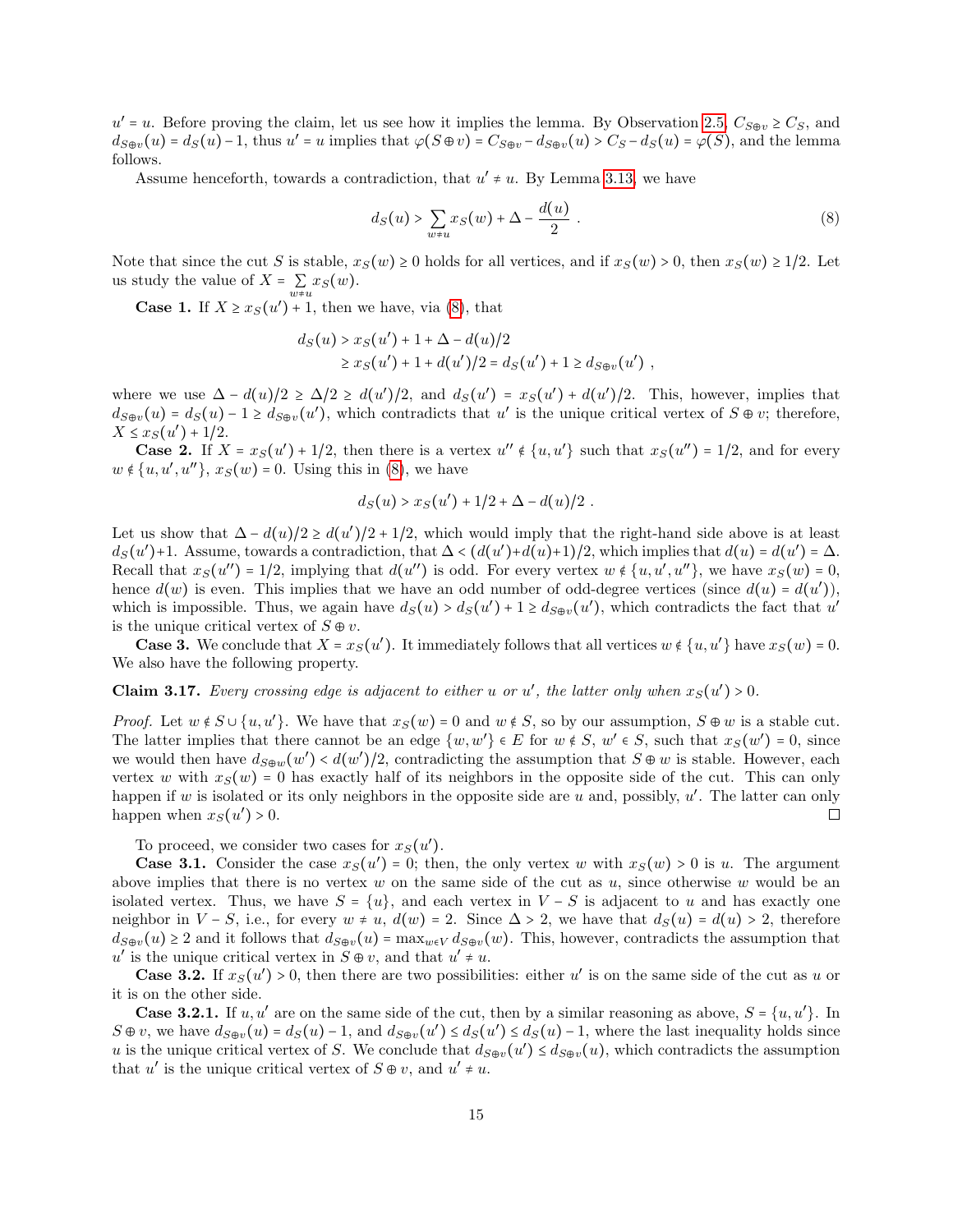$u' = u$ . Before proving the claim, let us see how it implies the lemma. By Observation [2.5,](#page-5-2)  $C_{S \oplus v} \geq C_S$ , and  $d_{S\oplus v}(u) = d_S(u) - 1$ , thus  $u' = u$  implies that  $\varphi(S\oplus v) = C_{S\oplus v} - d_{S\oplus v}(u) > C_S - d_S(u) = \varphi(S)$ , and the lemma follows.

Assume henceforth, towards a contradiction, that  $u' \neq u$ . By Lemma [3.13,](#page-12-0) we have

<span id="page-14-0"></span>
$$
d_S(u) > \sum_{w \neq u} x_S(w) + \Delta - \frac{d(u)}{2} . \tag{8}
$$

Note that since the cut S is stable,  $x_S(w) \ge 0$  holds for all vertices, and if  $x_S(w) > 0$ , then  $x_S(w) \ge 1/2$ . Let us study the value of  $X = \sum_{w \neq u} x_S(w)$ .

**Case 1.** If  $X \ge x_S(u') + 1$ , then we have, via [\(8\)](#page-14-0), that

$$
d_S(u) > x_S(u') + 1 + \Delta - d(u)/2
$$
  
\n
$$
\ge x_S(u') + 1 + d(u')/2 = d_S(u') + 1 \ge d_{S\oplus v}(u')
$$
,

where we use  $\Delta - d(u)/2 \ge \Delta/2 \ge d(u')/2$ , and  $d_S(u') = x_S(u') + d(u')/2$ . This, however, implies that  $d_{S\oplus v}(u) = d_S(u) - 1 \geq d_{S\oplus v}(u')$ , which contradicts that u' is the unique critical vertex of  $S \oplus v$ ; therefore,  $X \leq x_S(u') + 1/2.$ 

**Case 2.** If  $X = x_S(u') + 1/2$ , then there is a vertex  $u'' \notin \{u, u'\}$  such that  $x_S(u'') = 1/2$ , and for every  $w \notin \{u, u', u''\}, x_S(w) = 0.$  Using this in [\(8\)](#page-14-0), we have

$$
d_S(u) > x_S(u') + 1/2 + \Delta - d(u)/2.
$$

Let us show that  $\Delta - d(u)/2 \ge d(u')/2 + 1/2$ , which would imply that the right-hand side above is at least  $d(u)$ ,  $d(u')$  and  $d(u)$  and  $d(u)$  and  $d(u)$  and  $d(u)$  and  $d(u)$  and  $d(u)$  and  $d(u)$  and  $d(u)$  and  $d(u)$  and  $d(u)$  and  $d(u$  $d_S(u')$ +1. Assume, towards a contradiction, that  $\Delta < (d(u') + d(u) + 1)/2$ , which implies that  $d(u) = d(u') = \Delta$ . Recall that  $x_S(u'') = 1/2$ , implying that  $d(u'')$  is odd. For every vertex  $w \notin \{u, u', u''\}$ , we have  $x_S(w) = 0$ , hence  $d(w)$  is over This implies that we have an add number of add damage vertices (since  $d(x)$ ),  $d(x')$ ) hence  $d(w)$  is even. This implies that we have an odd number of odd-degree vertices (since  $d(u) = d(u')$ ), which is impossible. Thus, we again have  $d_S(u) > d_S(u') + 1 \geq d_{S\oplus v}(u')$ , which contradicts the fact that  $u'$ is the unique critical vertex of  $S \oplus v$ .

**Case 3.** We conclude that  $X = x_S(u')$ . It immediately follows that all vertices  $w \notin \{u, u'\}$  have  $x_S(w) = 0$ . We also have the following property.

<span id="page-14-1"></span>**Claim 3.17.** Every crossing edge is adjacent to either u or u', the latter only when  $x_S(u') > 0$ .

*Proof.* Let  $w \notin S \cup \{u, u'\}$ . We have that  $x_S(w) = 0$  and  $w \notin S$ , so by our assumption,  $S \oplus w$  is a stable cut.<br>The latter implies that there cannot be an adm (w w')  $\in E$  for  $w \notin S$ , and  $\in S$ , such that  $x(G') = 0$  since The latter implies that there cannot be an edge  $\{w, w'\} \in E$  for  $w \notin S$ ,  $w' \in S$ , such that  $x_S(w') = 0$ , since we would then have  $d_{S@w}(w') < d(w')/2$ , contradicting the assumption that  $S \oplus w$  is stable. However, each expectation of the stable of the stable of the stable of the stable of the stable of the stable of the stable of the vertex w with  $x_S(w) = 0$  has exactly half of its neighbors in the opposite side of the cut. This can only happen if w is isolated or its only neighbors in the opposite side are u and, possibly,  $u'$ . The latter can only happen when  $x_S(u') > 0$ .  $\Box$ 

To proceed, we consider two cases for  $x_S(u')$ .

**Case 3.1.** Consider the case  $x_S(u') = 0$ ; then, the only vertex w with  $x_S(w) > 0$  is u. The argument above implies that there is no vertex  $w$  on the same side of the cut as  $u$ , since otherwise  $w$  would be an isolated vertex. Thus, we have  $S = \{u\}$ , and each vertex in  $V - S$  is adjacent to u and has exactly one neighbor in  $V-S$ , i.e., for every  $w \neq u$ ,  $d(w) = 2$ . Since  $\Delta > 2$ , we have that  $d_S(u) = d(u) > 2$ , therefore  $d_{S\oplus v}(u) \geq 2$  and it follows that  $d_{S\oplus v}(u) = \max_{w \in V} d_{S\oplus v}(w)$ . This, however, contradicts the assumption that u' is the unique critical vertex in  $S \oplus v$ , and that  $u' \neq u$ .<br>Case 2.2. If  $x'(u') > 0$ , then there are true possibility

**Case 3.2.** If  $x_S(u') > 0$ , then there are two possibilities: either u' is on the same side of the cut as u or it is on the other side.

**Case 3.2.1.** If  $u, u'$  are on the same side of the cut, then by a similar reasoning as above,  $S = \{u, u'\}$ . In  $S \oplus v$ , we have  $d_{S \oplus v}(u) = d_S(u) - 1$ , and  $d_{S \oplus v}(u') \leq d_S(u') \leq d_S(u) - 1$ , where the last inequality holds since u is the unique critical vertex of S. We conclude that  $d_{S\oplus v}(u') \leq d_{S\oplus v}(u)$ , which contradicts the assumption that  $u'$  is the unique critical vertex of  $S \oplus v$ , and  $u' \neq u$ .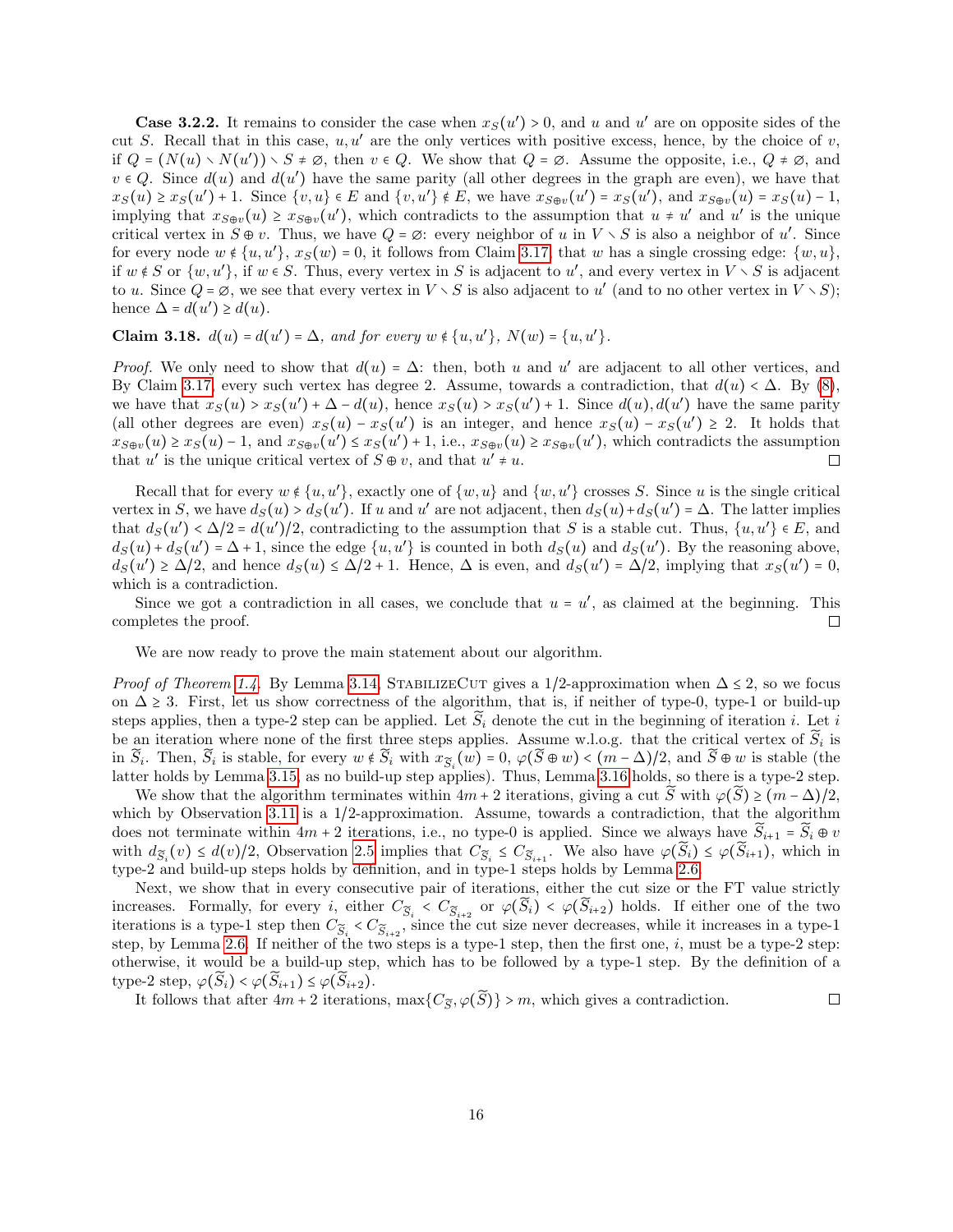**Case 3.2.2.** It remains to consider the case when  $x_S(u') > 0$ , and u and u' are on opposite sides of the  $S_1$ . Becall that in this case, we' are the only unitions with positive groups have the choice of u cut S. Recall that in this case,  $u, u'$  are the only vertices with positive excess, hence, by the choice of v, if  $Q = (N(u) \setminus N(u')) \setminus S \neq \emptyset$ , then  $v \in Q$ . We show that  $Q = \emptyset$ . Assume the opposite, i.e.,  $Q \neq \emptyset$ , and  $v \in Q$ . Since  $d(u)$  and  $d(u')$  have the same parity (all other degrees in the graph are even), we have that  $x_S(u) \ge x_S(u') + 1$ . Since  $\{v, u\} \in E$  and  $\{v, u'\} \notin E$ , we have  $x_{S \oplus v}(u') = x_S(u')$ , and  $x_{S \oplus v}(u) = x_S(u) - 1$ , implying that  $x_{S\oplus v}(u) \ge x_{S\oplus v}(u')$ , which contradicts to the assumption that  $u \ne u'$  and  $u'$  is the unique critical vertex in  $S \oplus v$ . Thus, we have  $Q = \emptyset$ : every neighbor of u in  $V \setminus S$  is also a neighbor of u'. Since for every node  $w \notin \{u, u'\}$ ,  $x_S(w) = 0$ , it follows from Claim [3.17,](#page-14-1) that w has a single crossing edge:  $\{w, u\}$ , if  $w \notin S$  or  $\{w, u'\}$ , if  $w \in S$ . Thus, every vertex in S is adjacent to u', and every vertex in  $V \setminus S$  is adjacent to u. Since  $Q = \emptyset$ , we see that every vertex in  $V \setminus S$  is also adjacent to u' (and to no other vertex in  $\check{V} \setminus S$ ); hence  $\Delta = d(u') \geq d(u)$ .

Claim 3.18.  $d(u) = d(u') = \Delta$ , and for every  $w \notin \{u, u'\}$ ,  $N(w) = \{u, u'\}$ .

*Proof.* We only need to show that  $d(u) = \Delta$ : then, both u and u' are adjacent to all other vertices, and  $R_1$ . Claim 2.17 expressions that  $d(u) \leq \Delta R_1$ .  $R_2$ . (c) By Claim [3.17,](#page-14-1) every such vertex has degree 2. Assume, towards a contradiction, that  $d(u) < \Delta$ . By [\(8\)](#page-14-0), we have that  $x_S(u) > x_S(u') + \Delta - d(u)$ , hence  $x_S(u) > x_S(u') + 1$ . Since  $d(u)$ ,  $d(u')$  have the same parity (all other degrees are even)  $x_S(u) - x_S(u')$  is an integer, and hence  $x_S(u) - x_S(u') \geq 2$ . It holds that  $x_{S\oplus v}(u) \ge x_S(u) - 1$ , and  $x_{S\oplus v}(u') \le x_S(u') + 1$ , i.e.,  $x_{S\oplus v}(u) \ge x_{S\oplus v}(u')$ , which contradicts the assumption that u' is the unique critical vertex of  $S \oplus v$ , and that  $u' \neq u$ .

Recall that for every  $w \notin \{u, u'\}$ , exactly one of  $\{w, u\}$  and  $\{w, u'\}$  crosses S. Since u is the single critical vertex in S, we have  $d_S(u) > d_S(u')$ . If u and u' are not adjacent, then  $d_S(u) + d_S(u') = \Delta$ . The latter implies that  $d_S(u') < \Delta/2 = d(u')/2$ , contradicting to the assumption that S is a stable cut. Thus,  $\{u, u'\} \in E$ , and  $d_S(u) \cup d_S(u') \cup d_S(u')$  is equal to be able to the stable cut.  $d_S(u) + d_S(u') = \Delta + 1$ , since the edge  $\{u, u'\}$  is counted in both  $d_S(u)$  and  $d_S(u')$ . By the reasoning above,  $d_S(u') \ge \Delta/2$ , and hence  $d_S(u) \le \Delta/2 + 1$ . Hence,  $\Delta$  is even, and  $d_S(u') = \Delta/2$ , implying that  $x_S(u') = 0$ , which is a contradiction.

Since we got a contradiction in all cases, we conclude that  $u = u'$ , as claimed at the beginning. This completes the proof.  $\Box$ 

We are now ready to prove the main statement about our algorithm.

*Proof of Theorem [1.4.](#page-2-1)* By Lemma [3.14,](#page-13-0) STABILIZECUT gives a 1/2-approximation when  $\Delta \leq 2$ , so we focus on  $\Delta \geq 3$ . First, let us show correctness of the algorithm, that is, if neither of type-0, type-1 or build-up steps applies, then a type-2 step can be applied. Let  $\tilde{S}_i$  denote the cut in the beginning of iteration i. Let i be an iteration where none of the first three steps applies. Assume w.l.o.g. that the critical vertex of  $S_i$  is in  $\widetilde{S}_i$ . Then,  $\widetilde{S}_i$  is stable, for every  $w \notin \widetilde{S}_i$  with  $x_{\widetilde{S}_i}(w) = 0$ ,  $\varphi(\widetilde{S} \oplus w) < (m - \Delta)/2$ , and  $\widetilde{S} \oplus w$  is stable (the latter holds by Lemma [3.15,](#page-13-3) as no build-up step applies). Thus, Lemma [3.16](#page-13-1) holds, so there is a type-2 step.

We show that the algorithm terminates within  $4m + 2$  iterations, giving a cut  $\widetilde{S}$  with  $\varphi(\widetilde{S}) \ge (m - \Delta)/2$ , which by Observation [3.11](#page-12-3) is a 1/2-approximation. Assume, towards a contradiction, that the algorithm does not terminate within  $4m + 2$  iterations, i.e., no type-0 is applied. Since we always have  $\widetilde{S}_{i+1} = \widetilde{S}_i \oplus v$ with  $d_{\tilde{S}_i}(v) \leq d(v)/2$ , Observation [2.5](#page-5-2) implies that  $C_{\tilde{S}_i} \leq C_{\tilde{S}_{i+1}}$ . We also have  $\varphi(S_i) \leq \varphi(S_{i+1})$ , which in type-2 and build-up steps holds by definition, and in type-1 steps holds by Lemma [2.6.](#page-5-1)

Next, we show that in every consecutive pair of iterations, either the cut size or the FT value strictly increases. Formally, for every i, either  $C_{\widetilde{S}_i} < C_{\widetilde{S}_{i+2}}$  or  $\varphi(S_i) < \varphi(S_{i+2})$  holds. If either one of the two iterations is a type-1 step then  $C_{\widetilde{S}_i} < C_{\widetilde{S}_{i+2}}$ , since the cut size never decreases, while it increases in a type-1 start has  $\widetilde{S}_{i+2}$  in a type-1 start has the contract has the contract has two 3 starts step, by Lemma [2.6.](#page-5-1) If neither of the two steps is a type-1 step, then the first one, i, must be a type-2 step: otherwise, it would be a build-up step, which has to be followed by a type-1 step. By the definition of a type-2 step,  $\varphi(\tilde{S}_i) < \varphi(\tilde{S}_{i+1}) \leq \varphi(\tilde{S}_{i+2}).$ 

It follows that after  $4m + 2$  iterations,  $\max\{C_{\widetilde{S}}, \varphi(\widetilde{S})\} > m$ , which gives a contradiction.  $\Box$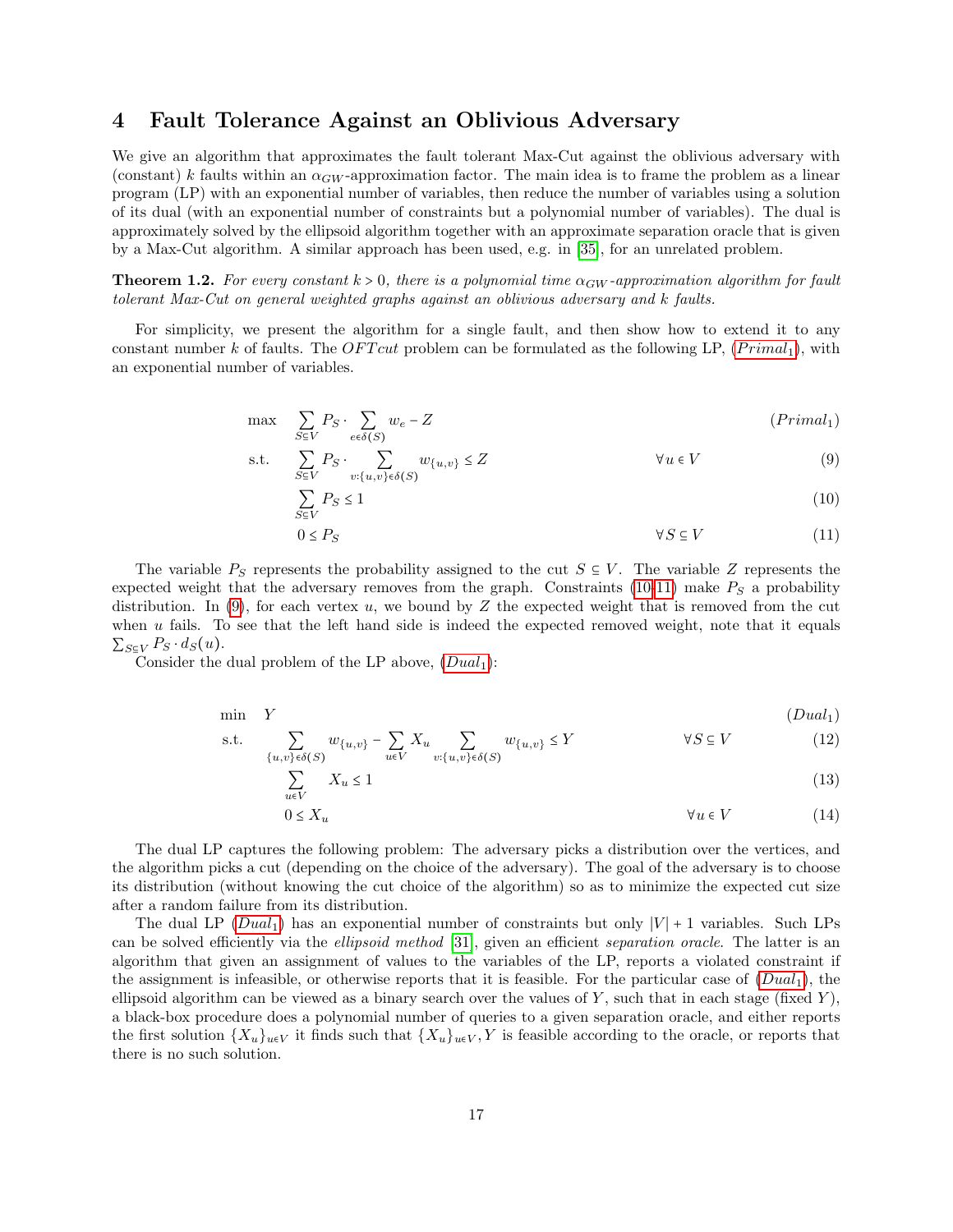## <span id="page-16-0"></span>4 Fault Tolerance Against an Oblivious Adversary

We give an algorithm that approximates the fault tolerant Max-Cut against the oblivious adversary with (constant) k faults within an  $\alpha_{GW}$ -approximation factor. The main idea is to frame the problem as a linear program (LP) with an exponential number of variables, then reduce the number of variables using a solution of its dual (with an exponential number of constraints but a polynomial number of variables). The dual is approximately solved by the ellipsoid algorithm together with an approximate separation oracle that is given by a Max-Cut algorithm. A similar approach has been used, e.g. in [\[35\]](#page-27-11), for an unrelated problem.

**Theorem 1.2.** For every constant  $k > 0$ , there is a polynomial time  $\alpha_{GW}$ -approximation algorithm for fault tolerant Max-Cut on general weighted graphs against an oblivious adversary and k faults.

For simplicity, we present the algorithm for a single fault, and then show how to extend it to any constant number k of faults. The OFT cut problem can be formulated as the following LP,  $(Primal_1)$ , with an exponential number of variables.

$$
\max \sum_{S \subseteq V} P_S \cdot \sum_{e \in \delta(S)} w_e - Z \tag{Primal_1}
$$

$$
\text{s.t.} \quad \sum_{S \subseteq V} P_S \cdot \sum_{v: \{u, v\} \in \delta(S)} w_{\{u, v\}} \le Z \qquad \forall u \in V \tag{9}
$$

$$
\sum_{S \subseteq V} P_S \le 1 \tag{10}
$$

<span id="page-16-5"></span><span id="page-16-4"></span><span id="page-16-3"></span><span id="page-16-2"></span><span id="page-16-1"></span>
$$
0 \le P_S \tag{11}
$$

The variable  $P_S$  represents the probability assigned to the cut  $S \subseteq V$ . The variable Z represents the expected weight that the adversary removes from the graph. Constraints [\(10-](#page-16-2)[11\)](#page-16-3) make  $P<sub>S</sub>$  a probability distribution. In  $(9)$ , for each vertex u, we bound by Z the expected weight that is removed from the cut when u fails. To see that the left hand side is indeed the expected removed weight, note that it equals  $\sum_{S\subseteq V} P_S \cdot d_S(u)$ .

Consider the dual problem of the LP above,  $(Dual_1)$  $(Dual_1)$  $(Dual_1)$ :

$$
\min Y \tag{Dual1}
$$

$$
\text{s.t.} \quad \sum_{\{u,v\} \in \delta(S)} w_{\{u,v\}} - \sum_{u \in V} X_u \sum_{v:\{u,v\} \in \delta(S)} w_{\{u,v\}} \le Y \qquad \qquad \forall S \subseteq V \tag{12}
$$

$$
\sum_{u \in V} X_u \le 1 \tag{13}
$$

<span id="page-16-7"></span><span id="page-16-6"></span>
$$
0 \le X_u \tag{14}
$$

The dual LP captures the following problem: The adversary picks a distribution over the vertices, and the algorithm picks a cut (depending on the choice of the adversary). The goal of the adversary is to choose its distribution (without knowing the cut choice of the algorithm) so as to minimize the expected cut size after a random failure from its distribution.

The dual LP ( $Dual_1$  $Dual_1$ ) has an exponential number of constraints but only  $|V| + 1$  variables. Such LPs can be solved efficiently via the *ellipsoid method* [\[31\]](#page-26-10), given an efficient *separation oracle*. The latter is an algorithm that given an assignment of values to the variables of the LP, reports a violated constraint if the assignment is infeasible, or otherwise reports that it is feasible. For the particular case of  $(Dual<sub>1</sub>)$  $(Dual<sub>1</sub>)$  $(Dual<sub>1</sub>)$ , the ellipsoid algorithm can be viewed as a binary search over the values of  $Y$ , such that in each stage (fixed  $Y$ ), a black-box procedure does a polynomial number of queries to a given separation oracle, and either reports the first solution  $\{X_u\}_{u\in V}$  it finds such that  $\{X_u\}_{u\in V}$ , Y is feasible according to the oracle, or reports that there is no such solution.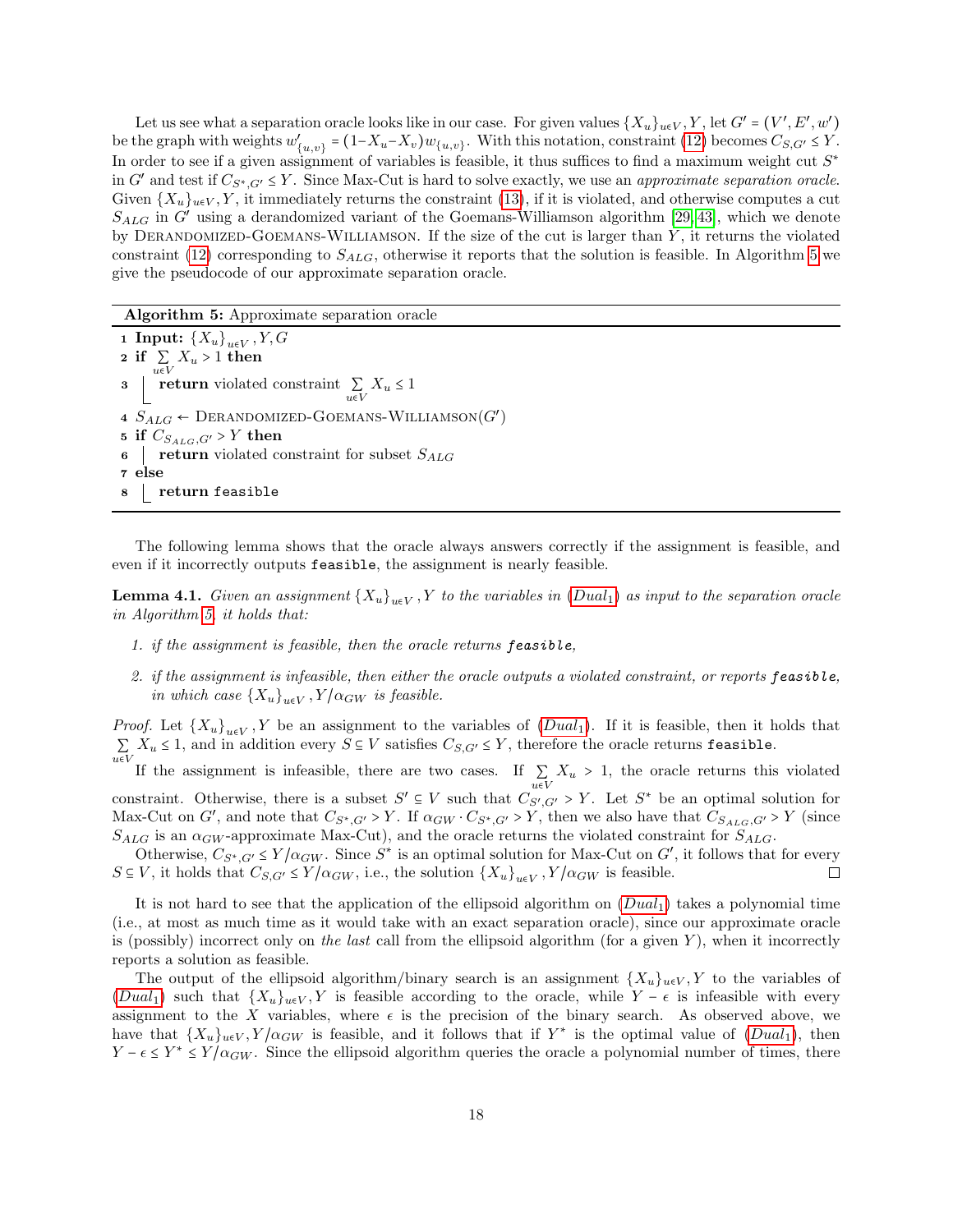Let us see what a separation oracle looks like in our case. For given values  $\{X_u\}_{u\in V}$ ,  $Y$ , let  $G' = (V', E', w')$ be the graph with weights  $w'$  ${Z_{\{u,v\}}} = (1-X_u-X_v)w_{\{u,v\}}$ . With this notation, constraint [\(12\)](#page-16-6) becomes  $C_{S,G'} \leq Y$ . In order to see if a given assignment of variables is feasible, it thus suffices to find a maximum weight cut  $S^*$ in G' and test if  $C_{S^*,G'} \leq Y$ . Since Max-Cut is hard to solve exactly, we use an *approximate separation oracle.*<br>Citien  $(Y)$ , it immediately nature the constraint (12) if it is related and otherwise computes a out Given  $\{X_u\}_{u\in V}$ , Y, it immediately returns the constraint [\(13\)](#page-16-7), if it is violated, and otherwise computes a cut  $S_{ALG}$  in G' using a derandomized variant of the Goemans-Williamson algorithm [\[29,](#page-26-0) [43\]](#page-27-12), which we denote by DERANDOMIZED-GOEMANS-WILLIAMSON. If the size of the cut is larger than  $Y$ , it returns the violated constraint [\(12\)](#page-16-6) corresponding to  $S_{ALG}$ , otherwise it reports that the solution is feasible. In Algorithm [5](#page-17-0) we give the pseudocode of our approximate separation oracle.

Algorithm 5: Approximate separation oracle

<span id="page-17-0"></span>1 Input:  $\{X_u\}_{u\in V}$ ,  $Y, G$ 2 if  $\sum_{u \in V} X_u > 1$  then **3** return violated constraint  $\sum_{u \in V} X_u \le 1$  $4 S_{ALG} \leftarrow \text{DERANDOMIZED-GOEMANS-WILLIAMSON}(G')$ 5 if  $C_{S_{ALG},G'} > Y$  then<br>6 | return violated co **return** violated constraint for subset  $S_{ALG}$ 7 else 8 return feasible

The following lemma shows that the oracle always answers correctly if the assignment is feasible, and even if it incorrectly outputs feasible, the assignment is nearly feasible.

**Lemma 4.1.** Given an assignment  ${X_u}_{u\in V}$ , Y to the variables in  $(Dual_1)$  $(Dual_1)$  $(Dual_1)$  as input to the separation oracle in Algorithm [5,](#page-17-0) it holds that:

- 1. if the assignment is feasible, then the oracle returns feasible,
- 2. if the assignment is infeasible, then either the oracle outputs a violated constraint, or reports feasible, in which case  ${X_u}_{u \in V}$ ,  $Y/\alpha_{GW}$  is feasible.

*Proof.* Let  ${X_u}_{u\in V}$ , Y be an assignment to the variables of  $(Dual_1)$  $(Dual_1)$  $(Dual_1)$ . If it is feasible, then it holds that  $\sum_{u \in V} X_u \le 1$ , and in addition every  $S \subseteq V$  satisfies  $C_{S,G'} \le Y$ , therefore the oracle returns feasible.

If the assignment is infeasible, there are two cases. If  $\sum_{u \in V} X_u > 1$ , the oracle returns this violated constraint. Otherwise, there is a subset  $S' \subseteq V$  such that  $C_{S',G'} > Y$ . Let  $S^*$  be an optimal solution for Max-Cut on G', and note that  $C_{S^*,G'} > Y$ . If  $\alpha_{GW} \cdot C_{S^*,G'} > Y$ , then we also have that  $C_{S_{ALG},G'} > Y$  (since  $S_{ALG}$  is an  $\alpha_{GW}$ -approximate Max-Cut), and the oracle returns the violated constraint for  $S_{ALG}$ .

Otherwise,  $C_{S^*,G'} \leq Y/\alpha_{GW}$ . Since  $S^*$  is an optimal solution for Max-Cut on G', it follows that for every  $S \subseteq V$ , it holds that  $C_{S,G'} \leq Y/\alpha_{GW}$ , i.e., the solution  $\{X_u\}_{u \in V}$ ,  $Y/\alpha_{GW}$  is feasible. П

It is not hard to see that the application of the ellipsoid algorithm on  $(Dual_1)$  $(Dual_1)$  $(Dual_1)$  takes a polynomial time (i.e., at most as much time as it would take with an exact separation oracle), since our approximate oracle is (possibly) incorrect only on the last call from the ellipsoid algorithm (for a given  $Y$ ), when it incorrectly reports a solution as feasible.

The output of the ellipsoid algorithm/binary search is an assignment  $\{X_u\}_{u\in V}$ , Y to the variables of ([Dual](#page-16-5)<sub>1</sub>) such that  $\{X_u\}_{u\in V}$ , Y is feasible according to the oracle, while Y –  $\epsilon$  is infeasible with every assignment to the X variables, where  $\epsilon$  is the precision of the binary search. As observed above, we have that  ${X_u}_{u\in V}$ ,  $Y/\alpha_{GW}$  is feasible, and it follows that if  $Y^*$  is the optimal value of  $(Dual_1)$  $(Dual_1)$  $(Dual_1)$ , then  $Y - \epsilon \leq Y^* \leq Y/\alpha_{GW}$ . Since the ellipsoid algorithm queries the oracle a polynomial number of times, there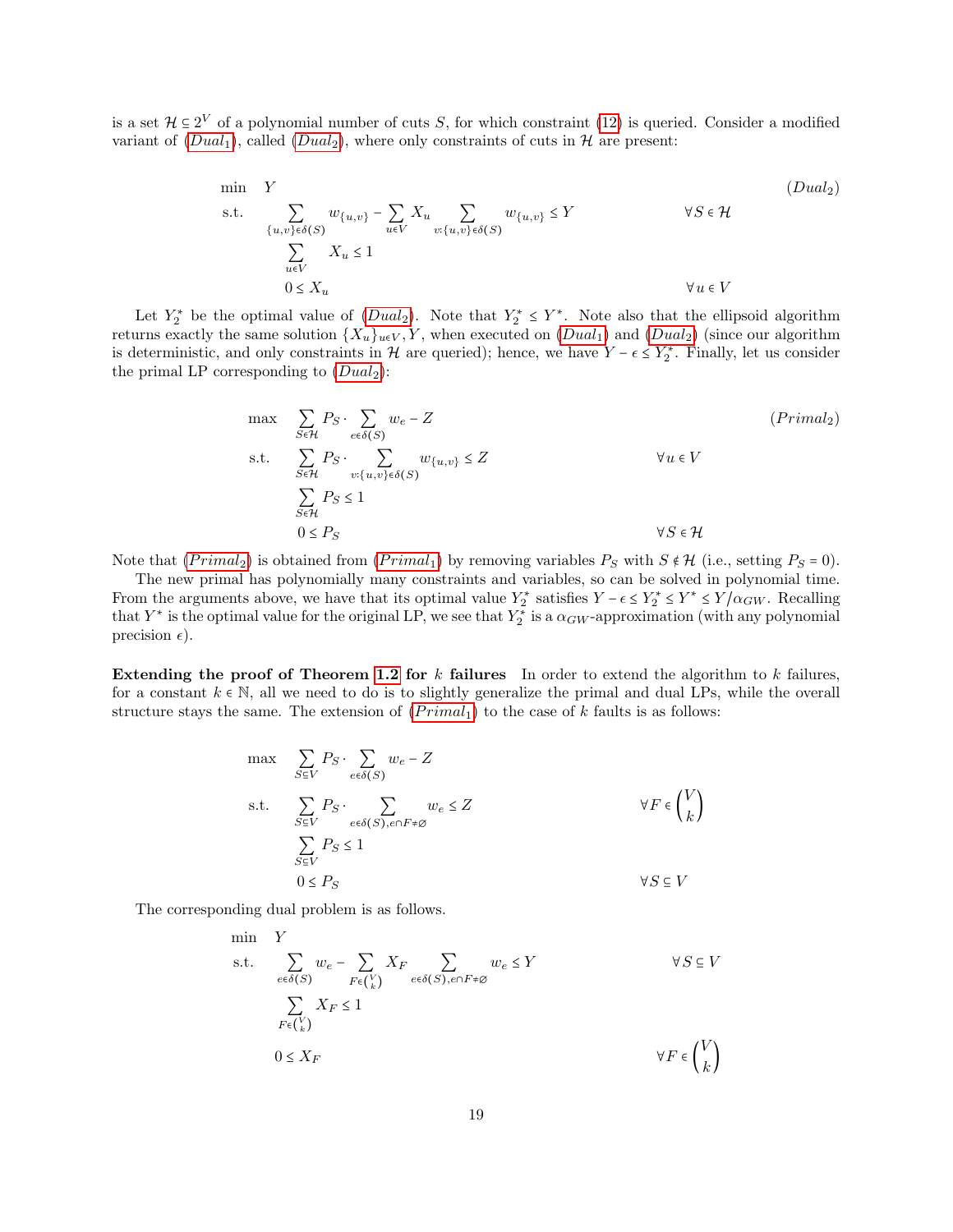is a set  $\mathcal{H} \subseteq 2^V$  of a polynomial number of cuts S, for which constraint [\(12\)](#page-16-6) is queried. Consider a modified variant of  $(Dual_1)$  $(Dual_1)$  $(Dual_1)$ , called  $(Dual_2)$ , where only constraints of cuts in  $H$  are present:

<span id="page-18-0"></span>
$$
\begin{array}{ll}\n\min & Y & \text{(Dual}_2) \\
\text{s.t.} & \sum_{\{u,v\} \in \delta(S)} w_{\{u,v\}} - \sum_{u \in V} X_u \sum_{v:\{u,v\} \in \delta(S)} w_{\{u,v\}} \le Y & \forall S \in \mathcal{H} \\
& \sum_{u \in V} X_u \le 1 & \forall u \in V \\
0 \le X_u & \forall u \in V\n\end{array}
$$
\n(Dual)\_2

Let  $Y_2^*$  be the optimal value of  $(Dual_2)$  $(Dual_2)$  $(Dual_2)$ . Note that  $Y_2^* \leq Y^*$ . Note also that the ellipsoid algorithm returns exactly the same solution  $\{X_u\}_{u\in V}$ , Y, when executed on  $(Dual_1)$  $(Dual_1)$  $(Dual_1)$  and  $(Dual_2)$  (since our algorithm is deterministic, and only constraints in H are queried); hence, we have  $Y - \epsilon \le Y_2^*$ . Finally, let us consider the primal I B conservanting to  $(Dual)$ . the primal LP corresponding to  $(Dual_2)$  $(Dual_2)$  $(Dual_2)$ :

<span id="page-18-1"></span>
$$
\max \sum_{S \in \mathcal{H}} P_S \cdot \sum_{e \in \delta(S)} w_e - Z
$$
\n
$$
\text{s.t.} \sum_{S \in \mathcal{H}} P_S \cdot \sum_{v:\{u,v\} \in \delta(S)} w_{\{u,v\}} \le Z \qquad \forall u \in V
$$
\n
$$
\sum_{S \in \mathcal{H}} P_S \le 1
$$
\n
$$
0 \le P_S \qquad \forall S \in \mathcal{H}
$$

Note that  $(Primal_2)$  is obtained from  $(Primal_1)$  by removing variables  $P_S$  with  $S \notin \mathcal{H}$  (i.e., setting  $P_S = 0$ ).

The new primal has polynomially many constraints and variables, so can be solved in polynomial time. From the arguments above, we have that its optimal value  $Y_2^*$  satisfies  $Y - \epsilon \leq Y_2^* \leq Y^* \leq Y/\alpha_{GW}$ . Recalling that  $Y_2^*$  is the entimal value for the original LD are see that  $Y^*$  is a some proposition (with any that  $Y^*$  is the optimal value for the original LP, we see that  $Y_2^*$  is a  $\alpha_{GW}$ -approximation (with any polynomial precision  $\epsilon$ ).

Extending the proof of Theorem [1.2](#page-2-0) for  $k$  failures In order to extend the algorithm to  $k$  failures, for a constant  $k \in \mathbb{N}$ , all we need to do is to slightly generalize the primal and dual LPs, while the overall structure stays the same. The extension of  $(Primal<sub>1</sub>)$  to the case of k faults is as follows:

$$
\begin{aligned}\n\max \quad & \sum_{S \subseteq V} P_S \cdot \sum_{e \in \delta(S)} w_e - Z \\
\text{s.t.} \quad & \sum_{S \subseteq V} P_S \cdot \sum_{e \in \delta(S), e \cap F \neq \emptyset} w_e \leq Z \\
& \sum_{S \subseteq V} P_S \leq 1 \\
& 0 \leq P_S\n\end{aligned}\n\quad \forall F \in \binom{V}{k}
$$

The corresponding dual problem is as follows.

min Y  
\ns.t. 
$$
\sum_{e \in \delta(S)} w_e - \sum_{F \in {V \choose k}} X_F \sum_{e \in \delta(S), e \cap F \neq \emptyset} w_e \leq Y \qquad \forall S \subseteq V
$$
  
\n
$$
\sum_{F \in {V \choose k}} X_F \leq 1
$$
  
\n
$$
0 \leq X_F \qquad \forall F \in {V \choose k}
$$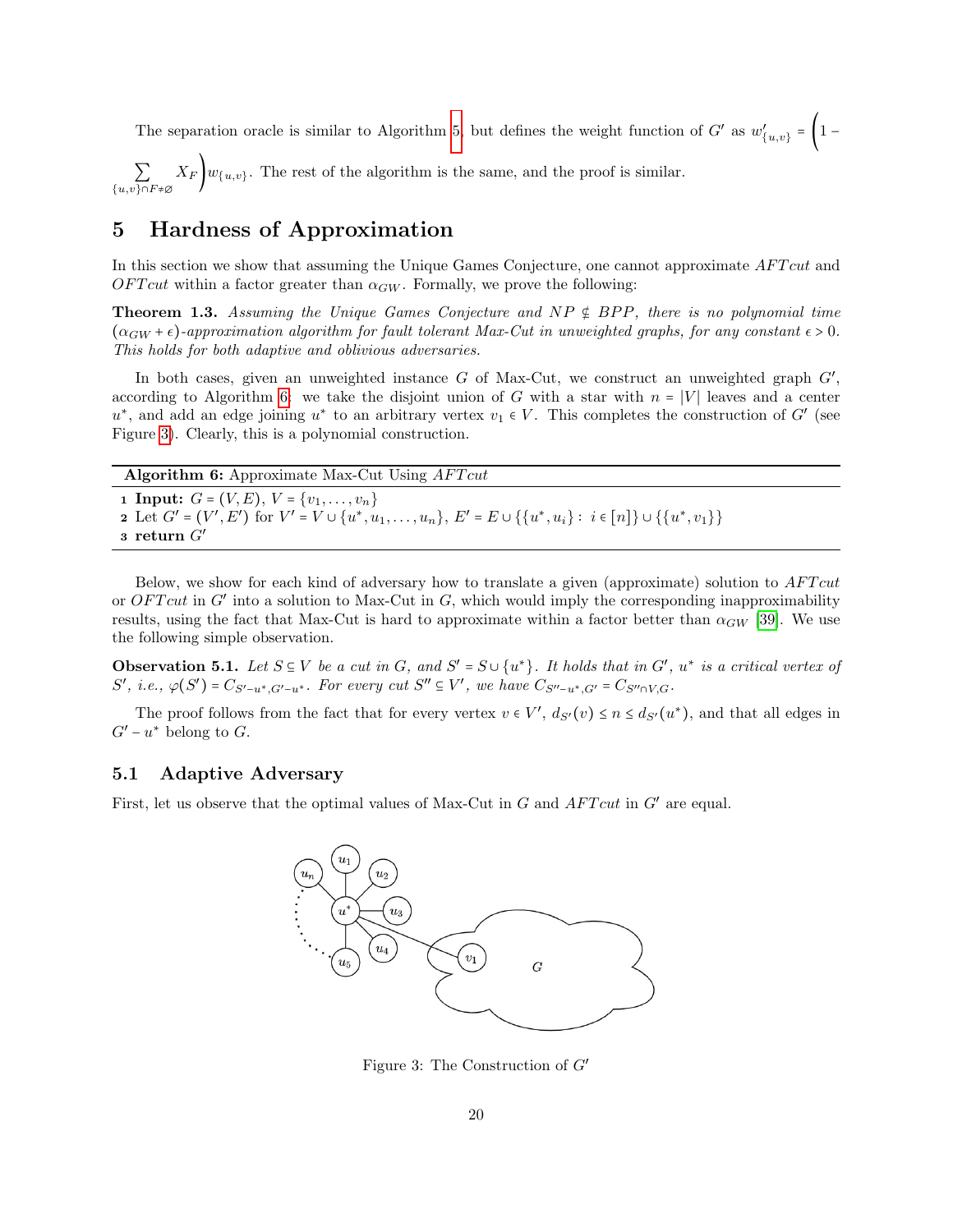The separation oracle is similar to Algorithm [5,](#page-17-0) but defines the weight function of  $G'$  as  $w'$  ${1 \choose {u,v}} = \left(1 - \right)$ 

 $\sum_{\{u,v\}\cap F \neq \varnothing}$  $X_F\left\{\{w_{\{u,v\}}\right\}$ . The rest of the algorithm is the same, and the proof is similar.

## <span id="page-19-0"></span>5 Hardness of Approximation

In this section we show that assuming the Unique Games Conjecture, one cannot approximate AFT cut and  $OFTcut$  within a factor greater than  $\alpha_{GW}$ . Formally, we prove the following:

**Theorem 1.3.** Assuming the Unique Games Conjecture and  $NP \notin BPP$ , there is no polynomial time  $(\alpha_{GW} + \epsilon)$ -approximation algorithm for fault tolerant Max-Cut in unweighted graphs, for any constant  $\epsilon > 0$ . This holds for both adaptive and oblivious adversaries.

In both cases, given an unweighted instance  $G$  of Max-Cut, we construct an unweighted graph  $G'$ , according to Algorithm [6:](#page-19-1) we take the disjoint union of G with a star with  $n = |V|$  leaves and a center  $u^*$ , and add an edge joining  $u^*$  to an arbitrary vertex  $v_1 \in V$ . This completes the construction of G' (see Figure [3\)](#page-19-2). Clearly, this is a polynomial construction.

Algorithm 6: Approximate Max-Cut Using  $AFTcut$ 

<span id="page-19-1"></span>1 Input:  $G = (V, E), V = \{v_1, \ldots, v_n\}$ 2 Let  $G' = (V', E')$  for  $V' = V \cup \{u^*, u_1, \dots, u_n\}$ ,  $E' = E \cup \{\{u^*, u_i\} : i \in [n]\} \cup \{\{u^*, v_1\}\}$ 3 return  $G'$ 

Below, we show for each kind of adversary how to translate a given (approximate) solution to AFT cut or  $OFTcut$  in G' into a solution to Max-Cut in G, which would imply the corresponding inapproximability results, using the fact that Max-Cut is hard to approximate within a factor better than  $\alpha_{GW}$  [\[39\]](#page-27-4). We use the following simple observation.

<span id="page-19-3"></span>**Observation 5.1.** Let  $S \subseteq V$  be a cut in G, and  $S' = S \cup \{u^*\}$ . It holds that in G',  $u^*$  is a critical vertex of  $S' \neq \emptyset$  of  $S' \neq \emptyset$ .  $S'$ , i.e.,  $\varphi(S') = C_{S'-u^*, G'-u^*}$ . For every cut  $S'' \subseteq V'$ , we have  $C_{S''-u^*, G'} = C_{S'' \cap V, G}$ .

The proof follows from the fact that for every vertex  $v \in V'$ ,  $d_{S'}(v) \le n \le d_{S'}(u^*)$ , and that all edges in  $G'-u^*$  belong to  $G$ .

### 5.1 Adaptive Adversary

<span id="page-19-4"></span>First, let us observe that the optimal values of Max-Cut in  $G$  and  $AFTcut$  in  $G'$  are equal.



<span id="page-19-2"></span>Figure 3: The Construction of  $G'$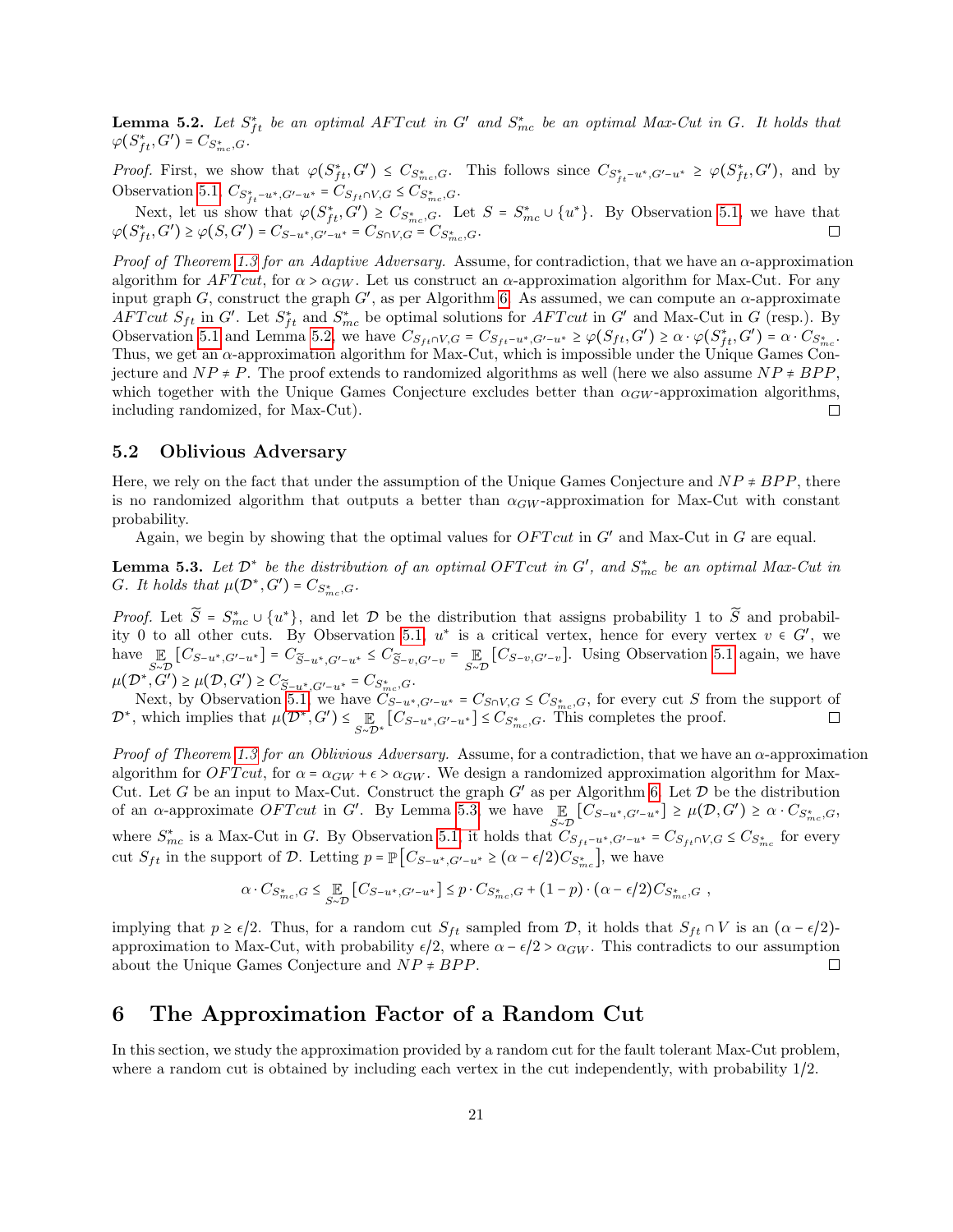**Lemma 5.2.** Let  $S_{ft}^*$  be an optimal AFT cut in G' and  $S_{mc}^*$  be an optimal Max-Cut in G. It holds that  $\varphi(S_{ft}^*, G') = C_{S_{mc}^*, G}.$ 

*Proof.* First, we show that  $\varphi(S_{ft}^*, G') \leq C_{S_{mc}^*,G}$ . This follows since  $C_{S_{ft}^* - u^*, G' - u^*} \geq \varphi(S_{ft}^*, G')$ , and by Observation [5.1,](#page-19-3)  $C_{S_{ft}^* - u^*, G' - u^*} = C_{S_{ft} \cap V, G} \leq C_{S_{mc}^*, G}$ .

Next, let us show that  $\varphi(S_{ft}^*, \dot{G}') \geq C_{S_{mc}^*, G}$ . Let  $S = S_{mc}^* \cup \{u^*\}$ . By Observation [5.1,](#page-19-3) we have that  $\varphi(S_{ft}^*, G') \geq \varphi(S, G') = C_{S-u^*, G'-u^*} = C_{S \cap V, G} = C_{S_{mc}^*, G}.$ 

Proof of Theorem [1.3](#page-2-2) for an Adaptive Adversary. Assume, for contradiction, that we have an  $\alpha$ -approximation algorithm for  $AFTcut$ , for  $\alpha > \alpha_{GW}$ . Let us construct an  $\alpha$ -approximation algorithm for Max-Cut. For any input graph G, construct the graph G', as per Algorithm [6.](#page-19-1) As assumed, we can compute an  $\alpha$ -approximate  $\Lambda FTcut$   $S_{ft}$  in  $G'$ . Let  $S_{ft}^*$  and  $S_{mc}^*$  be optimal solutions for  $\Lambda FTcut$  in  $G'$  and Max-Cut in  $G$  (resp.). By Observation [5.1](#page-19-3) and Lemma [5.2,](#page-19-4) we have  $C_{S_{ft} \cap V, G} = C_{S_{ft} - u^*}, G' - u^* \ge \varphi(S_{ft}, G') \ge \alpha \cdot \varphi(S_{ft}^*, G') = \alpha \cdot C_{S_{tr}^*}$ . Thus, we get an  $\alpha$ -approximation algorithm for Max-Cut, which is impossible under the Unique Games Conjecture and  $NP \neq P$ . The proof extends to randomized algorithms as well (here we also assume  $NP \neq BPP$ , which together with the Unique Games Conjecture excludes better than  $\alpha_{GW}$ -approximation algorithms, including randomized, for Max-Cut).  $\Box$ 

### 5.2 Oblivious Adversary

Here, we rely on the fact that under the assumption of the Unique Games Conjecture and  $NP \neq BPP$ , there is no randomized algorithm that outputs a better than  $\alpha_{GW}$ -approximation for Max-Cut with constant probability.

Again, we begin by showing that the optimal values for  $OFTcut$  in  $G'$  and Max-Cut in G are equal.

<span id="page-20-1"></span>**Lemma 5.3.** Let  $\mathcal{D}^*$  be the distribution of an optimal OFT cut in  $G'$ , and  $S^*_{mc}$  be an optimal Max-Cut in G. It holds that  $\mu(\mathcal{D}^*, G') = C_{S_{mc}^*, G}$ .

*Proof.* Let  $\widetilde{S} = S_{mc}^* \cup \{u^*\}$ , and let  $\mathcal{D}$  be the distribution that assigns probability 1 to  $\widetilde{S}$  and probability 0 to all other with  $S_{mc}$ . ity 0 to all other cuts. By Observation [5.1,](#page-19-3)  $u^*$  is a critical vertex, hence for every vertex  $v \in G'$ , we<br>have  $\mathbb{F}$  [C]  $\qquad \qquad$  [C]  $\qquad \qquad \mathbb{F}$  [C]  $\qquad \qquad$  [Using Observation 5.1 spain we have have  $\mathbb{E}_{S \sim \mathcal{D}}[C_{S-u^*,G'-u^*}] = C_{\widetilde{S}-u^*,G'-u^*} \leq C_{\widetilde{S}-v,G'-v} = \mathbb{E}_{S \sim \mathcal{D}}[C_{S-v,G'-v}]$ . Using Observation [5.1](#page-19-3) again, we have  $\mu(\mathcal{D}^*, G') \geq \mu(\mathcal{D}, G') \geq C_{\widetilde{S}-u^*, G'-u^*} = C_{S_{\text{m.c.}}^*, G}.$ <br>Note that the Observation L<sub>1</sub>, one has  $G$ .

Next, by Observation [5.1,](#page-19-3) we have  $C_{S-u^*,G'-u^*} = C_{S\cap V,G} \leq C_{S_{mc}^*,G}$ , for every cut S from the support of  $\mathcal{D}^*$ , which implies that  $\mu(\mathcal{D}^*, G') \leq \mathbb{E}_{S \sim \mathcal{D}^*}[C_{S-u^*,G'-u^*}] \leq C_{S_{mc}^*,G}$ . This completes the proof.

Proof of Theorem [1.3](#page-2-2) for an Oblivious Adversary. Assume, for a contradiction, that we have an  $\alpha$ -approximation algorithm for  $\overline{OFTcut}$ , for  $\alpha = \alpha_{GW} + \epsilon > \alpha_{GW}$ . We design a randomized approximation algorithm for Max-Cut. Let G be an input to Max-Cut. Construct the graph  $G'$  as per Algorithm [6.](#page-19-1) Let  $\mathcal{D}$  be the distribution of an  $\alpha$ -approximate *OFT cut* in G'. By Lemma [5.3,](#page-20-1) we have  $\mathbb E$  $\mathbb{E}_{S \sim \mathcal{D}}[C_{S-u^*,G'-u^*}] \ge \mu(\mathcal{D}, G') \ge \alpha \cdot C_{S_{mc}^*,G},$ where  $S_{mc}^*$  is a Max-Cut in G. By Observation [5.1,](#page-19-3) it holds that  $C_{S_{ft}-u^*,G'-u^*} = C_{S_{ft} \cap V,G} \leq C_{S_{mc}^*}$  for every cut  $S_{ft}$  in the support of D. Letting  $p = \mathbb{P}\left[C_{S-u^*,G'-u^*} \geq (\alpha - \epsilon/2)C_{S_{\infty}^*}\right]$ , we have

$$
\alpha \cdot C_{S_{mc}^*,G} \leq \mathop{\mathbb{E}}_{S \sim \mathcal{D}} \left[ C_{S-u^*,G'-u^*} \right] \leq p \cdot C_{S_{mc}^*,G} + (1-p) \cdot (\alpha - \epsilon/2) C_{S_{mc}^*,G} ,
$$

implying that  $p \ge \epsilon/2$ . Thus, for a random cut  $S_{ft}$  sampled from D, it holds that  $S_{ft} \cap V$  is an  $(\alpha - \epsilon/2)$ approximation to Max-Cut, with probability  $\epsilon/2$ , where  $\alpha - \epsilon/2 > \alpha_{GW}$ . This contradicts to our assumption about the Unique Games Conjecture and  $NP \neq BPP$ . about the Unique Games Conjecture and  $NP \neq BPP$ .

## <span id="page-20-0"></span>6 The Approximation Factor of a Random Cut

In this section, we study the approximation provided by a random cut for the fault tolerant Max-Cut problem, where a random cut is obtained by including each vertex in the cut independently, with probability 1/2.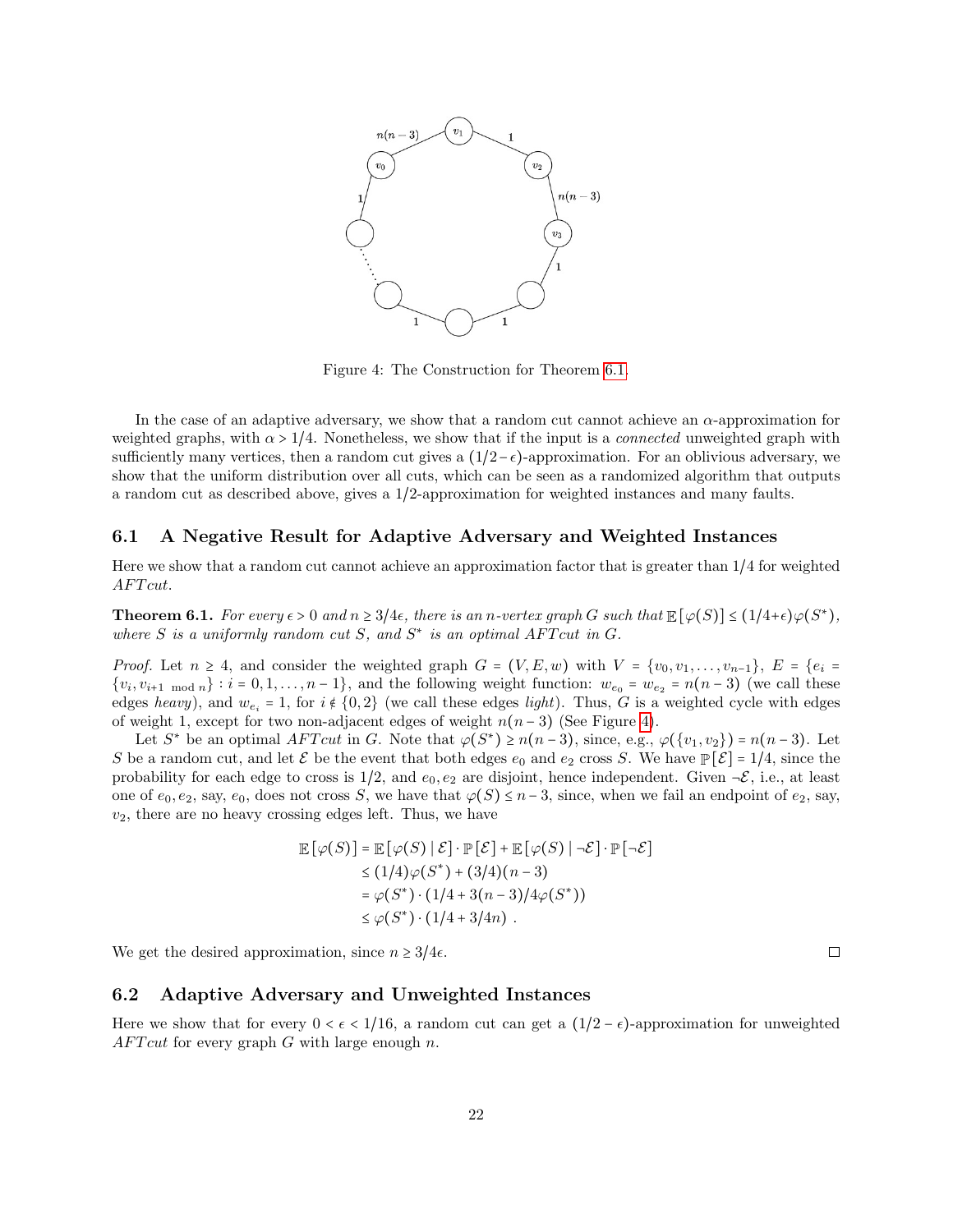

<span id="page-21-1"></span>Figure 4: The Construction for Theorem [6.1.](#page-21-0)

In the case of an adaptive adversary, we show that a random cut cannot achieve an  $\alpha$ -approximation for weighted graphs, with  $\alpha > 1/4$ . Nonetheless, we show that if the input is a *connected* unweighted graph with sufficiently many vertices, then a random cut gives a  $(1/2-\epsilon)$ -approximation. For an oblivious adversary, we show that the uniform distribution over all cuts, which can be seen as a randomized algorithm that outputs a random cut as described above, gives a 1/2-approximation for weighted instances and many faults.

### 6.1 A Negative Result for Adaptive Adversary and Weighted Instances

Here we show that a random cut cannot achieve an approximation factor that is greater than 1/4 for weighted AFT<sub>cut</sub>.

<span id="page-21-0"></span>**Theorem 6.1.** For every  $\epsilon > 0$  and  $n \geq 3/4\epsilon$ , there is an n-vertex graph G such that  $\mathbb{E}[\varphi(S)] \leq (1/4+\epsilon)\varphi(S^*),$ where S is a uniformly random cut S, and  $S^*$  is an optimal AFT cut in G.

*Proof.* Let  $n \geq 4$ , and consider the weighted graph  $G = (V, E, w)$  with  $V = \{v_0, v_1, \ldots, v_{n-1}\}, E = \{e_i =$  $\{v_i, v_{i+1 \mod n}\}$ :  $i = 0, 1, ..., n-1\}$ , and the following weight function:  $w_{e_0} = w_{e_2} = n(n-3)$  (we call these edges heavy), and  $w_{e_i} = 1$ , for  $i \notin \{0,2\}$  (we call these edges light). Thus, G is a weighted cycle with edges of weight 1, except for two non-adjacent edges of weight  $n(n-3)$  (See Figure [4\)](#page-21-1).

Let  $S^*$  be an optimal  $AFTcut$  in G. Note that  $\varphi(S^*) \ge n(n-3)$ , since, e.g.,  $\varphi(\{v_1, v_2\}) = n(n-3)$ . Let S be a random cut, and let  $\mathcal E$  be the event that both edges  $e_0$  and  $e_2$  cross S. We have  $\mathbb P[\mathcal E] = 1/4$ , since the probability for each edge to cross is  $1/2$ , and  $e_0, e_2$  are disjoint, hence independent. Given  $\neg \mathcal{E}$ , i.e., at least one of  $e_0, e_2$ , say,  $e_0$ , does not cross S, we have that  $\varphi(S) \leq n-3$ , since, when we fail an endpoint of  $e_2$ , say,  $v_2$ , there are no heavy crossing edges left. Thus, we have

$$
\mathbb{E}\left[\varphi(S)\right] = \mathbb{E}\left[\varphi(S) \mid \mathcal{E}\right] \cdot \mathbb{P}\left[\mathcal{E}\right] + \mathbb{E}\left[\varphi(S) \mid \neg \mathcal{E}\right] \cdot \mathbb{P}\left[\neg \mathcal{E}\right]
$$
\n
$$
\leq (1/4)\varphi(S^*) + (3/4)(n-3)
$$
\n
$$
= \varphi(S^*) \cdot (1/4 + 3(n-3)/4\varphi(S^*))
$$
\n
$$
\leq \varphi(S^*) \cdot (1/4 + 3/4n) \ .
$$

We get the desired approximation, since  $n \geq 3/4\epsilon$ .

### 6.2 Adaptive Adversary and Unweighted Instances

Here we show that for every  $0 < \epsilon < 1/16$ , a random cut can get a  $(1/2 - \epsilon)$ -approximation for unweighted  $AFTcut$  for every graph G with large enough n.

 $\Box$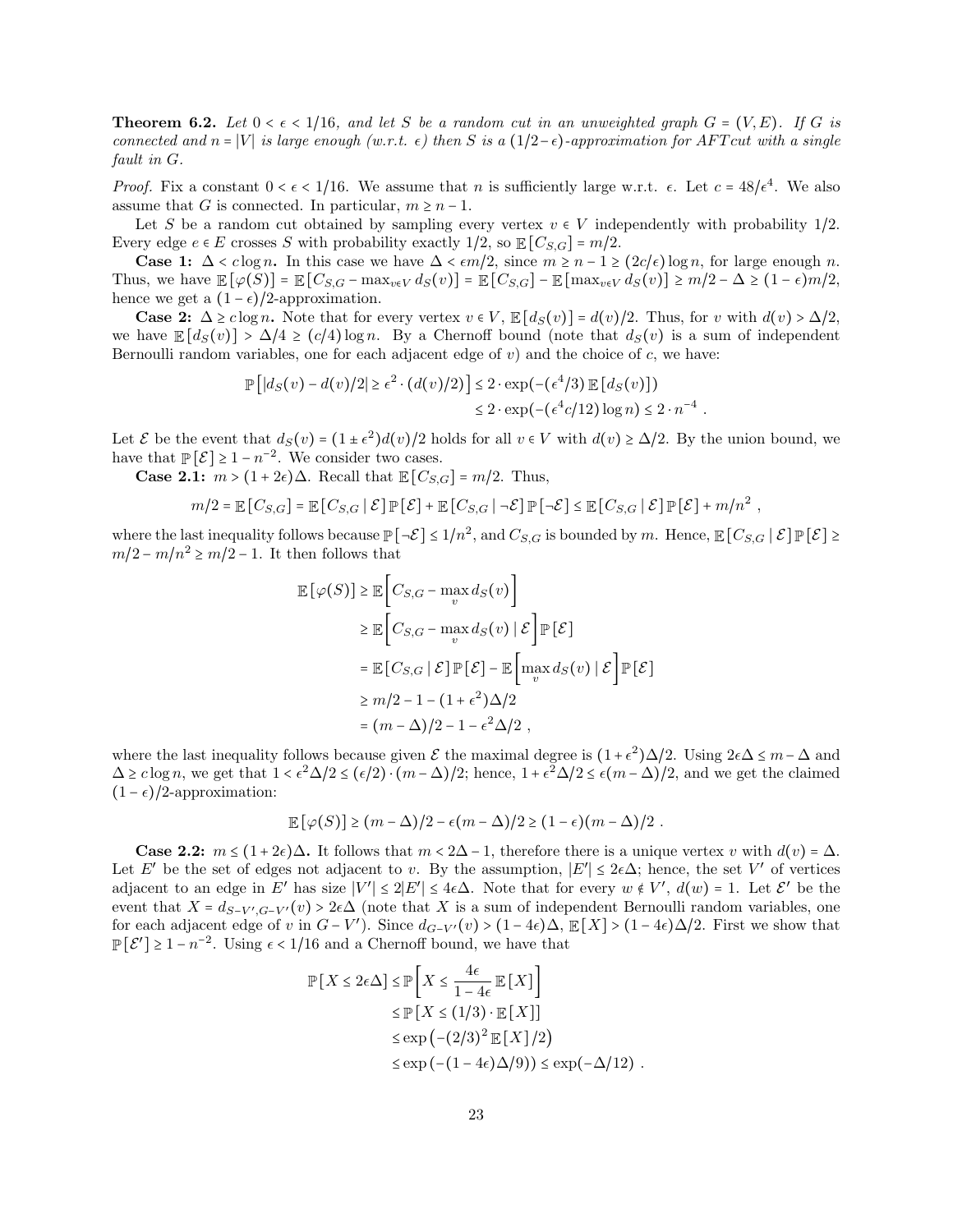**Theorem 6.2.** Let  $0 \leq \epsilon \leq 1/16$ , and let S be a random cut in an unweighted graph  $G = (V, E)$ . If G is connected and n = |V| is large enough (w.r.t.  $\epsilon$ ) then S is a (1/2− $\epsilon$ )-approximation for AFT cut with a single fault in G.

*Proof.* Fix a constant  $0 < \epsilon < 1/16$ . We assume that *n* is sufficiently large w.r.t.  $\epsilon$ . Let  $c = 48/\epsilon^4$ . We also assume that G is connected. In particular,  $m \geq n - 1$ .

Let S be a random cut obtained by sampling every vertex  $v \in V$  independently with probability 1/2. Every edge  $e \in E$  crosses S with probability exactly  $1/2$ , so  $\mathbb{E}[C_{S,G}] = m/2$ .

**Case 1:**  $\Delta < c \log n$ . In this case we have  $\Delta < \epsilon m/2$ , since  $m \geq n - 1 \geq (2c/\epsilon) \log n$ , for large enough n. Thus, we have  $\mathbb{E}[\varphi(S)] = \mathbb{E}[C_{S,G} - \max_{v \in V} d_S(v)] = \mathbb{E}[C_{S,G}] - \mathbb{E}[\max_{v \in V} d_S(v)] \geq m/2 - \Delta \geq (1 - \epsilon)m/2$ , hence we get a  $(1 - \epsilon)/2$ -approximation.

Case 2:  $\Delta \geq c \log n$ . Note that for every vertex  $v \in V$ ,  $\mathbb{E}[d_S(v)] = d(v)/2$ . Thus, for v with  $d(v) > \Delta/2$ , we have  $\mathbb{E}[d_S(v)] > \Delta/4 \ge (c/4) \log n$ . By a Chernoff bound (note that  $d_S(v)$ ) is a sum of independent Bernoulli random variables, one for each adjacent edge of  $v$ ) and the choice of  $c$ , we have:

$$
\mathbb{P}\left[|d_S(v) - d(v)/2| \ge \epsilon^2 \cdot (d(v)/2)\right] \le 2 \cdot \exp(-(\epsilon^4/3) \mathbb{E}\left[d_S(v)\right])
$$
  

$$
\le 2 \cdot \exp(-(\epsilon^4 c/12) \log n) \le 2 \cdot n^{-4}
$$

Let  $\mathcal E$  be the event that  $d_S(v) = (1 \pm \epsilon^2) d(v)/2$  holds for all  $v \in V$  with  $d(v) \ge \Delta/2$ . By the union bound, we have that  $\mathbb E[\mathcal E] \ge 1$ ,  $\mathbb E[\mathcal E] \ge 1$ have that  $\mathbb{P}[\mathcal{E}] \ge 1 - n^{-2}$ . We consider two cases.

.

Case 2.1:  $m > (1 + 2\epsilon)\Delta$ . Recall that  $\mathbb{E}[C_{S,G}] = m/2$ . Thus,

$$
m/2 = \mathbb{E}\left[C_{S,G}\right] = \mathbb{E}\left[C_{S,G} \mid \mathcal{E}\right] \mathbb{P}\left[\mathcal{E}\right] + \mathbb{E}\left[C_{S,G} \mid \neg \mathcal{E}\right] \mathbb{P}\left[\neg \mathcal{E}\right] \leq \mathbb{E}\left[C_{S,G} \mid \mathcal{E}\right] \mathbb{P}\left[\mathcal{E}\right] + m/n^2,
$$

where the last inequality follows because  $\mathbb{P}[\neg \mathcal{E}] \le 1/n^2$ , and  $C_{S,G}$  is bounded by m. Hence,  $\mathbb{E}[C_{S,G} | \mathcal{E}] \mathbb{P}[\mathcal{E}] \ge$  $m/2 - m/n^2 \ge m/2 - 1$ . It then follows that

$$
\mathbb{E}\left[\varphi(S)\right] \geq \mathbb{E}\left[C_{S,G} - \max_{v} d_{S}(v)\right]
$$
\n
$$
\geq \mathbb{E}\left[C_{S,G} - \max_{v} d_{S}(v) | \mathcal{E}\right] \mathbb{P}\left[\mathcal{E}\right]
$$
\n
$$
= \mathbb{E}\left[C_{S,G} | \mathcal{E}\right] \mathbb{P}\left[\mathcal{E}\right] - \mathbb{E}\left[\max_{v} d_{S}(v) | \mathcal{E}\right] \mathbb{P}\left[\mathcal{E}\right]
$$
\n
$$
\geq m/2 - 1 - (1 + \epsilon^{2})\Delta/2
$$
\n
$$
= (m - \Delta)/2 - 1 - \epsilon^{2}\Delta/2,
$$

where the last inequality follows because given  $\mathcal E$  the maximal degree is  $(1+\epsilon^2)\Delta/2$ . Using  $2\epsilon\Delta \leq m-\Delta$  and  $\Delta \ge c \log n$ , we get that  $1 < \epsilon^2 \Delta/2 \le (\epsilon/2) \cdot (m - \Delta)/2$ ; hence,  $1 + \epsilon^2 \Delta/2 \le \epsilon (m - \Delta)/2$ , and we get the claimed  $(1 - \epsilon)/2$ -approximation:

$$
\mathbb{E}\left[\varphi(S)\right] \geq (m-\Delta)/2 - \epsilon(m-\Delta)/2 \geq (1-\epsilon)(m-\Delta)/2.
$$

Case 2.2:  $m \leq (1+2\epsilon)\Delta$ . It follows that  $m < 2\Delta - 1$ , therefore there is a unique vertex v with  $d(v) = \Delta$ . Let E' be the set of edges not adjacent to v. By the assumption,  $|E'| \le 2\epsilon \Delta$ ; hence, the set V' of vertices adjacent to an edge in E' has size  $|V'| \le 2|E'| \le 4\epsilon\Delta$ . Note that for every  $w \notin V'$ ,  $d(w) = 1$ . Let  $\mathcal{E}'$  be the event that  $X = d_{S-V',G-V'}(v) > 2\epsilon\Delta$  (note that X is a sum of independent Bernoulli random variables, one<br>for each editional rates of u.ip  $G: V'$ . Since  $d = (\omega) \times (1 - 4\epsilon)\Delta = \mathbb{F}[X] \times (1 - 4\epsilon)\Delta/2$ . First we show that for each adjacent edge of v in  $G - V'$ ). Since  $d_{G-V'}(v) > (1 - 4\epsilon)\Delta$ ,  $\mathbb{E}[X] > (1 - 4\epsilon)\Delta/2$ . First we show that  $\mathbb{P}[\mathcal{E}'] \ge 1 - n^{-2}$ . Using  $\epsilon < 1/16$  and a Chernoff bound, we have that

$$
\mathbb{P}\left[X \le 2\epsilon\Delta\right] \le \mathbb{P}\left[X \le \frac{4\epsilon}{1-4\epsilon} \mathbb{E}\left[X\right]\right] \le \mathbb{P}\left[X \le (1/3) \cdot \mathbb{E}\left[X\right]\right] \le \exp\left(-(2/3)^2 \mathbb{E}\left[X\right]/2\right) \le \exp\left(-(1-4\epsilon)\Delta/9\right) \le \exp(-\Delta/12) \; .
$$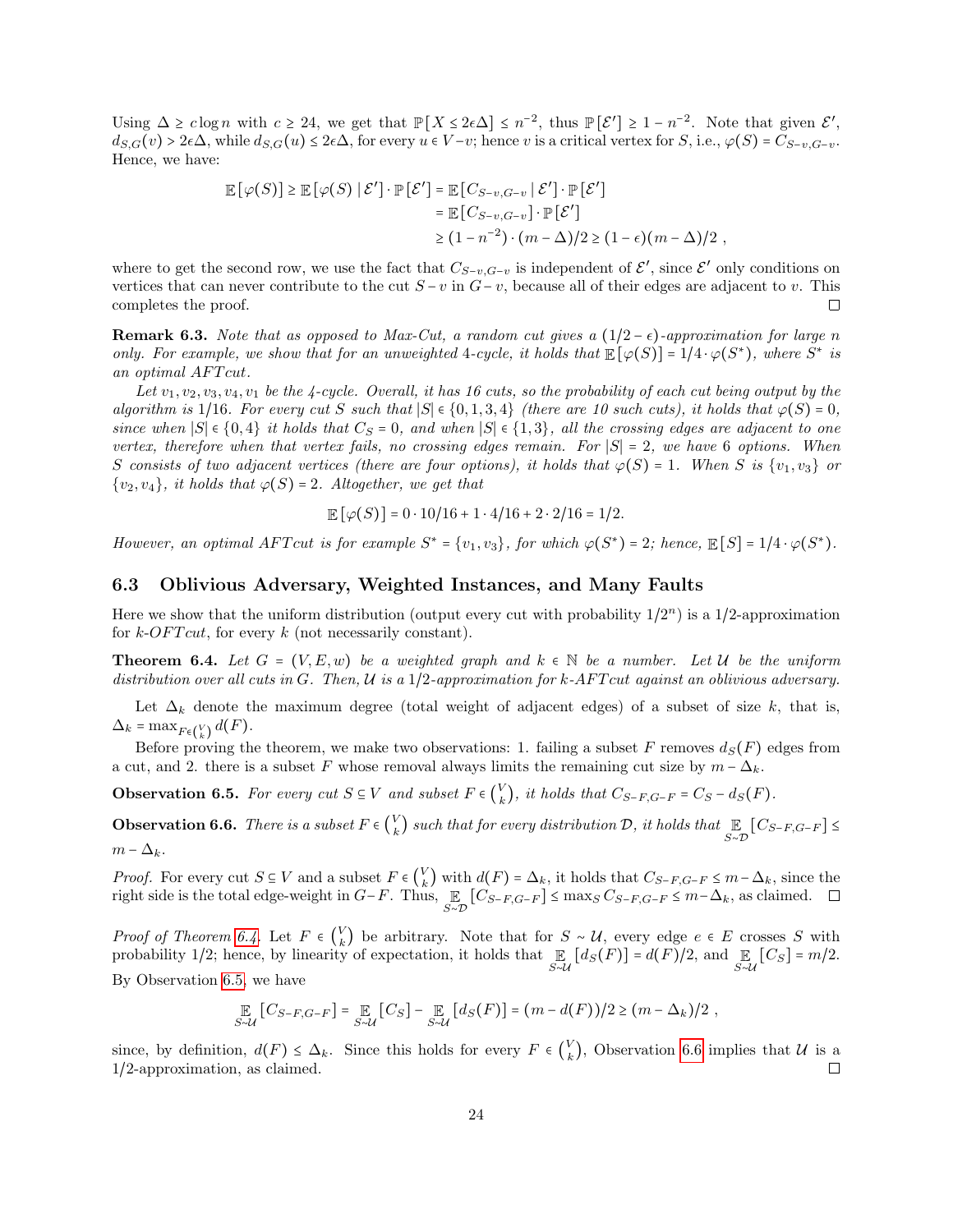Using  $\Delta \geq c \log n$  with  $c \geq 24$ , we get that  $\mathbb{P}[X \leq 2\epsilon \Delta] \leq n^{-2}$ , thus  $\mathbb{P}[\mathcal{E}'] \geq 1 - n^{-2}$ . Note that given  $\mathcal{E}'$ ,  $d_{S,G}(v) > 2\epsilon\Delta$ , while  $d_{S,G}(u) \leq 2\epsilon\Delta$ , for every  $u \in V-v$ ; hence v is a critical vertex for  $S$ , i.e.,  $\varphi(S) = C_{S-v,G-v}$ . Hence, we have:

$$
\mathbb{E}\left[\varphi(S)\right] \geq \mathbb{E}\left[\varphi(S)\mid \mathcal{E}'\right] \cdot \mathbb{P}\left[\mathcal{E}'\right] = \mathbb{E}\left[C_{S-v,G-v} \mid \mathcal{E}'\right] \cdot \mathbb{P}\left[\mathcal{E}'\right] \n= \mathbb{E}\left[C_{S-v,G-v}\right] \cdot \mathbb{P}\left[\mathcal{E}'\right] \n\geq (1 - n^{-2}) \cdot (m - \Delta)/2 \geq (1 - \epsilon)(m - \Delta)/2,
$$

where to get the second row, we use the fact that  $C_{S-v,G-v}$  is independent of  $\mathcal{E}'$ , since  $\mathcal{E}'$  only conditions on vertices that can never contribute to the cut  $S - v$  in  $G - v$ , because all of their edges are adjacent to v. This completes the proof.  $\Box$ 

**Remark 6.3.** Note that as opposed to Max-Cut, a random cut gives a  $(1/2 - \epsilon)$ -approximation for large n only. For example, we show that for an unweighted 4-cycle, it holds that  $\mathbb{E}[\varphi(S)] = 1/4 \cdot \varphi(S^*)$ , where  $S^*$  is an optimal AFTcut.

Let  $v_1, v_2, v_3, v_4, v_1$  be the 4-cycle. Overall, it has 16 cuts, so the probability of each cut being output by the algorithm is 1/16. For every cut S such that  $|S| \in \{0, 1, 3, 4\}$  (there are 10 such cuts), it holds that  $\varphi(S) = 0$ , since when  $|S| \in \{0,4\}$  it holds that  $C_S = 0$ , and when  $|S| \in \{1,3\}$ , all the crossing edges are adjacent to one vertex, therefore when that vertex fails, no crossing edges remain. For  $|S| = 2$ , we have 6 options. When S consists of two adjacent vertices (there are four options), it holds that  $\varphi(S) = 1$ . When S is  $\{v_1, v_3\}$  or  $\{v_2, v_4\}$ , it holds that  $\varphi(S) = 2$ . Altogether, we get that

$$
\mathbb{E}[\varphi(S)] = 0 \cdot 10/16 + 1 \cdot 4/16 + 2 \cdot 2/16 = 1/2.
$$

However, an optimal AFT cut is for example  $S^* = \{v_1, v_3\}$ , for which  $\varphi(S^*) = 2$ ; hence,  $\mathbb{E}[S] = 1/4 \cdot \varphi(S^*)$ .

### 6.3 Oblivious Adversary, Weighted Instances, and Many Faults

Here we show that the uniform distribution (output every cut with probability  $1/2^n$ ) is a  $1/2$ -approximation for  $k$ -*OFT* cut, for every k (not necessarily constant).

<span id="page-23-0"></span>**Theorem 6.4.** Let  $G = (V, E, w)$  be a weighted graph and  $k \in \mathbb{N}$  be a number. Let U be the uniform distribution over all cuts in G. Then,  $\mathcal U$  is a 1/2-approximation for k-AFT cut against an oblivious adversary.

Let  $\Delta_k$  denote the maximum degree (total weight of adjacent edges) of a subset of size k, that is,  $\Delta_k = \max_{F \in {V \choose k}} d(F).$ 

Before proving the theorem, we make two observations: 1. failing a subset F removes  $d_S(F)$  edges from a cut, and 2. there is a subset F whose removal always limits the remaining cut size by  $m - \Delta_k$ .

<span id="page-23-1"></span>**Observation 6.5.** For every cut  $S \subseteq V$  and subset  $F \in {V \choose k}$  $\binom{V}{k}$ , it holds that  $C_{S-F,G-F} = C_S - d_S(F)$ .

<span id="page-23-2"></span>**Observation 6.6.** There is a subset  $F \in \begin{pmatrix} V_k \\ k \end{pmatrix}$  $\mathcal{L}_{k}^{V}$ ) such that for every distribution  $\mathcal{D}$ , it holds that  $\mathbb{E}\limits_{S\sim\mathcal{D}}\left[C_{S-F,G-F}\right]\leq 1$  $m - \Delta_k$ .

*Proof.* For every cut  $S \subseteq V$  and a subset  $F \in V$ <br>wight side is the total edge weight in  $C \subseteq F$ . Thus *Proof.* For every cut  $S \subseteq V$  and a subset  $F \in {V \choose k}$  with  $d(F) = \Delta_k$ , it holds that  $C_{S-F,G-F} \le m - \Delta_k$ , since the right side is the total edge-weight in  $G-F$ . Thus,  $E [C_{S-F,G-F}] \le \max_S C_{S-F,G-F} \le m - \Delta_k$ , as claimed. □  $\mathbb{E}_{S \sim \mathcal{D}}[C_{S-F,G-F}] \le \max_{S \sim \mathcal{D}} C_{S-F,G-F} \le m-\Delta_k$ , as claimed.

Proof of Theorem [6.4.](#page-23-0) Let  $F \in \binom{V_k}{k}$ k) be arbitrary. Note that for  $S \sim U$ , every edge  $e \in E$  crosses S with probability 1/2; hence, by linearity of expectation, it holds that  $\mathbb{E}_{S \sim \mathcal{U}}[d_S(F)] = d(F)/2$ , and  $\mathbb{E}_{S \sim \mathcal{U}}[C_S] = m/2$ . By Observation [6.5,](#page-23-1) we have

$$
\mathop{\mathbb{E}}_{S \sim \mathcal{U}}[C_{S-F,G-F}] = \mathop{\mathbb{E}}_{S \sim \mathcal{U}}[C_S] - \mathop{\mathbb{E}}_{S \sim \mathcal{U}}[d_S(F)] = (m - d(F))/2 \ge (m - \Delta_k)/2,
$$

since, by definition,  $d(F) \leq \Delta_k$ . Since this holds for every  $F \in \binom{V}{k}$  $\binom{V}{k}$ , Observation [6.6](#page-23-2) implies that  $\mathcal{U}$  is a 1/2-approximation, as claimed.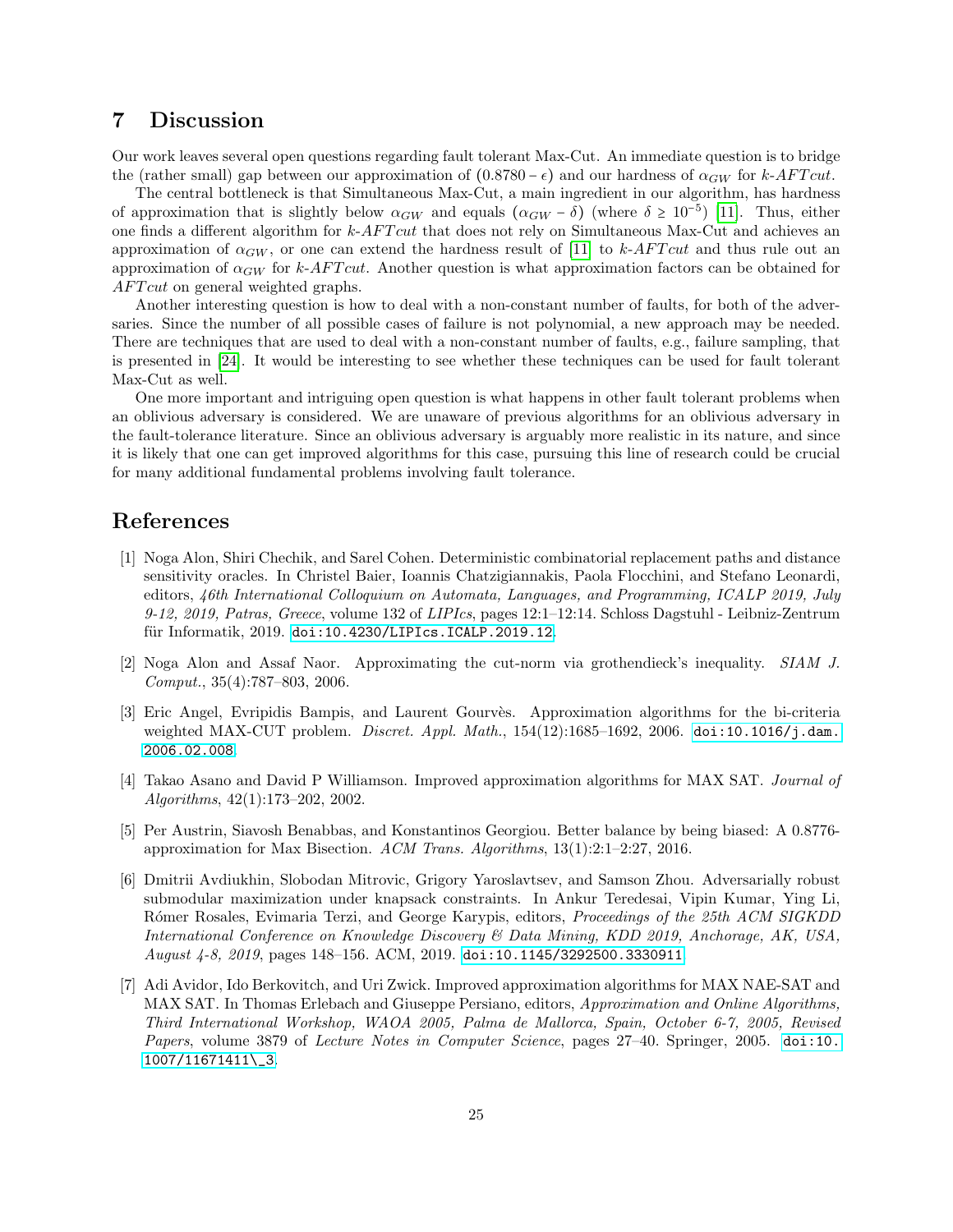## 7 Discussion

Our work leaves several open questions regarding fault tolerant Max-Cut. An immediate question is to bridge the (rather small) gap between our approximation of  $(0.8780 - \epsilon)$  and our hardness of  $\alpha_{GW}$  for k-AFT cut.

The central bottleneck is that Simultaneous Max-Cut, a main ingredient in our algorithm, has hardness of approximation that is slightly below  $\alpha_{GW}$  and equals  $(\alpha_{GW} - \delta)$  (where  $\delta \geq 10^{-5}$ ) [\[11\]](#page-25-8). Thus, either one finds a different algorithm for k-AFT cut that does not rely on Simultaneous Max-Cut and achieves an approximation of  $\alpha_{GW}$ , or one can extend the hardness result of [\[11\]](#page-25-8) to k-AFT cut and thus rule out an approximation of  $\alpha_{GW}$  for k-AFT cut. Another question is what approximation factors can be obtained for AFT cut on general weighted graphs.

Another interesting question is how to deal with a non-constant number of faults, for both of the adversaries. Since the number of all possible cases of failure is not polynomial, a new approach may be needed. There are techniques that are used to deal with a non-constant number of faults, e.g., failure sampling, that is presented in [\[24\]](#page-26-11). It would be interesting to see whether these techniques can be used for fault tolerant Max-Cut as well.

One more important and intriguing open question is what happens in other fault tolerant problems when an oblivious adversary is considered. We are unaware of previous algorithms for an oblivious adversary in the fault-tolerance literature. Since an oblivious adversary is arguably more realistic in its nature, and since it is likely that one can get improved algorithms for this case, pursuing this line of research could be crucial for many additional fundamental problems involving fault tolerance.

## References

- <span id="page-24-6"></span>[1] Noga Alon, Shiri Chechik, and Sarel Cohen. Deterministic combinatorial replacement paths and distance sensitivity oracles. In Christel Baier, Ioannis Chatzigiannakis, Paola Flocchini, and Stefano Leonardi, editors, 46th International Colloquium on Automata, Languages, and Programming, ICALP 2019, July 9-12, 2019, Patras, Greece, volume 132 of LIPIcs, pages 12:1–12:14. Schloss Dagstuhl - Leibniz-Zentrum für Informatik, 2019. [doi:10.4230/LIPIcs.ICALP.2019.12](https://doi.org/10.4230/LIPIcs.ICALP.2019.12).
- <span id="page-24-3"></span>[2] Noga Alon and Assaf Naor. Approximating the cut-norm via grothendieck's inequality. SIAM J. Comput., 35(4):787–803, 2006.
- <span id="page-24-4"></span>[3] Eric Angel, Evripidis Bampis, and Laurent Gourvès. Approximation algorithms for the bi-criteria weighted MAX-CUT problem. *Discret. Appl. Math.*, 154(12):1685-1692, 2006. [doi:10.1016/j.dam.](https://doi.org/10.1016/j.dam.2006.02.008) [2006.02.008](https://doi.org/10.1016/j.dam.2006.02.008).
- <span id="page-24-1"></span>[4] Takao Asano and David P Williamson. Improved approximation algorithms for MAX SAT. Journal of Algorithms, 42(1):173–202, 2002.
- <span id="page-24-0"></span>[5] Per Austrin, Siavosh Benabbas, and Konstantinos Georgiou. Better balance by being biased: A 0.8776 approximation for Max Bisection. ACM Trans. Algorithms,  $13(1):2:1-2:27$ , 2016.
- <span id="page-24-5"></span>[6] Dmitrii Avdiukhin, Slobodan Mitrovic, Grigory Yaroslavtsev, and Samson Zhou. Adversarially robust submodular maximization under knapsack constraints. In Ankur Teredesai, Vipin Kumar, Ying Li, Rómer Rosales, Evimaria Terzi, and George Karypis, editors, Proceedings of the 25th ACM SIGKDD International Conference on Knowledge Discovery & Data Mining, KDD 2019, Anchorage, AK, USA, August 4-8, 2019, pages 148–156. ACM, 2019. [doi:10.1145/3292500.3330911](https://doi.org/10.1145/3292500.3330911).
- <span id="page-24-2"></span>[7] Adi Avidor, Ido Berkovitch, and Uri Zwick. Improved approximation algorithms for MAX NAE-SAT and MAX SAT. In Thomas Erlebach and Giuseppe Persiano, editors, Approximation and Online Algorithms, Third International Workshop, WAOA 2005, Palma de Mallorca, Spain, October 6-7, 2005, Revised Papers, volume 3879 of Lecture Notes in Computer Science, pages 27-40. Springer, 2005. [doi:10.](https://doi.org/10.1007/11671411_3) [1007/11671411\\\_3](https://doi.org/10.1007/11671411_3).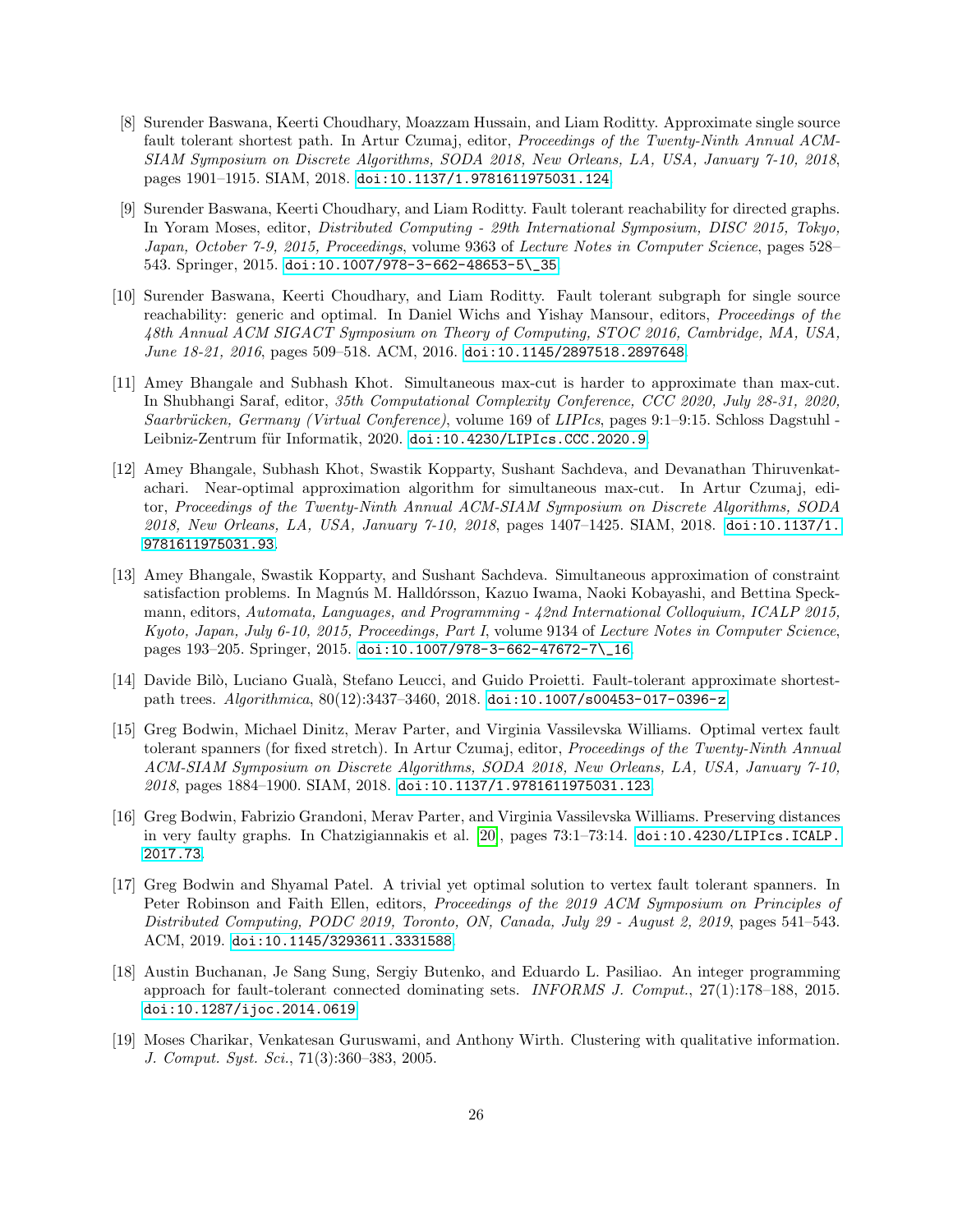- <span id="page-25-9"></span>[8] Surender Baswana, Keerti Choudhary, Moazzam Hussain, and Liam Roditty. Approximate single source fault tolerant shortest path. In Artur Czumaj, editor, Proceedings of the Twenty-Ninth Annual ACM-SIAM Symposium on Discrete Algorithms, SODA 2018, New Orleans, LA, USA, January 7-10, 2018, pages 1901–1915. SIAM, 2018. [doi:10.1137/1.9781611975031.124](https://doi.org/10.1137/1.9781611975031.124).
- <span id="page-25-3"></span>[9] Surender Baswana, Keerti Choudhary, and Liam Roditty. Fault tolerant reachability for directed graphs. In Yoram Moses, editor, Distributed Computing - 29th International Symposium, DISC 2015, Tokyo, Japan, October 7-9, 2015, Proceedings, volume 9363 of Lecture Notes in Computer Science, pages 528– 543. Springer, 2015. [doi:10.1007/978-3-662-48653-5\\\_35](https://doi.org/10.1007/978-3-662-48653-5_35).
- <span id="page-25-4"></span>[10] Surender Baswana, Keerti Choudhary, and Liam Roditty. Fault tolerant subgraph for single source reachability: generic and optimal. In Daniel Wichs and Yishay Mansour, editors, Proceedings of the 48th Annual ACM SIGACT Symposium on Theory of Computing, STOC 2016, Cambridge, MA, USA, June 18-21, 2016, pages 509–518. ACM, 2016. [doi:10.1145/2897518.2897648](https://doi.org/10.1145/2897518.2897648).
- <span id="page-25-8"></span>[11] Amey Bhangale and Subhash Khot. Simultaneous max-cut is harder to approximate than max-cut. In Shubhangi Saraf, editor, 35th Computational Complexity Conference, CCC 2020, July 28-31, 2020, Saarbrücken, Germany (Virtual Conference), volume 169 of LIPIcs, pages 9:1–9:15. Schloss Dagstuhl Leibniz-Zentrum für Informatik, 2020. [doi:10.4230/LIPIcs.CCC.2020.9](https://doi.org/10.4230/LIPIcs.CCC.2020.9).
- <span id="page-25-6"></span>[12] Amey Bhangale, Subhash Khot, Swastik Kopparty, Sushant Sachdeva, and Devanathan Thiruvenkatachari. Near-optimal approximation algorithm for simultaneous max-cut. In Artur Czumaj, editor, Proceedings of the Twenty-Ninth Annual ACM-SIAM Symposium on Discrete Algorithms, SODA 2018, New Orleans, LA, USA, January 7-10, 2018, pages 1407–1425. SIAM, 2018. [doi:10.1137/1.](https://doi.org/10.1137/1.9781611975031.93) [9781611975031.93](https://doi.org/10.1137/1.9781611975031.93).
- <span id="page-25-7"></span>[13] Amey Bhangale, Swastik Kopparty, and Sushant Sachdeva. Simultaneous approximation of constraint satisfaction problems. In Magnús M. Halldórsson, Kazuo Iwama, Naoki Kobayashi, and Bettina Speckmann, editors, Automata, Languages, and Programming - 42nd International Colloquium, ICALP 2015, Kyoto, Japan, July 6-10, 2015, Proceedings, Part I, volume 9134 of Lecture Notes in Computer Science, pages 193–205. Springer, 2015. [doi:10.1007/978-3-662-47672-7\\\_16](https://doi.org/10.1007/978-3-662-47672-7_16).
- <span id="page-25-10"></span>[14] Davide Bilò, Luciano Gualà, Stefano Leucci, and Guido Proietti. Fault-tolerant approximate shortestpath trees. Algorithmica, 80(12):3437–3460, 2018. [doi:10.1007/s00453-017-0396-z](https://doi.org/10.1007/s00453-017-0396-z).
- <span id="page-25-1"></span>[15] Greg Bodwin, Michael Dinitz, Merav Parter, and Virginia Vassilevska Williams. Optimal vertex fault tolerant spanners (for fixed stretch). In Artur Czumaj, editor, Proceedings of the Twenty-Ninth Annual ACM-SIAM Symposium on Discrete Algorithms, SODA 2018, New Orleans, LA, USA, January 7-10, 2018, pages 1884–1900. SIAM, 2018. [doi:10.1137/1.9781611975031.123](https://doi.org/10.1137/1.9781611975031.123).
- [16] Greg Bodwin, Fabrizio Grandoni, Merav Parter, and Virginia Vassilevska Williams. Preserving distances in very faulty graphs. In Chatzigiannakis et al. [\[20\]](#page-26-12), pages 73:1–73:14. [doi:10.4230/LIPIcs.ICALP.](https://doi.org/10.4230/LIPIcs.ICALP.2017.73) [2017.73](https://doi.org/10.4230/LIPIcs.ICALP.2017.73).
- <span id="page-25-2"></span>[17] Greg Bodwin and Shyamal Patel. A trivial yet optimal solution to vertex fault tolerant spanners. In Peter Robinson and Faith Ellen, editors, Proceedings of the 2019 ACM Symposium on Principles of Distributed Computing, PODC 2019, Toronto, ON, Canada, July 29 - August 2, 2019, pages 541–543. ACM, 2019. [doi:10.1145/3293611.3331588](https://doi.org/10.1145/3293611.3331588).
- <span id="page-25-5"></span>[18] Austin Buchanan, Je Sang Sung, Sergiy Butenko, and Eduardo L. Pasiliao. An integer programming approach for fault-tolerant connected dominating sets. INFORMS J. Comput., 27(1):178–188, 2015. [doi:10.1287/ijoc.2014.0619](https://doi.org/10.1287/ijoc.2014.0619).
- <span id="page-25-0"></span>[19] Moses Charikar, Venkatesan Guruswami, and Anthony Wirth. Clustering with qualitative information. J. Comput. Syst. Sci., 71(3):360–383, 2005.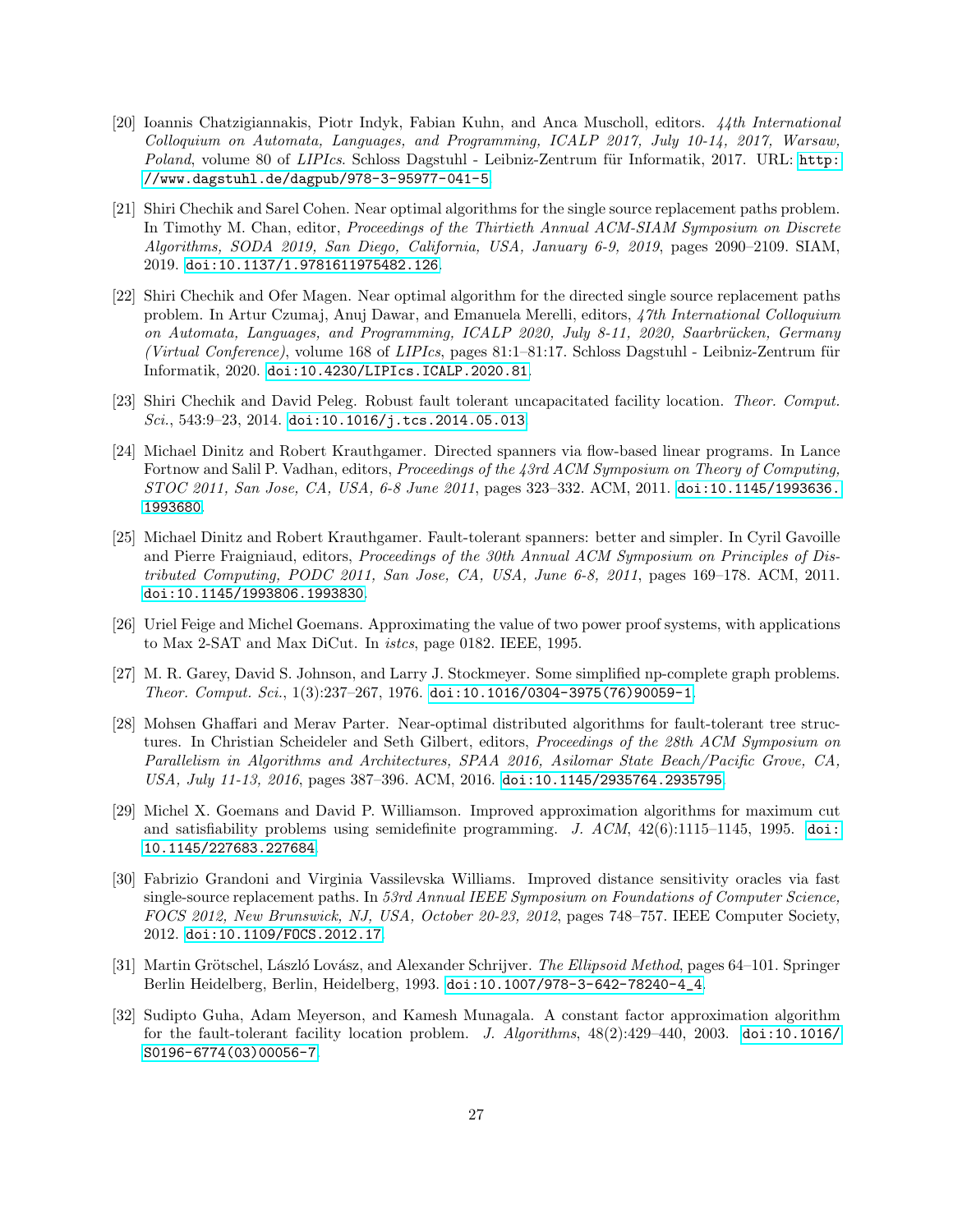- <span id="page-26-12"></span>[20] Ioannis Chatzigiannakis, Piotr Indyk, Fabian Kuhn, and Anca Muscholl, editors. 44th International Colloquium on Automata, Languages, and Programming, ICALP 2017, July 10-14, 2017, Warsaw, Poland, volume 80 of LIPIcs. Schloss Dagstuhl - Leibniz-Zentrum für Informatik, 2017. URL: [http:](http://www.dagstuhl.de/dagpub/978-3-95977-041-5) [//www.dagstuhl.de/dagpub/978-3-95977-041-5](http://www.dagstuhl.de/dagpub/978-3-95977-041-5).
- <span id="page-26-6"></span>[21] Shiri Chechik and Sarel Cohen. Near optimal algorithms for the single source replacement paths problem. In Timothy M. Chan, editor, *Proceedings of the Thirtieth Annual ACM-SIAM Symposium on Discrete* Algorithms, SODA 2019, San Diego, California, USA, January 6-9, 2019, pages 2090–2109. SIAM, 2019. [doi:10.1137/1.9781611975482.126](https://doi.org/10.1137/1.9781611975482.126).
- <span id="page-26-7"></span>[22] Shiri Chechik and Ofer Magen. Near optimal algorithm for the directed single source replacement paths problem. In Artur Czumaj, Anuj Dawar, and Emanuela Merelli, editors, 47th International Colloquium on Automata, Languages, and Programming, ICALP 2020, July 8-11, 2020, Saarbrücken, Germany (Virtual Conference), volume 168 of LIPIcs, pages  $81:1-81:17$ . Schloss Dagstuhl - Leibniz-Zentrum für Informatik, 2020. [doi:10.4230/LIPIcs.ICALP.2020.81](https://doi.org/10.4230/LIPIcs.ICALP.2020.81).
- <span id="page-26-3"></span>[23] Shiri Chechik and David Peleg. Robust fault tolerant uncapacitated facility location. Theor. Comput. Sci.,  $543:9-23$ ,  $2014.$  [doi:10.1016/j.tcs.2014.05.013](https://doi.org/10.1016/j.tcs.2014.05.013).
- <span id="page-26-11"></span>[24] Michael Dinitz and Robert Krauthgamer. Directed spanners via flow-based linear programs. In Lance Fortnow and Salil P. Vadhan, editors, Proceedings of the 43rd ACM Symposium on Theory of Computing, STOC 2011, San Jose, CA, USA, 6-8 June 2011, pages 323–332. ACM, 2011. [doi:10.1145/1993636.](https://doi.org/10.1145/1993636.1993680) [1993680](https://doi.org/10.1145/1993636.1993680).
- <span id="page-26-2"></span>[25] Michael Dinitz and Robert Krauthgamer. Fault-tolerant spanners: better and simpler. In Cyril Gavoille and Pierre Fraigniaud, editors, Proceedings of the 30th Annual ACM Symposium on Principles of Distributed Computing, PODC 2011, San Jose, CA, USA, June 6-8, 2011, pages 169–178. ACM, 2011. [doi:10.1145/1993806.1993830](https://doi.org/10.1145/1993806.1993830).
- <span id="page-26-1"></span>[26] Uriel Feige and Michel Goemans. Approximating the value of two power proof systems, with applications to Max 2-SAT and Max DiCut. In istcs, page 0182. IEEE, 1995.
- <span id="page-26-5"></span>[27] M. R. Garey, David S. Johnson, and Larry J. Stockmeyer. Some simplified np-complete graph problems. Theor. Comput. Sci.,  $1(3):237-267$ ,  $1976$ . [doi:10.1016/0304-3975\(76\)90059-1](https://doi.org/10.1016/0304-3975(76)90059-1).
- <span id="page-26-9"></span>[28] Mohsen Ghaffari and Merav Parter. Near-optimal distributed algorithms for fault-tolerant tree structures. In Christian Scheideler and Seth Gilbert, editors, Proceedings of the 28th ACM Symposium on Parallelism in Algorithms and Architectures, SPAA 2016, Asilomar State Beach/Pacific Grove, CA, USA, July 11-13, 2016, pages 387-396. ACM, 2016. [doi:10.1145/2935764.2935795](https://doi.org/10.1145/2935764.2935795).
- <span id="page-26-0"></span>[29] Michel X. Goemans and David P. Williamson. Improved approximation algorithms for maximum cut and satisfiability problems using semidefinite programming. J.  $ACM$ ,  $42(6):1115-1145$ , 1995. [doi:](https://doi.org/10.1145/227683.227684) [10.1145/227683.227684](https://doi.org/10.1145/227683.227684).
- <span id="page-26-8"></span>[30] Fabrizio Grandoni and Virginia Vassilevska Williams. Improved distance sensitivity oracles via fast single-source replacement paths. In 53rd Annual IEEE Symposium on Foundations of Computer Science, FOCS 2012, New Brunswick, NJ, USA, October 20-23, 2012, pages 748–757. IEEE Computer Society, 2012. [doi:10.1109/FOCS.2012.17](https://doi.org/10.1109/FOCS.2012.17).
- <span id="page-26-10"></span>[31] Martin Grötschel, László Lovász, and Alexander Schrijver. The Ellipsoid Method, pages 64–101. Springer Berlin Heidelberg, Berlin, Heidelberg, 1993. [doi:10.1007/978-3-642-78240-4\\_4](https://doi.org/10.1007/978-3-642-78240-4_4).
- <span id="page-26-4"></span>[32] Sudipto Guha, Adam Meyerson, and Kamesh Munagala. A constant factor approximation algorithm for the fault-tolerant facility location problem. J. Algorithms, 48(2):429–440, 2003. [doi:10.1016/](https://doi.org/10.1016/S0196-6774(03)00056-7) [S0196-6774\(03\)00056-7](https://doi.org/10.1016/S0196-6774(03)00056-7).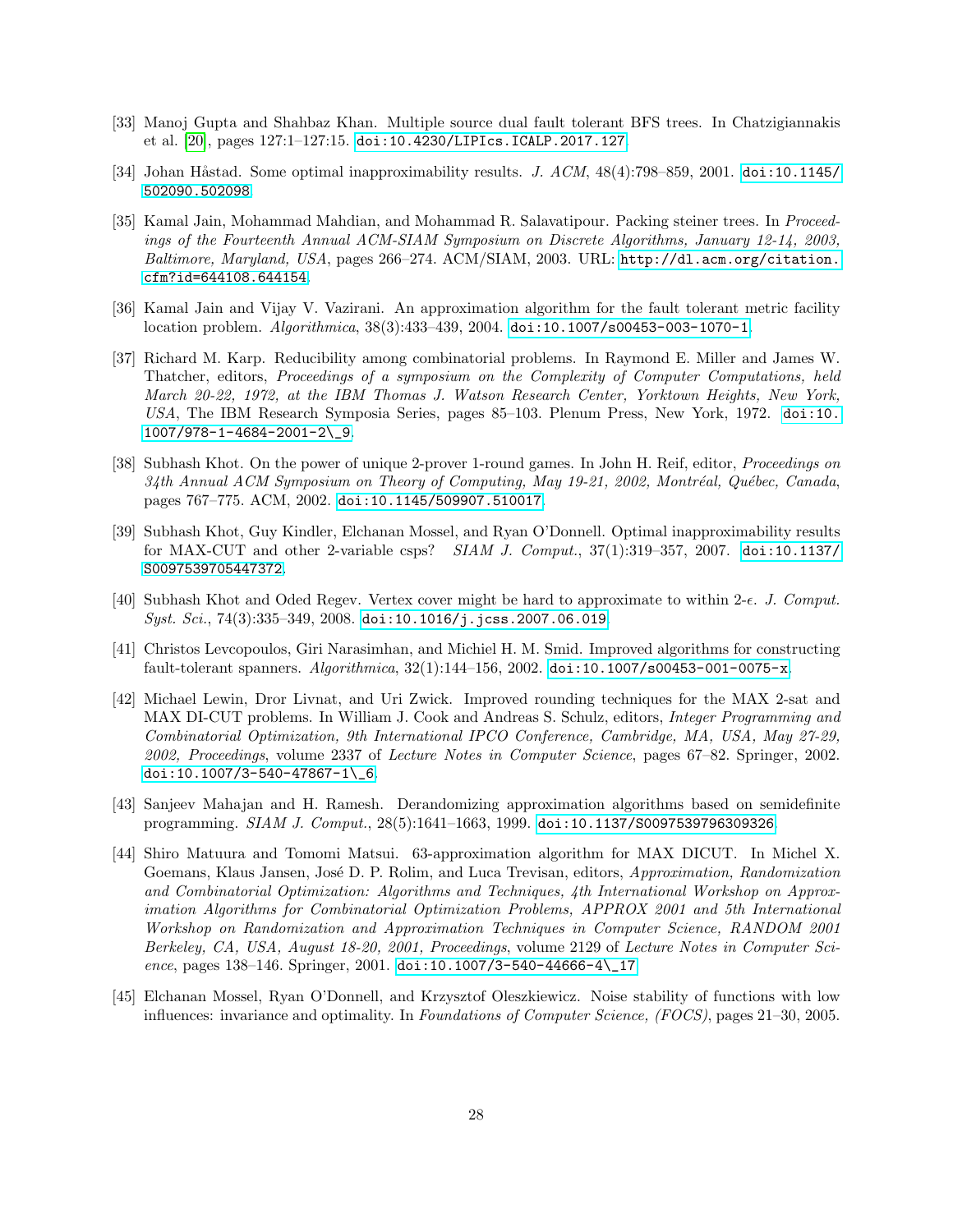- <span id="page-27-7"></span>[33] Manoj Gupta and Shahbaz Khan. Multiple source dual fault tolerant BFS trees. In Chatzigiannakis et al. [\[20\]](#page-26-12), pages 127:1–127:15. [doi:10.4230/LIPIcs.ICALP.2017.127](https://doi.org/10.4230/LIPIcs.ICALP.2017.127).
- <span id="page-27-10"></span>[34] Johan Håstad. Some optimal inapproximability results. J.  $ACM$ ,  $48(4)$ : 798–859, 2001. [doi:10.1145/](https://doi.org/10.1145/502090.502098) [502090.502098](https://doi.org/10.1145/502090.502098).
- <span id="page-27-11"></span>[35] Kamal Jain, Mohammad Mahdian, and Mohammad R. Salavatipour. Packing steiner trees. In Proceedings of the Fourteenth Annual ACM-SIAM Symposium on Discrete Algorithms, January 12-14, 2003, Baltimore, Maryland, USA, pages 266–274. ACM/SIAM, 2003. URL: [http://dl.acm.org/citation.](http://dl.acm.org/citation.cfm?id=644108.644154) [cfm?id=644108.644154](http://dl.acm.org/citation.cfm?id=644108.644154).
- <span id="page-27-9"></span>[36] Kamal Jain and Vijay V. Vazirani. An approximation algorithm for the fault tolerant metric facility location problem. Algorithmica, 38(3):433–439, 2004. [doi:10.1007/s00453-003-1070-1](https://doi.org/10.1007/s00453-003-1070-1).
- <span id="page-27-0"></span>[37] Richard M. Karp. Reducibility among combinatorial problems. In Raymond E. Miller and James W. Thatcher, editors, Proceedings of a symposium on the Complexity of Computer Computations, held March 20-22, 1972, at the IBM Thomas J. Watson Research Center, Yorktown Heights, New York, USA, The IBM Research Symposia Series, pages 85–103. Plenum Press, New York, 1972. [doi:10.](https://doi.org/10.1007/978-1-4684-2001-2_9) [1007/978-1-4684-2001-2\\\_9](https://doi.org/10.1007/978-1-4684-2001-2_9).
- <span id="page-27-1"></span>[38] Subhash Khot. On the power of unique 2-prover 1-round games. In John H. Reif, editor, *Proceedings on*  $34th$  Annual ACM Symposium on Theory of Computing, May 19-21, 2002, Montréal, Québec, Canada, pages 767–775. ACM, 2002. [doi:10.1145/509907.510017](https://doi.org/10.1145/509907.510017).
- <span id="page-27-4"></span>[39] Subhash Khot, Guy Kindler, Elchanan Mossel, and Ryan O'Donnell. Optimal inapproximability results for MAX-CUT and other 2-variable csps? *SIAM J. Comput.*, 37(1):319–357, 2007. [doi:10.1137/](https://doi.org/10.1137/S0097539705447372) [S0097539705447372](https://doi.org/10.1137/S0097539705447372).
- <span id="page-27-6"></span>[40] Subhash Khot and Oded Regev. Vertex cover might be hard to approximate to within 2- $\epsilon$ . J. Comput.  $Syst. Sci., 74(3):335-349, 2008.$  [doi:10.1016/j.jcss.2007.06.019](https://doi.org/10.1016/j.jcss.2007.06.019).
- <span id="page-27-8"></span>[41] Christos Levcopoulos, Giri Narasimhan, and Michiel H. M. Smid. Improved algorithms for constructing fault-tolerant spanners. Algorithmica, 32(1):144–156, 2002. [doi:10.1007/s00453-001-0075-x](https://doi.org/10.1007/s00453-001-0075-x).
- <span id="page-27-2"></span>[42] Michael Lewin, Dror Livnat, and Uri Zwick. Improved rounding techniques for the MAX 2-sat and MAX DI-CUT problems. In William J. Cook and Andreas S. Schulz, editors, Integer Programming and Combinatorial Optimization, 9th International IPCO Conference, Cambridge, MA, USA, May 27-29, 2002, Proceedings, volume 2337 of Lecture Notes in Computer Science, pages 67–82. Springer, 2002. [doi:10.1007/3-540-47867-1\\\_6](https://doi.org/10.1007/3-540-47867-1_6).
- <span id="page-27-12"></span>[43] Sanjeev Mahajan and H. Ramesh. Derandomizing approximation algorithms based on semidefinite programming. SIAM J. Comput., 28(5):1641–1663, 1999. [doi:10.1137/S0097539796309326](https://doi.org/10.1137/S0097539796309326).
- <span id="page-27-3"></span>[44] Shiro Matuura and Tomomi Matsui. 63-approximation algorithm for MAX DICUT. In Michel X. Goemans, Klaus Jansen, José D. P. Rolim, and Luca Trevisan, editors, Approximation, Randomization and Combinatorial Optimization: Algorithms and Techniques, 4th International Workshop on Approximation Algorithms for Combinatorial Optimization Problems, APPROX 2001 and 5th International Workshop on Randomization and Approximation Techniques in Computer Science, RANDOM 2001 Berkeley, CA, USA, August 18-20, 2001, Proceedings, volume 2129 of Lecture Notes in Computer Science, pages 138–146. Springer, 2001. [doi:10.1007/3-540-44666-4\\\_17](https://doi.org/10.1007/3-540-44666-4_17).
- <span id="page-27-5"></span>[45] Elchanan Mossel, Ryan O'Donnell, and Krzysztof Oleszkiewicz. Noise stability of functions with low influences: invariance and optimality. In Foundations of Computer Science, (FOCS), pages 21–30, 2005.